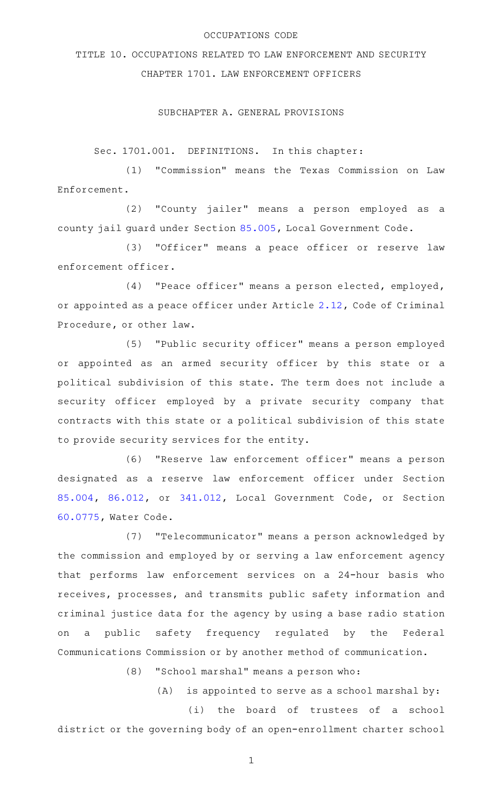#### OCCUPATIONS CODE

# TITLE 10. OCCUPATIONS RELATED TO LAW ENFORCEMENT AND SECURITY CHAPTER 1701. LAW ENFORCEMENT OFFICERS

## SUBCHAPTER A. GENERAL PROVISIONS

Sec. 1701.001. DEFINITIONS. In this chapter:

(1) "Commission" means the Texas Commission on Law Enforcement.

(2) "County jailer" means a person employed as a county jail guard under Section [85.005](http://www.statutes.legis.state.tx.us/GetStatute.aspx?Code=LG&Value=85.005), Local Government Code.

(3) "Officer" means a peace officer or reserve law enforcement officer.

(4) "Peace officer" means a person elected, employed, or appointed as a peace officer under Article [2.12,](http://www.statutes.legis.state.tx.us/GetStatute.aspx?Code=CR&Value=2.12) Code of Criminal Procedure, or other law.

(5) "Public security officer" means a person employed or appointed as an armed security officer by this state or a political subdivision of this state. The term does not include a security officer employed by a private security company that contracts with this state or a political subdivision of this state to provide security services for the entity.

(6) "Reserve law enforcement officer" means a person designated as a reserve law enforcement officer under Section [85.004](http://www.statutes.legis.state.tx.us/GetStatute.aspx?Code=LG&Value=85.004), [86.012,](http://www.statutes.legis.state.tx.us/GetStatute.aspx?Code=LG&Value=86.012) or [341.012,](http://www.statutes.legis.state.tx.us/GetStatute.aspx?Code=LG&Value=341.012) Local Government Code, or Section [60.0775,](http://www.statutes.legis.state.tx.us/GetStatute.aspx?Code=WA&Value=60.0775) Water Code.

(7) "Telecommunicator" means a person acknowledged by the commission and employed by or serving a law enforcement agency that performs law enforcement services on a 24-hour basis who receives, processes, and transmits public safety information and criminal justice data for the agency by using a base radio station on a public safety frequency regulated by the Federal Communications Commission or by another method of communication.

(8) "School marshal" means a person who:

 $(A)$  is appointed to serve as a school marshal by:

(i) the board of trustees of a school district or the governing body of an open-enrollment charter school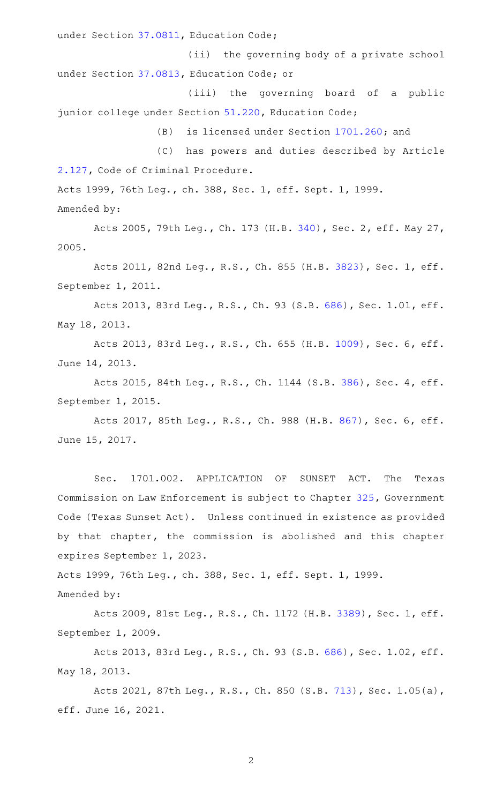under Section [37.0811](http://www.statutes.legis.state.tx.us/GetStatute.aspx?Code=ED&Value=37.0811), Education Code;

(ii) the governing body of a private school under Section [37.0813](http://www.statutes.legis.state.tx.us/GetStatute.aspx?Code=ED&Value=37.0813), Education Code; or

(iii) the governing board of a public junior college under Section [51.220](http://www.statutes.legis.state.tx.us/GetStatute.aspx?Code=ED&Value=51.220), Education Code;

(B) is licensed under Section [1701.260;](http://www.statutes.legis.state.tx.us/GetStatute.aspx?Code=OC&Value=1701.260) and

(C) has powers and duties described by Article [2.127,](http://www.statutes.legis.state.tx.us/GetStatute.aspx?Code=CR&Value=2.127) Code of Criminal Procedure.

Acts 1999, 76th Leg., ch. 388, Sec. 1, eff. Sept. 1, 1999.

Amended by:

Acts 2005, 79th Leg., Ch. 173 (H.B. [340\)](http://www.legis.state.tx.us/tlodocs/79R/billtext/html/HB00340F.HTM), Sec. 2, eff. May 27, 2005.

Acts 2011, 82nd Leg., R.S., Ch. 855 (H.B. [3823](http://www.legis.state.tx.us/tlodocs/82R/billtext/html/HB03823F.HTM)), Sec. 1, eff. September 1, 2011.

Acts 2013, 83rd Leg., R.S., Ch. 93 (S.B. [686\)](http://www.legis.state.tx.us/tlodocs/83R/billtext/html/SB00686F.HTM), Sec. 1.01, eff. May 18, 2013.

Acts 2013, 83rd Leg., R.S., Ch. 655 (H.B. [1009](http://www.legis.state.tx.us/tlodocs/83R/billtext/html/HB01009F.HTM)), Sec. 6, eff. June 14, 2013.

Acts 2015, 84th Leg., R.S., Ch. 1144 (S.B. [386](http://www.legis.state.tx.us/tlodocs/84R/billtext/html/SB00386F.HTM)), Sec. 4, eff. September 1, 2015.

Acts 2017, 85th Leg., R.S., Ch. 988 (H.B. [867](http://www.legis.state.tx.us/tlodocs/85R/billtext/html/HB00867F.HTM)), Sec. 6, eff. June 15, 2017.

Sec. 1701.002. APPLICATION OF SUNSET ACT. The Texas Commission on Law Enforcement is subject to Chapter [325,](http://www.statutes.legis.state.tx.us/GetStatute.aspx?Code=GV&Value=325) Government Code (Texas Sunset Act). Unless continued in existence as provided by that chapter, the commission is abolished and this chapter expires September 1, 2023.

Acts 1999, 76th Leg., ch. 388, Sec. 1, eff. Sept. 1, 1999.

Amended by:

Acts 2009, 81st Leg., R.S., Ch. 1172 (H.B. [3389](http://www.legis.state.tx.us/tlodocs/81R/billtext/html/HB03389F.HTM)), Sec. 1, eff. September 1, 2009.

Acts 2013, 83rd Leg., R.S., Ch. 93 (S.B. [686\)](http://www.legis.state.tx.us/tlodocs/83R/billtext/html/SB00686F.HTM), Sec. 1.02, eff. May 18, 2013.

Acts 2021, 87th Leg., R.S., Ch. 850 (S.B. [713](http://www.legis.state.tx.us/tlodocs/87R/billtext/html/SB00713F.HTM)), Sec. 1.05(a), eff. June 16, 2021.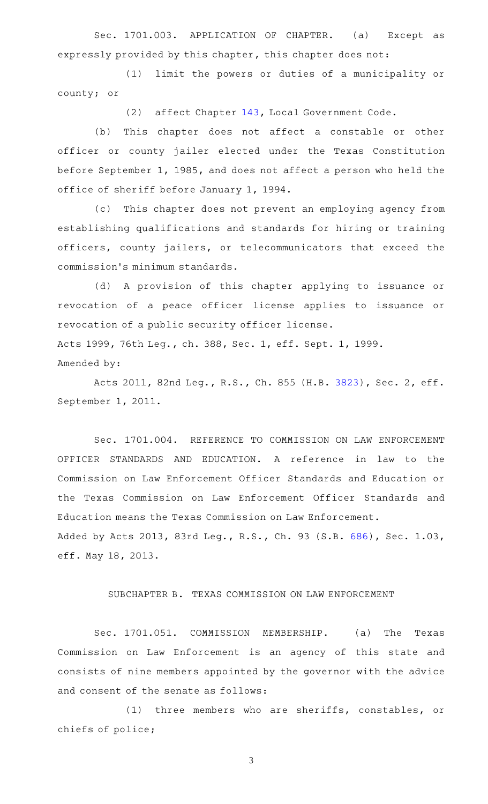Sec. 1701.003. APPLICATION OF CHAPTER. (a) Except as expressly provided by this chapter, this chapter does not:

(1) limit the powers or duties of a municipality or county; or

(2) affect Chapter [143](http://www.statutes.legis.state.tx.us/GetStatute.aspx?Code=LG&Value=143), Local Government Code.

(b) This chapter does not affect a constable or other officer or county jailer elected under the Texas Constitution before September 1, 1985, and does not affect a person who held the office of sheriff before January 1, 1994.

(c) This chapter does not prevent an employing agency from establishing qualifications and standards for hiring or training officers, county jailers, or telecommunicators that exceed the commission 's minimum standards.

(d) A provision of this chapter applying to issuance or revocation of a peace officer license applies to issuance or revocation of a public security officer license. Acts 1999, 76th Leg., ch. 388, Sec. 1, eff. Sept. 1, 1999. Amended by:

Acts 2011, 82nd Leg., R.S., Ch. 855 (H.B. [3823](http://www.legis.state.tx.us/tlodocs/82R/billtext/html/HB03823F.HTM)), Sec. 2, eff. September 1, 2011.

Sec. 1701.004. REFERENCE TO COMMISSION ON LAW ENFORCEMENT OFFICER STANDARDS AND EDUCATION. A reference in law to the Commission on Law Enforcement Officer Standards and Education or the Texas Commission on Law Enforcement Officer Standards and Education means the Texas Commission on Law Enforcement. Added by Acts 2013, 83rd Leg., R.S., Ch. 93 (S.B. [686\)](http://www.legis.state.tx.us/tlodocs/83R/billtext/html/SB00686F.HTM), Sec. 1.03, eff. May 18, 2013.

## SUBCHAPTER B. TEXAS COMMISSION ON LAW ENFORCEMENT

Sec. 1701.051. COMMISSION MEMBERSHIP. (a) The Texas Commission on Law Enforcement is an agency of this state and consists of nine members appointed by the governor with the advice and consent of the senate as follows:

(1) three members who are sheriffs, constables, or chiefs of police;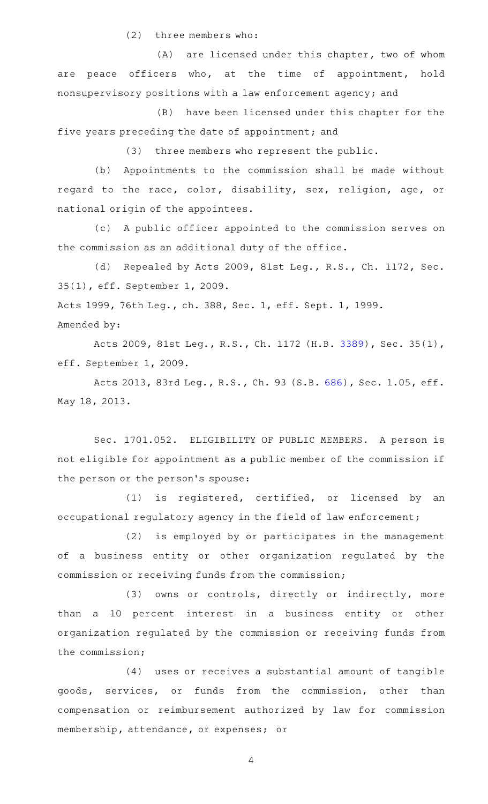$(2)$  three members who:

 $(A)$  are licensed under this chapter, two of whom are peace officers who, at the time of appointment, hold nonsupervisory positions with a law enforcement agency; and

(B) have been licensed under this chapter for the five years preceding the date of appointment; and

(3) three members who represent the public.

(b) Appointments to the commission shall be made without regard to the race, color, disability, sex, religion, age, or national origin of the appointees.

(c)AAA public officer appointed to the commission serves on the commission as an additional duty of the office.

(d) Repealed by Acts 2009, 81st Leg., R.S., Ch. 1172, Sec. 35(1), eff. September 1, 2009.

Acts 1999, 76th Leg., ch. 388, Sec. 1, eff. Sept. 1, 1999.

Amended by:

Acts 2009, 81st Leg., R.S., Ch. 1172 (H.B. [3389](http://www.legis.state.tx.us/tlodocs/81R/billtext/html/HB03389F.HTM)), Sec. 35(1), eff. September 1, 2009.

Acts 2013, 83rd Leg., R.S., Ch. 93 (S.B. [686\)](http://www.legis.state.tx.us/tlodocs/83R/billtext/html/SB00686F.HTM), Sec. 1.05, eff. May 18, 2013.

Sec. 1701.052. ELIGIBILITY OF PUBLIC MEMBERS. A person is not eligible for appointment as a public member of the commission if the person or the person 's spouse:

(1) is registered, certified, or licensed by an occupational regulatory agency in the field of law enforcement;

(2) is employed by or participates in the management of a business entity or other organization regulated by the commission or receiving funds from the commission;

(3) owns or controls, directly or indirectly, more than a 10 percent interest in a business entity or other organization regulated by the commission or receiving funds from the commission;

(4) uses or receives a substantial amount of tangible goods, services, or funds from the commission, other than compensation or reimbursement authorized by law for commission membership, attendance, or expenses; or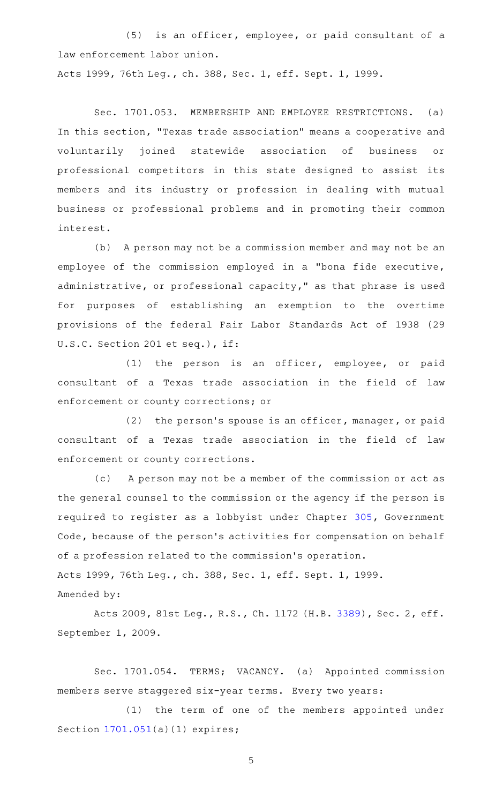(5) is an officer, employee, or paid consultant of a law enforcement labor union.

Acts 1999, 76th Leg., ch. 388, Sec. 1, eff. Sept. 1, 1999.

Sec. 1701.053. MEMBERSHIP AND EMPLOYEE RESTRICTIONS. (a) In this section, "Texas trade association" means a cooperative and voluntarily joined statewide association of business or professional competitors in this state designed to assist its members and its industry or profession in dealing with mutual business or professional problems and in promoting their common interest.

(b) A person may not be a commission member and may not be an employee of the commission employed in a "bona fide executive, administrative, or professional capacity," as that phrase is used for purposes of establishing an exemption to the overtime provisions of the federal Fair Labor Standards Act of 1938 (29 U.S.C. Section 201 et seq.), if:

(1) the person is an officer, employee, or paid consultant of a Texas trade association in the field of law enforcement or county corrections; or

 $(2)$  the person's spouse is an officer, manager, or paid consultant of a Texas trade association in the field of law enforcement or county corrections.

(c) A person may not be a member of the commission or act as the general counsel to the commission or the agency if the person is required to register as a lobbyist under Chapter [305](http://www.statutes.legis.state.tx.us/GetStatute.aspx?Code=GV&Value=305), Government Code, because of the person's activities for compensation on behalf of a profession related to the commission 's operation. Acts 1999, 76th Leg., ch. 388, Sec. 1, eff. Sept. 1, 1999. Amended by:

Acts 2009, 81st Leg., R.S., Ch. 1172 (H.B. [3389](http://www.legis.state.tx.us/tlodocs/81R/billtext/html/HB03389F.HTM)), Sec. 2, eff. September 1, 2009.

Sec. 1701.054. TERMS; VACANCY. (a) Appointed commission members serve staggered six-year terms. Every two years:

(1) the term of one of the members appointed under Section [1701.051](http://www.statutes.legis.state.tx.us/GetStatute.aspx?Code=OC&Value=1701.051)(a)(1) expires;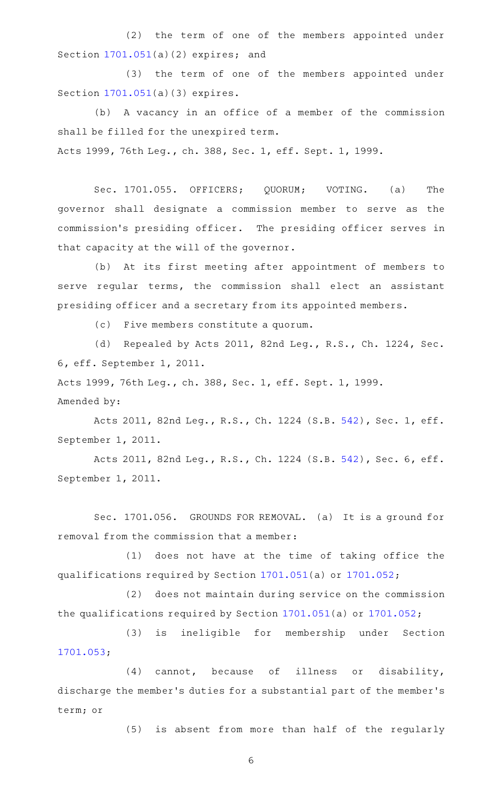(2) the term of one of the members appointed under Section [1701.051](http://www.statutes.legis.state.tx.us/GetStatute.aspx?Code=OC&Value=1701.051)(a)(2) expires; and

(3) the term of one of the members appointed under Section [1701.051](http://www.statutes.legis.state.tx.us/GetStatute.aspx?Code=OC&Value=1701.051)(a)(3) expires.

(b)AAA vacancy in an office of a member of the commission shall be filled for the unexpired term. Acts 1999, 76th Leg., ch. 388, Sec. 1, eff. Sept. 1, 1999.

Sec. 1701.055. OFFICERS; QUORUM; VOTING. (a) The governor shall designate a commission member to serve as the commission 's presiding officer. The presiding officer serves in that capacity at the will of the governor.

(b) At its first meeting after appointment of members to serve regular terms, the commission shall elect an assistant presiding officer and a secretary from its appointed members.

(c) Five members constitute a quorum.

(d) Repealed by Acts 2011, 82nd Leg., R.S., Ch. 1224, Sec. 6, eff. September 1, 2011.

Acts 1999, 76th Leg., ch. 388, Sec. 1, eff. Sept. 1, 1999. Amended by:

Acts 2011, 82nd Leg., R.S., Ch. 1224 (S.B. [542](http://www.legis.state.tx.us/tlodocs/82R/billtext/html/SB00542F.HTM)), Sec. 1, eff. September 1, 2011.

Acts 2011, 82nd Leg., R.S., Ch. 1224 (S.B. [542](http://www.legis.state.tx.us/tlodocs/82R/billtext/html/SB00542F.HTM)), Sec. 6, eff. September 1, 2011.

Sec. 1701.056. GROUNDS FOR REMOVAL. (a) It is a ground for removal from the commission that a member:

(1) does not have at the time of taking office the qualifications required by Section [1701.051\(](http://www.statutes.legis.state.tx.us/GetStatute.aspx?Code=OC&Value=1701.051)a) or [1701.052;](http://www.statutes.legis.state.tx.us/GetStatute.aspx?Code=OC&Value=1701.052)

(2) does not maintain during service on the commission the qualifications required by Section [1701.051](http://www.statutes.legis.state.tx.us/GetStatute.aspx?Code=OC&Value=1701.051)(a) or [1701.052](http://www.statutes.legis.state.tx.us/GetStatute.aspx?Code=OC&Value=1701.052);

(3) is ineligible for membership under Section [1701.053](http://www.statutes.legis.state.tx.us/GetStatute.aspx?Code=OC&Value=1701.053);

 $(4)$  cannot, because of illness or disability, discharge the member 's duties for a substantial part of the member 's term; or

(5) is absent from more than half of the regularly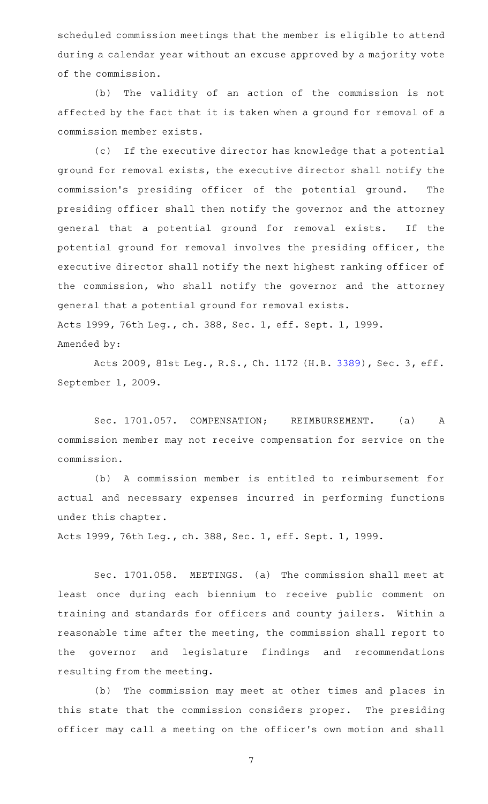scheduled commission meetings that the member is eligible to attend during a calendar year without an excuse approved by a majority vote of the commission.

(b) The validity of an action of the commission is not affected by the fact that it is taken when a ground for removal of a commission member exists.

(c) If the executive director has knowledge that a potential ground for removal exists, the executive director shall notify the commission 's presiding officer of the potential ground. The presiding officer shall then notify the governor and the attorney general that a potential ground for removal exists. If the potential ground for removal involves the presiding officer, the executive director shall notify the next highest ranking officer of the commission, who shall notify the governor and the attorney general that a potential ground for removal exists. Acts 1999, 76th Leg., ch. 388, Sec. 1, eff. Sept. 1, 1999. Amended by:

Acts 2009, 81st Leg., R.S., Ch. 1172 (H.B. [3389](http://www.legis.state.tx.us/tlodocs/81R/billtext/html/HB03389F.HTM)), Sec. 3, eff. September 1, 2009.

Sec. 1701.057. COMPENSATION; REIMBURSEMENT. (a) A commission member may not receive compensation for service on the commission.

(b) A commission member is entitled to reimbursement for actual and necessary expenses incurred in performing functions under this chapter.

Acts 1999, 76th Leg., ch. 388, Sec. 1, eff. Sept. 1, 1999.

Sec. 1701.058. MEETINGS. (a) The commission shall meet at least once during each biennium to receive public comment on training and standards for officers and county jailers. Within a reasonable time after the meeting, the commission shall report to the governor and legislature findings and recommendations resulting from the meeting.

(b) The commission may meet at other times and places in this state that the commission considers proper. The presiding officer may call a meeting on the officer 's own motion and shall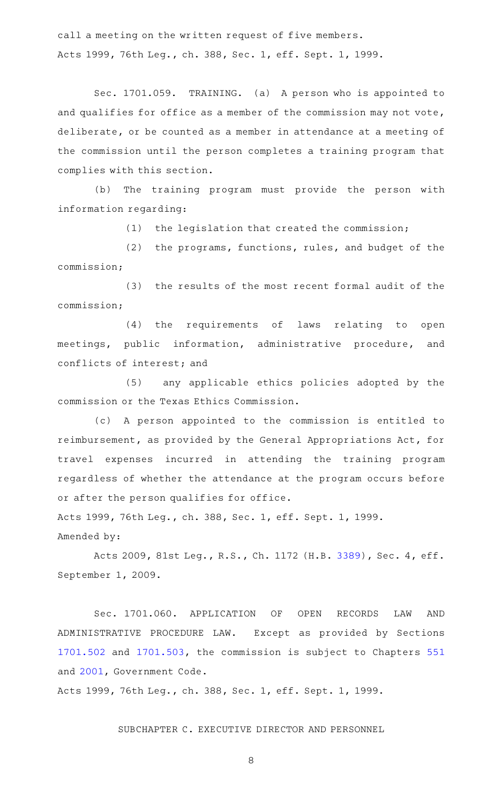call a meeting on the written request of five members. Acts 1999, 76th Leg., ch. 388, Sec. 1, eff. Sept. 1, 1999.

Sec. 1701.059. TRAINING. (a) A person who is appointed to and qualifies for office as a member of the commission may not vote, deliberate, or be counted as a member in attendance at a meeting of the commission until the person completes a training program that complies with this section.

(b) The training program must provide the person with information regarding:

 $(1)$  the legislation that created the commission;

(2) the programs, functions, rules, and budget of the commission;

(3) the results of the most recent formal audit of the commission;

(4) the requirements of laws relating to open meetings, public information, administrative procedure, and conflicts of interest; and

(5) any applicable ethics policies adopted by the commission or the Texas Ethics Commission.

(c)AAA person appointed to the commission is entitled to reimbursement, as provided by the General Appropriations Act, for travel expenses incurred in attending the training program regardless of whether the attendance at the program occurs before or after the person qualifies for office.

Acts 1999, 76th Leg., ch. 388, Sec. 1, eff. Sept. 1, 1999. Amended by:

Acts 2009, 81st Leg., R.S., Ch. 1172 (H.B. [3389](http://www.legis.state.tx.us/tlodocs/81R/billtext/html/HB03389F.HTM)), Sec. 4, eff. September 1, 2009.

Sec. 1701.060. APPLICATION OF OPEN RECORDS LAW AND ADMINISTRATIVE PROCEDURE LAW. Except as provided by Sections [1701.502](http://www.statutes.legis.state.tx.us/GetStatute.aspx?Code=OC&Value=1701.502) and [1701.503](http://www.statutes.legis.state.tx.us/GetStatute.aspx?Code=OC&Value=1701.503), the commission is subject to Chapters [551](http://www.statutes.legis.state.tx.us/GetStatute.aspx?Code=GV&Value=551) and [2001,](http://www.statutes.legis.state.tx.us/GetStatute.aspx?Code=GV&Value=2001) Government Code.

Acts 1999, 76th Leg., ch. 388, Sec. 1, eff. Sept. 1, 1999.

SUBCHAPTER C. EXECUTIVE DIRECTOR AND PERSONNEL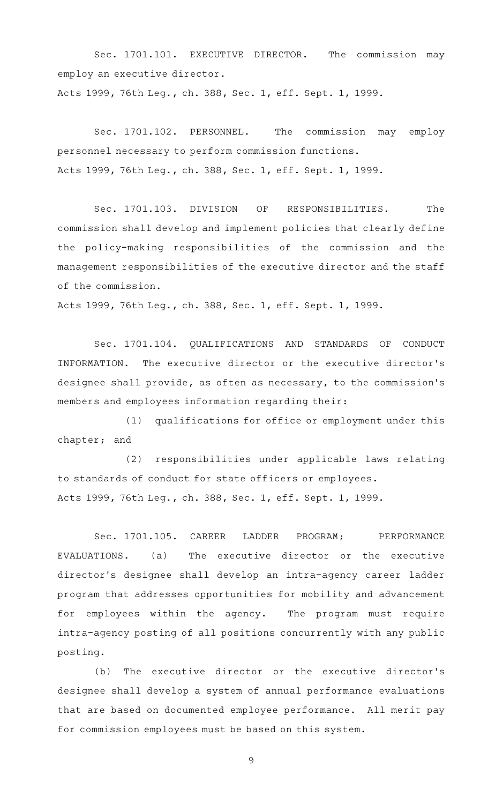Sec. 1701.101. EXECUTIVE DIRECTOR. The commission may employ an executive director. Acts 1999, 76th Leg., ch. 388, Sec. 1, eff. Sept. 1, 1999.

Sec. 1701.102. PERSONNEL. The commission may employ personnel necessary to perform commission functions. Acts 1999, 76th Leg., ch. 388, Sec. 1, eff. Sept. 1, 1999.

Sec. 1701.103. DIVISION OF RESPONSIBILITIES. The commission shall develop and implement policies that clearly define the policy-making responsibilities of the commission and the management responsibilities of the executive director and the staff of the commission.

Acts 1999, 76th Leg., ch. 388, Sec. 1, eff. Sept. 1, 1999.

Sec. 1701.104. QUALIFICATIONS AND STANDARDS OF CONDUCT INFORMATION. The executive director or the executive director 's designee shall provide, as often as necessary, to the commission 's members and employees information regarding their:

(1) qualifications for office or employment under this chapter; and

(2) responsibilities under applicable laws relating to standards of conduct for state officers or employees. Acts 1999, 76th Leg., ch. 388, Sec. 1, eff. Sept. 1, 1999.

Sec. 1701.105. CAREER LADDER PROGRAM; PERFORMANCE EVALUATIONS. (a) The executive director or the executive director 's designee shall develop an intra-agency career ladder program that addresses opportunities for mobility and advancement for employees within the agency. The program must require intra-agency posting of all positions concurrently with any public posting.

(b) The executive director or the executive director's designee shall develop a system of annual performance evaluations that are based on documented employee performance. All merit pay for commission employees must be based on this system.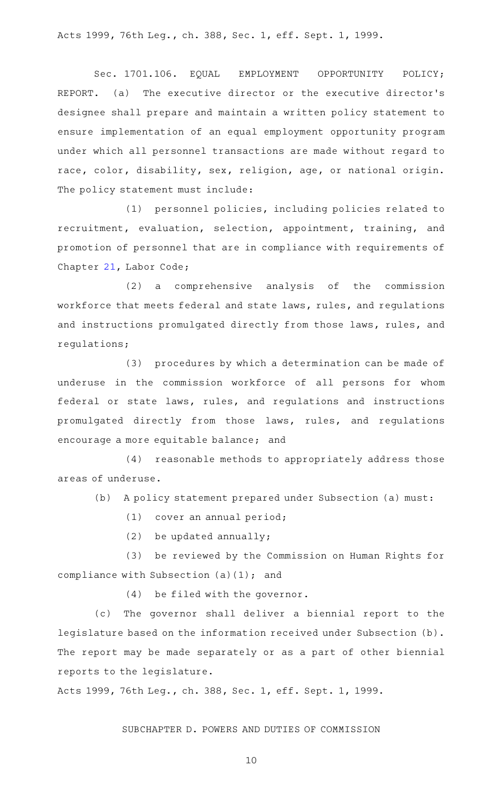Acts 1999, 76th Leg., ch. 388, Sec. 1, eff. Sept. 1, 1999.

Sec. 1701.106. EQUAL EMPLOYMENT OPPORTUNITY POLICY; REPORT. (a) The executive director or the executive director 's designee shall prepare and maintain a written policy statement to ensure implementation of an equal employment opportunity program under which all personnel transactions are made without regard to race, color, disability, sex, religion, age, or national origin. The policy statement must include:

(1) personnel policies, including policies related to recruitment, evaluation, selection, appointment, training, and promotion of personnel that are in compliance with requirements of Chapter [21,](http://www.statutes.legis.state.tx.us/GetStatute.aspx?Code=LA&Value=21) Labor Code;

(2) a comprehensive analysis of the commission workforce that meets federal and state laws, rules, and regulations and instructions promulgated directly from those laws, rules, and regulations;

(3) procedures by which a determination can be made of underuse in the commission workforce of all persons for whom federal or state laws, rules, and regulations and instructions promulgated directly from those laws, rules, and regulations encourage a more equitable balance; and

(4) reasonable methods to appropriately address those areas of underuse.

(b) A policy statement prepared under Subsection (a) must:

 $(1)$  cover an annual period;

 $(2)$  be updated annually;

(3) be reviewed by the Commission on Human Rights for compliance with Subsection (a)(1); and

 $(4)$  be filed with the governor.

(c) The governor shall deliver a biennial report to the legislature based on the information received under Subsection (b). The report may be made separately or as a part of other biennial reports to the legislature.

Acts 1999, 76th Leg., ch. 388, Sec. 1, eff. Sept. 1, 1999.

#### SUBCHAPTER D. POWERS AND DUTIES OF COMMISSION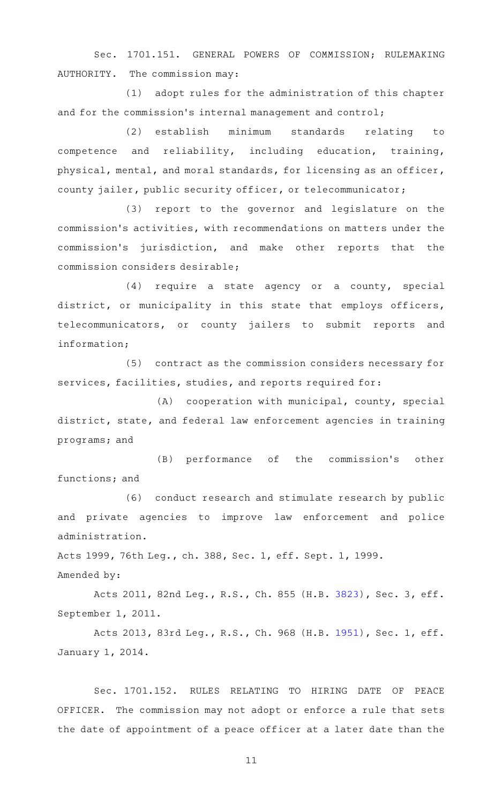Sec. 1701.151. GENERAL POWERS OF COMMISSION; RULEMAKING AUTHORITY. The commission may:

(1) adopt rules for the administration of this chapter and for the commission 's internal management and control;

(2) establish minimum standards relating to competence and reliability, including education, training, physical, mental, and moral standards, for licensing as an officer, county jailer, public security officer, or telecommunicator;

(3) report to the governor and legislature on the commission 's activities, with recommendations on matters under the commission's jurisdiction, and make other reports that the commission considers desirable;

(4) require a state agency or a county, special district, or municipality in this state that employs officers, telecommunicators, or county jailers to submit reports and information;

(5) contract as the commission considers necessary for services, facilities, studies, and reports required for:

 $(A)$  cooperation with municipal, county, special district, state, and federal law enforcement agencies in training programs; and

(B) performance of the commission's other functions; and

(6) conduct research and stimulate research by public and private agencies to improve law enforcement and police administration.

Acts 1999, 76th Leg., ch. 388, Sec. 1, eff. Sept. 1, 1999.

Amended by:

Acts 2011, 82nd Leg., R.S., Ch. 855 (H.B. [3823](http://www.legis.state.tx.us/tlodocs/82R/billtext/html/HB03823F.HTM)), Sec. 3, eff. September 1, 2011.

Acts 2013, 83rd Leg., R.S., Ch. 968 (H.B. [1951](http://www.legis.state.tx.us/tlodocs/83R/billtext/html/HB01951F.HTM)), Sec. 1, eff. January 1, 2014.

Sec. 1701.152. RULES RELATING TO HIRING DATE OF PEACE OFFICER. The commission may not adopt or enforce a rule that sets the date of appointment of a peace officer at a later date than the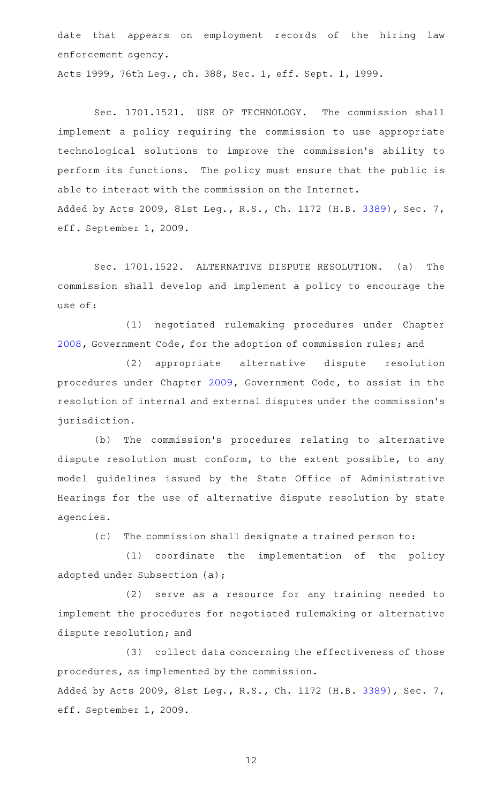date that appears on employment records of the hiring law enforcement agency.

Acts 1999, 76th Leg., ch. 388, Sec. 1, eff. Sept. 1, 1999.

Sec. 1701.1521. USE OF TECHNOLOGY. The commission shall implement a policy requiring the commission to use appropriate technological solutions to improve the commission 's ability to perform its functions. The policy must ensure that the public is able to interact with the commission on the Internet. Added by Acts 2009, 81st Leg., R.S., Ch. 1172 (H.B. [3389\)](http://www.legis.state.tx.us/tlodocs/81R/billtext/html/HB03389F.HTM), Sec. 7, eff. September 1, 2009.

Sec. 1701.1522. ALTERNATIVE DISPUTE RESOLUTION. (a) The commission shall develop and implement a policy to encourage the use of:

(1) negotiated rulemaking procedures under Chapter [2008](http://www.statutes.legis.state.tx.us/GetStatute.aspx?Code=GV&Value=2008), Government Code, for the adoption of commission rules; and

(2) appropriate alternative dispute resolution procedures under Chapter [2009,](http://www.statutes.legis.state.tx.us/GetStatute.aspx?Code=GV&Value=2009) Government Code, to assist in the resolution of internal and external disputes under the commission 's jurisdiction.

(b) The commission's procedures relating to alternative dispute resolution must conform, to the extent possible, to any model guidelines issued by the State Office of Administrative Hearings for the use of alternative dispute resolution by state agencies.

(c) The commission shall designate a trained person to:

(1) coordinate the implementation of the policy adopted under Subsection (a);

(2) serve as a resource for any training needed to implement the procedures for negotiated rulemaking or alternative dispute resolution; and

(3) collect data concerning the effectiveness of those procedures, as implemented by the commission. Added by Acts 2009, 81st Leg., R.S., Ch. 1172 (H.B. [3389\)](http://www.legis.state.tx.us/tlodocs/81R/billtext/html/HB03389F.HTM), Sec. 7, eff. September 1, 2009.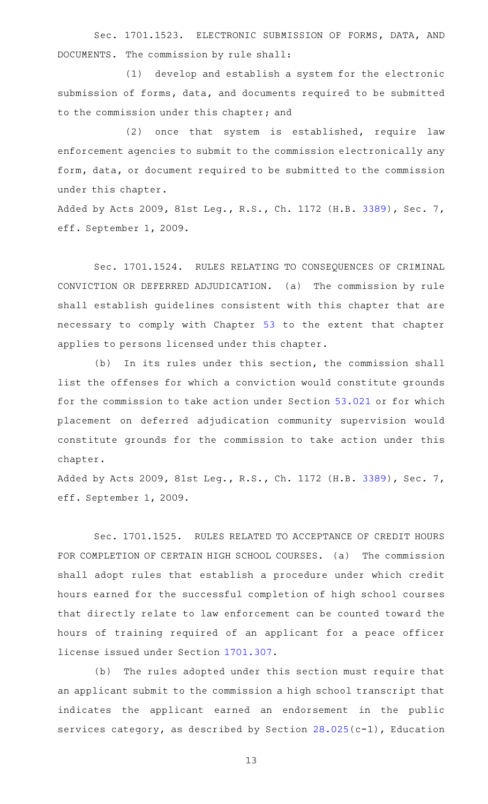Sec. 1701.1523. ELECTRONIC SUBMISSION OF FORMS, DATA, AND DOCUMENTS. The commission by rule shall:

(1) develop and establish a system for the electronic submission of forms, data, and documents required to be submitted to the commission under this chapter; and

(2) once that system is established, require law enforcement agencies to submit to the commission electronically any form, data, or document required to be submitted to the commission under this chapter.

Added by Acts 2009, 81st Leg., R.S., Ch. 1172 (H.B. [3389\)](http://www.legis.state.tx.us/tlodocs/81R/billtext/html/HB03389F.HTM), Sec. 7, eff. September 1, 2009.

Sec. 1701.1524. RULES RELATING TO CONSEQUENCES OF CRIMINAL CONVICTION OR DEFERRED ADJUDICATION. (a) The commission by rule shall establish guidelines consistent with this chapter that are necessary to comply with Chapter [53](http://www.statutes.legis.state.tx.us/GetStatute.aspx?Code=OC&Value=53) to the extent that chapter applies to persons licensed under this chapter.

(b) In its rules under this section, the commission shall list the offenses for which a conviction would constitute grounds for the commission to take action under Section [53.021](http://www.statutes.legis.state.tx.us/GetStatute.aspx?Code=OC&Value=53.021) or for which placement on deferred adjudication community supervision would constitute grounds for the commission to take action under this chapter.

Added by Acts 2009, 81st Leg., R.S., Ch. 1172 (H.B. [3389\)](http://www.legis.state.tx.us/tlodocs/81R/billtext/html/HB03389F.HTM), Sec. 7, eff. September 1, 2009.

Sec. 1701.1525. RULES RELATED TO ACCEPTANCE OF CREDIT HOURS FOR COMPLETION OF CERTAIN HIGH SCHOOL COURSES. (a) The commission shall adopt rules that establish a procedure under which credit hours earned for the successful completion of high school courses that directly relate to law enforcement can be counted toward the hours of training required of an applicant for a peace officer license issued under Section [1701.307](http://www.statutes.legis.state.tx.us/GetStatute.aspx?Code=OC&Value=1701.307).

(b) The rules adopted under this section must require that an applicant submit to the commission a high school transcript that indicates the applicant earned an endorsement in the public services category, as described by Section [28.025\(](http://www.statutes.legis.state.tx.us/GetStatute.aspx?Code=ED&Value=28.025)c-1), Education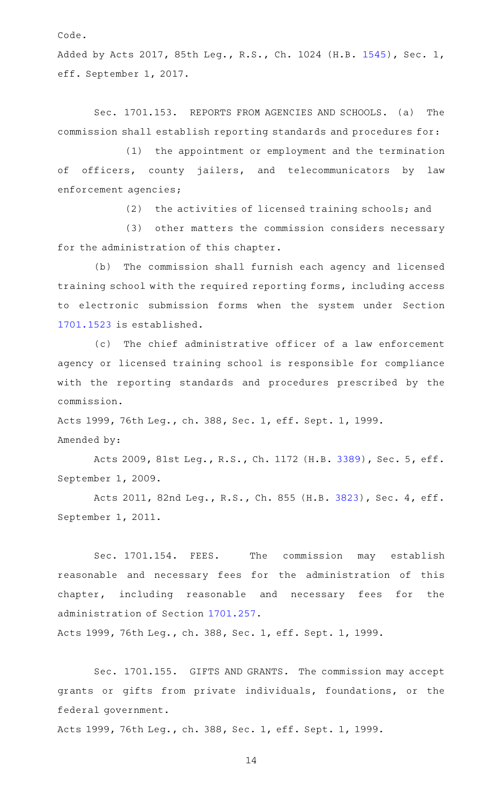Code.

Added by Acts 2017, 85th Leg., R.S., Ch. 1024 (H.B. [1545\)](http://www.legis.state.tx.us/tlodocs/85R/billtext/html/HB01545F.HTM), Sec. 1, eff. September 1, 2017.

Sec. 1701.153. REPORTS FROM AGENCIES AND SCHOOLS. (a) The commission shall establish reporting standards and procedures for:

(1) the appointment or employment and the termination of officers, county jailers, and telecommunicators by law enforcement agencies;

 $(2)$  the activities of licensed training schools; and

(3) other matters the commission considers necessary for the administration of this chapter.

(b) The commission shall furnish each agency and licensed training school with the required reporting forms, including access to electronic submission forms when the system under Section [1701.1523](http://www.statutes.legis.state.tx.us/GetStatute.aspx?Code=OC&Value=1701.1523) is established.

(c) The chief administrative officer of a law enforcement agency or licensed training school is responsible for compliance with the reporting standards and procedures prescribed by the commission.

Acts 1999, 76th Leg., ch. 388, Sec. 1, eff. Sept. 1, 1999. Amended by:

Acts 2009, 81st Leg., R.S., Ch. 1172 (H.B. [3389](http://www.legis.state.tx.us/tlodocs/81R/billtext/html/HB03389F.HTM)), Sec. 5, eff. September 1, 2009.

Acts 2011, 82nd Leg., R.S., Ch. 855 (H.B. [3823](http://www.legis.state.tx.us/tlodocs/82R/billtext/html/HB03823F.HTM)), Sec. 4, eff. September 1, 2011.

Sec. 1701.154. FEES. The commission may establish reasonable and necessary fees for the administration of this chapter, including reasonable and necessary fees for the administration of Section [1701.257](http://www.statutes.legis.state.tx.us/GetStatute.aspx?Code=OC&Value=1701.257).

Acts 1999, 76th Leg., ch. 388, Sec. 1, eff. Sept. 1, 1999.

Sec. 1701.155. GIFTS AND GRANTS. The commission may accept grants or gifts from private individuals, foundations, or the federal government.

Acts 1999, 76th Leg., ch. 388, Sec. 1, eff. Sept. 1, 1999.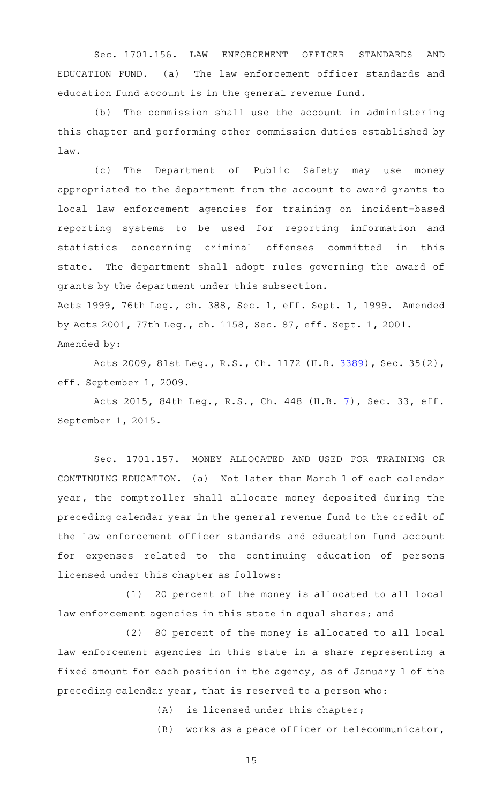Sec. 1701.156. LAW ENFORCEMENT OFFICER STANDARDS AND EDUCATION FUND. (a) The law enforcement officer standards and education fund account is in the general revenue fund.

 $(b)$  The commission shall use the account in administering this chapter and performing other commission duties established by law.

(c) The Department of Public Safety may use money appropriated to the department from the account to award grants to local law enforcement agencies for training on incident-based reporting systems to be used for reporting information and statistics concerning criminal offenses committed in this state. The department shall adopt rules governing the award of grants by the department under this subsection. Acts 1999, 76th Leg., ch. 388, Sec. 1, eff. Sept. 1, 1999. Amended

by Acts 2001, 77th Leg., ch. 1158, Sec. 87, eff. Sept. 1, 2001. Amended by:

Acts 2009, 81st Leg., R.S., Ch. 1172 (H.B. [3389](http://www.legis.state.tx.us/tlodocs/81R/billtext/html/HB03389F.HTM)), Sec. 35(2), eff. September 1, 2009.

Acts 2015, 84th Leg., R.S., Ch. 448 (H.B. [7\)](http://www.legis.state.tx.us/tlodocs/84R/billtext/html/HB00007F.HTM), Sec. 33, eff. September 1, 2015.

Sec. 1701.157. MONEY ALLOCATED AND USED FOR TRAINING OR CONTINUING EDUCATION. (a) Not later than March 1 of each calendar year, the comptroller shall allocate money deposited during the preceding calendar year in the general revenue fund to the credit of the law enforcement officer standards and education fund account for expenses related to the continuing education of persons licensed under this chapter as follows:

(1) 20 percent of the money is allocated to all local law enforcement agencies in this state in equal shares; and

(2) 80 percent of the money is allocated to all local law enforcement agencies in this state in a share representing a fixed amount for each position in the agency, as of January 1 of the preceding calendar year, that is reserved to a person who:

 $(A)$  is licensed under this chapter;

 $(B)$  works as a peace officer or telecommunicator,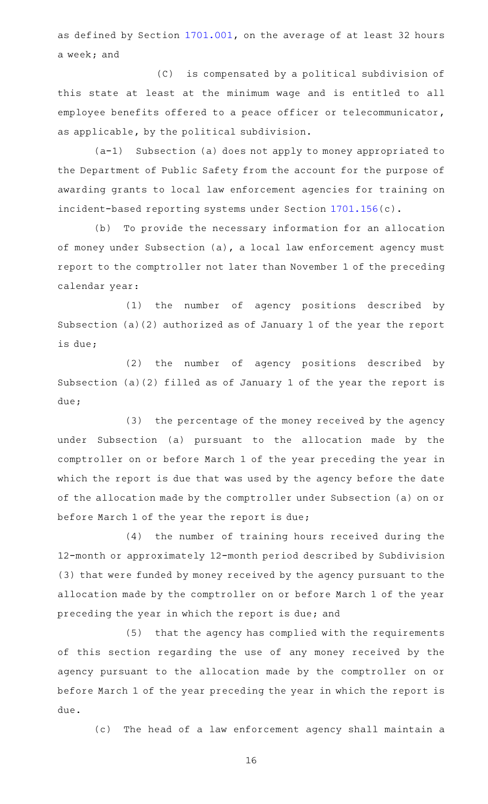as defined by Section [1701.001,](http://www.statutes.legis.state.tx.us/GetStatute.aspx?Code=OC&Value=1701.001) on the average of at least 32 hours a week; and

(C) is compensated by a political subdivision of this state at least at the minimum wage and is entitled to all employee benefits offered to a peace officer or telecommunicator, as applicable, by the political subdivision.

 $(a-1)$  Subsection (a) does not apply to money appropriated to the Department of Public Safety from the account for the purpose of awarding grants to local law enforcement agencies for training on incident-based reporting systems under Section [1701.156\(](http://www.statutes.legis.state.tx.us/GetStatute.aspx?Code=OC&Value=1701.156)c).

(b) To provide the necessary information for an allocation of money under Subsection (a), a local law enforcement agency must report to the comptroller not later than November 1 of the preceding calendar year:

(1) the number of agency positions described by Subsection (a)(2) authorized as of January 1 of the year the report is due;

(2) the number of agency positions described by Subsection (a)(2) filled as of January 1 of the year the report is due;

(3) the percentage of the money received by the agency under Subsection (a) pursuant to the allocation made by the comptroller on or before March 1 of the year preceding the year in which the report is due that was used by the agency before the date of the allocation made by the comptroller under Subsection (a) on or before March 1 of the year the report is due;

(4) the number of training hours received during the 12-month or approximately 12-month period described by Subdivision (3) that were funded by money received by the agency pursuant to the allocation made by the comptroller on or before March 1 of the year preceding the year in which the report is due; and

(5) that the agency has complied with the requirements of this section regarding the use of any money received by the agency pursuant to the allocation made by the comptroller on or before March 1 of the year preceding the year in which the report is due.

(c) The head of a law enforcement agency shall maintain a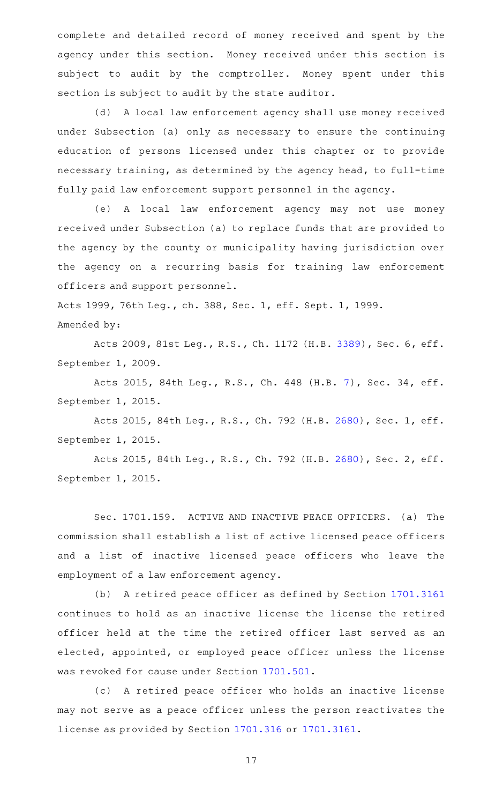complete and detailed record of money received and spent by the agency under this section. Money received under this section is subject to audit by the comptroller. Money spent under this section is subject to audit by the state auditor.

(d) A local law enforcement agency shall use money received under Subsection (a) only as necessary to ensure the continuing education of persons licensed under this chapter or to provide necessary training, as determined by the agency head, to full-time fully paid law enforcement support personnel in the agency.

(e) A local law enforcement agency may not use money received under Subsection (a) to replace funds that are provided to the agency by the county or municipality having jurisdiction over the agency on a recurring basis for training law enforcement officers and support personnel.

Acts 1999, 76th Leg., ch. 388, Sec. 1, eff. Sept. 1, 1999. Amended by:

Acts 2009, 81st Leg., R.S., Ch. 1172 (H.B. [3389](http://www.legis.state.tx.us/tlodocs/81R/billtext/html/HB03389F.HTM)), Sec. 6, eff. September 1, 2009.

Acts 2015, 84th Leg., R.S., Ch. 448 (H.B. [7\)](http://www.legis.state.tx.us/tlodocs/84R/billtext/html/HB00007F.HTM), Sec. 34, eff. September 1, 2015.

Acts 2015, 84th Leg., R.S., Ch. 792 (H.B. [2680](http://www.legis.state.tx.us/tlodocs/84R/billtext/html/HB02680F.HTM)), Sec. 1, eff. September 1, 2015.

Acts 2015, 84th Leg., R.S., Ch. 792 (H.B. [2680](http://www.legis.state.tx.us/tlodocs/84R/billtext/html/HB02680F.HTM)), Sec. 2, eff. September 1, 2015.

Sec. 1701.159. ACTIVE AND INACTIVE PEACE OFFICERS. (a) The commission shall establish a list of active licensed peace officers and a list of inactive licensed peace officers who leave the employment of a law enforcement agency.

(b) A retired peace officer as defined by Section [1701.3161](http://www.statutes.legis.state.tx.us/GetStatute.aspx?Code=OC&Value=1701.3161) continues to hold as an inactive license the license the retired officer held at the time the retired officer last served as an elected, appointed, or employed peace officer unless the license was revoked for cause under Section [1701.501](http://www.statutes.legis.state.tx.us/GetStatute.aspx?Code=OC&Value=1701.501).

(c)AAA retired peace officer who holds an inactive license may not serve as a peace officer unless the person reactivates the license as provided by Section [1701.316](http://www.statutes.legis.state.tx.us/GetStatute.aspx?Code=OC&Value=1701.316) or [1701.3161.](http://www.statutes.legis.state.tx.us/GetStatute.aspx?Code=OC&Value=1701.3161)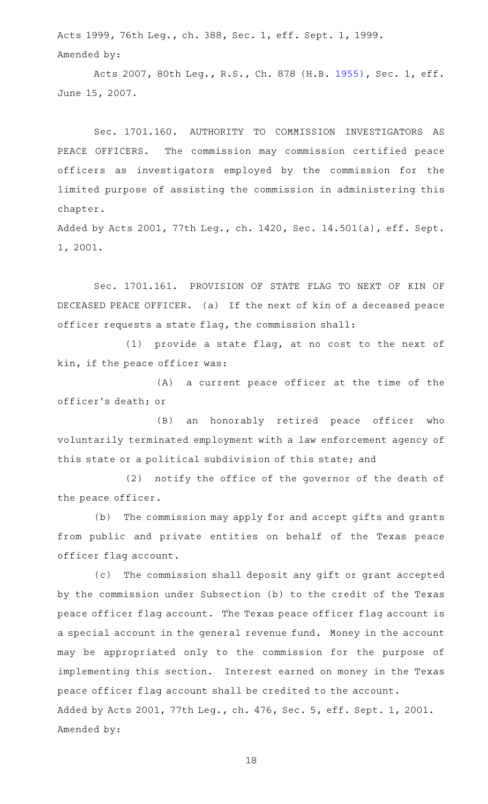Acts 1999, 76th Leg., ch. 388, Sec. 1, eff. Sept. 1, 1999. Amended by:

Acts 2007, 80th Leg., R.S., Ch. 878 (H.B. [1955](http://www.legis.state.tx.us/tlodocs/80R/billtext/html/HB01955F.HTM)), Sec. 1, eff. June 15, 2007.

Sec. 1701.160. AUTHORITY TO COMMISSION INVESTIGATORS AS PEACE OFFICERS. The commission may commission certified peace officers as investigators employed by the commission for the limited purpose of assisting the commission in administering this chapter.

Added by Acts 2001, 77th Leg., ch. 1420, Sec. 14.501(a), eff. Sept. 1, 2001.

Sec. 1701.161. PROVISION OF STATE FLAG TO NEXT OF KIN OF DECEASED PEACE OFFICER. (a) If the next of kin of a deceased peace officer requests a state flag, the commission shall:

(1) provide a state flag, at no cost to the next of kin, if the peace officer was:

 $(A)$  a current peace officer at the time of the officer 's death; or

(B) an honorably retired peace officer who voluntarily terminated employment with a law enforcement agency of this state or a political subdivision of this state; and

(2) notify the office of the governor of the death of the peace officer.

(b) The commission may apply for and accept gifts and grants from public and private entities on behalf of the Texas peace officer flag account.

(c) The commission shall deposit any gift or grant accepted by the commission under Subsection (b) to the credit of the Texas peace officer flag account. The Texas peace officer flag account is a special account in the general revenue fund. Money in the account may be appropriated only to the commission for the purpose of implementing this section. Interest earned on money in the Texas peace officer flag account shall be credited to the account. Added by Acts 2001, 77th Leg., ch. 476, Sec. 5, eff. Sept. 1, 2001. Amended by: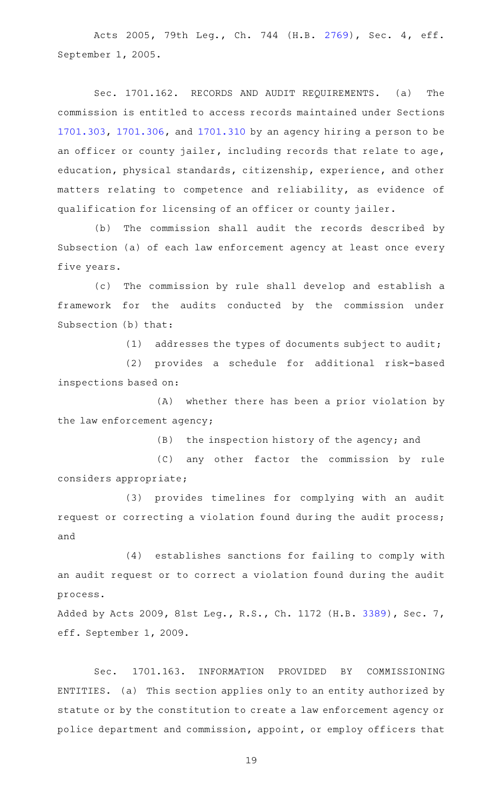Acts 2005, 79th Leg., Ch. 744 (H.B. [2769](http://www.legis.state.tx.us/tlodocs/79R/billtext/html/HB02769F.HTM)), Sec. 4, eff. September 1, 2005.

Sec. 1701.162. RECORDS AND AUDIT REQUIREMENTS. (a) The commission is entitled to access records maintained under Sections [1701.303](http://www.statutes.legis.state.tx.us/GetStatute.aspx?Code=OC&Value=1701.303), [1701.306](http://www.statutes.legis.state.tx.us/GetStatute.aspx?Code=OC&Value=1701.306), and [1701.310](http://www.statutes.legis.state.tx.us/GetStatute.aspx?Code=OC&Value=1701.310) by an agency hiring a person to be an officer or county jailer, including records that relate to age, education, physical standards, citizenship, experience, and other matters relating to competence and reliability, as evidence of qualification for licensing of an officer or county jailer.

(b) The commission shall audit the records described by Subsection (a) of each law enforcement agency at least once every five years.

(c) The commission by rule shall develop and establish a framework for the audits conducted by the commission under Subsection (b) that:

(1) addresses the types of documents subject to audit;

(2) provides a schedule for additional risk-based inspections based on:

 $(A)$  whether there has been a prior violation by the law enforcement agency;

(B) the inspection history of the agency; and

(C) any other factor the commission by rule considers appropriate;

(3) provides timelines for complying with an audit request or correcting a violation found during the audit process; and

(4) establishes sanctions for failing to comply with an audit request or to correct a violation found during the audit process.

Added by Acts 2009, 81st Leg., R.S., Ch. 1172 (H.B. [3389\)](http://www.legis.state.tx.us/tlodocs/81R/billtext/html/HB03389F.HTM), Sec. 7, eff. September 1, 2009.

Sec. 1701.163. INFORMATION PROVIDED BY COMMISSIONING ENTITIES. (a) This section applies only to an entity authorized by statute or by the constitution to create a law enforcement agency or police department and commission, appoint, or employ officers that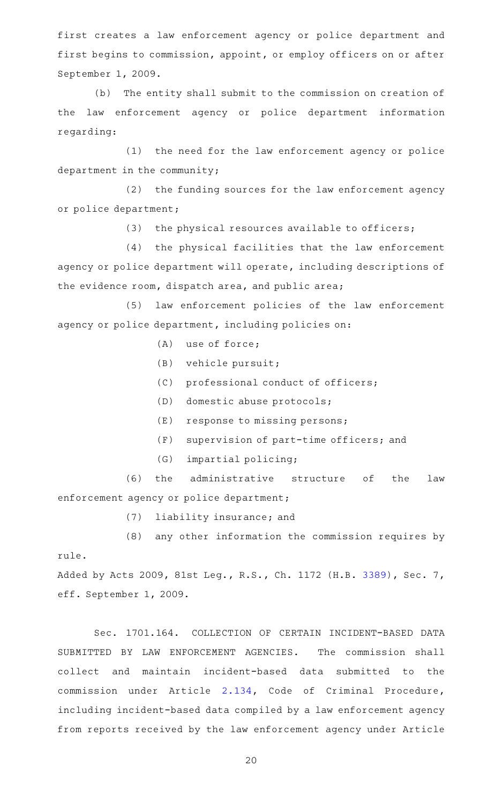first creates a law enforcement agency or police department and first begins to commission, appoint, or employ officers on or after September 1, 2009.

(b) The entity shall submit to the commission on creation of the law enforcement agency or police department information regarding:

(1) the need for the law enforcement agency or police department in the community;

 $(2)$  the funding sources for the law enforcement agency or police department;

 $(3)$  the physical resources available to officers;

(4) the physical facilities that the law enforcement agency or police department will operate, including descriptions of the evidence room, dispatch area, and public area;

(5) law enforcement policies of the law enforcement agency or police department, including policies on:

- $(A)$  use of force;
- $(B)$  vehicle pursuit;
- (C) professional conduct of officers;
- (D) domestic abuse protocols;
- $(E)$  response to missing persons;
- $(F)$  supervision of part-time officers; and
- (G) impartial policing;

(6) the administrative structure of the law enforcement agency or police department;

(7) liability insurance; and

 $(8)$  any other information the commission requires by rule.

Added by Acts 2009, 81st Leg., R.S., Ch. 1172 (H.B. [3389\)](http://www.legis.state.tx.us/tlodocs/81R/billtext/html/HB03389F.HTM), Sec. 7, eff. September 1, 2009.

Sec. 1701.164. COLLECTION OF CERTAIN INCIDENT-BASED DATA SUBMITTED BY LAW ENFORCEMENT AGENCIES. The commission shall collect and maintain incident-based data submitted to the commission under Article [2.134,](http://www.statutes.legis.state.tx.us/GetStatute.aspx?Code=CR&Value=2.134) Code of Criminal Procedure, including incident-based data compiled by a law enforcement agency from reports received by the law enforcement agency under Article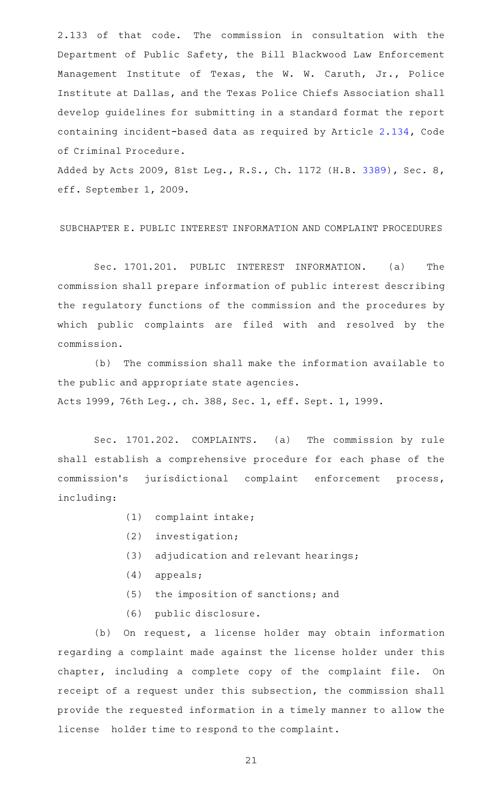2.133 of that code. The commission in consultation with the Department of Public Safety, the Bill Blackwood Law Enforcement Management Institute of Texas, the W. W. Caruth, Jr., Police Institute at Dallas, and the Texas Police Chiefs Association shall develop guidelines for submitting in a standard format the report containing incident-based data as required by Article [2.134](http://www.statutes.legis.state.tx.us/GetStatute.aspx?Code=CR&Value=2.134), Code of Criminal Procedure.

Added by Acts 2009, 81st Leg., R.S., Ch. 1172 (H.B. [3389\)](http://www.legis.state.tx.us/tlodocs/81R/billtext/html/HB03389F.HTM), Sec. 8, eff. September 1, 2009.

SUBCHAPTER E. PUBLIC INTEREST INFORMATION AND COMPLAINT PROCEDURES

Sec. 1701.201. PUBLIC INTEREST INFORMATION. (a) The commission shall prepare information of public interest describing the regulatory functions of the commission and the procedures by which public complaints are filed with and resolved by the commission.

(b) The commission shall make the information available to the public and appropriate state agencies. Acts 1999, 76th Leg., ch. 388, Sec. 1, eff. Sept. 1, 1999.

Sec. 1701.202. COMPLAINTS. (a) The commission by rule shall establish a comprehensive procedure for each phase of the commission's jurisdictional complaint enforcement process, including:

- (1) complaint intake;
- $(2)$  investigation;
- (3) adjudication and relevant hearings;
- $(4)$  appeals;
- $(5)$  the imposition of sanctions; and
- (6) public disclosure.

(b) On request, a license holder may obtain information regarding a complaint made against the license holder under this chapter, including a complete copy of the complaint file. On receipt of a request under this subsection, the commission shall provide the requested information in a timely manner to allow the license holder time to respond to the complaint.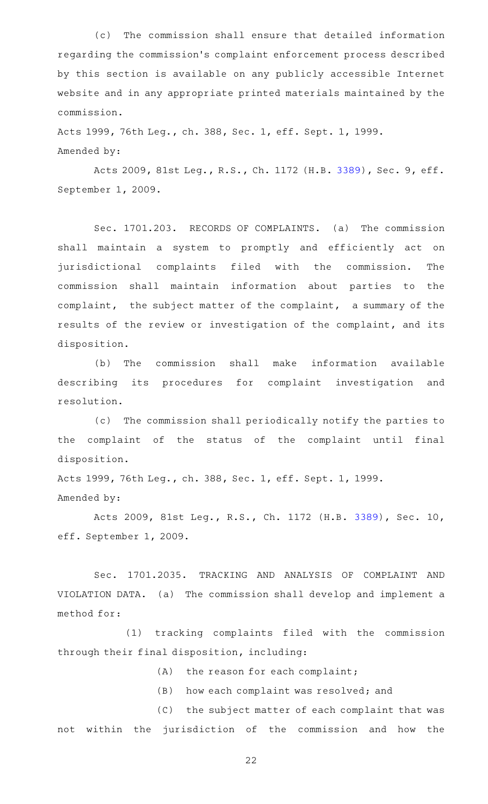(c) The commission shall ensure that detailed information regarding the commission 's complaint enforcement process described by this section is available on any publicly accessible Internet website and in any appropriate printed materials maintained by the commission.

Acts 1999, 76th Leg., ch. 388, Sec. 1, eff. Sept. 1, 1999. Amended by:

Acts 2009, 81st Leg., R.S., Ch. 1172 (H.B. [3389](http://www.legis.state.tx.us/tlodocs/81R/billtext/html/HB03389F.HTM)), Sec. 9, eff. September 1, 2009.

Sec. 1701.203. RECORDS OF COMPLAINTS. (a) The commission shall maintain a system to promptly and efficiently act on jurisdictional complaints filed with the commission. The commission shall maintain information about parties to the complaint, the subject matter of the complaint, a summary of the results of the review or investigation of the complaint, and its disposition.

(b) The commission shall make information available describing its procedures for complaint investigation and resolution.

(c) The commission shall periodically notify the parties to the complaint of the status of the complaint until final disposition.

Acts 1999, 76th Leg., ch. 388, Sec. 1, eff. Sept. 1, 1999. Amended by:

Acts 2009, 81st Leg., R.S., Ch. 1172 (H.B. [3389](http://www.legis.state.tx.us/tlodocs/81R/billtext/html/HB03389F.HTM)), Sec. 10, eff. September 1, 2009.

Sec. 1701.2035. TRACKING AND ANALYSIS OF COMPLAINT AND VIOLATION DATA. (a) The commission shall develop and implement a method for:

(1) tracking complaints filed with the commission through their final disposition, including:

 $(A)$  the reason for each complaint;

 $(B)$  how each complaint was resolved; and

(C) the subject matter of each complaint that was not within the jurisdiction of the commission and how the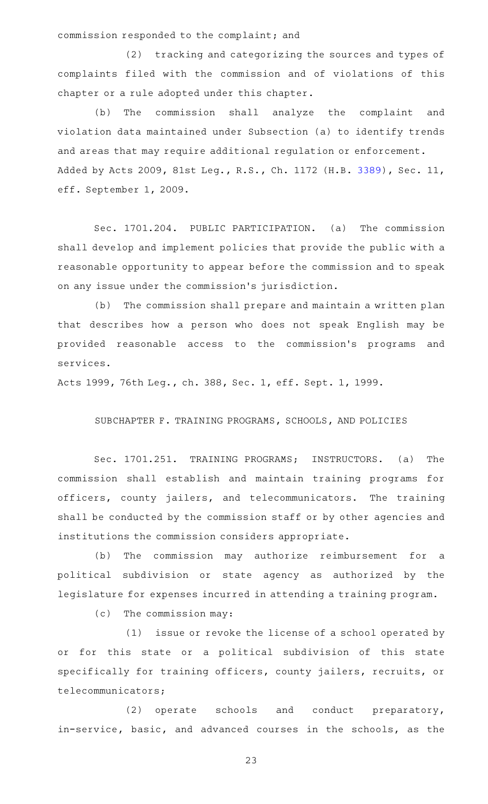commission responded to the complaint; and

(2) tracking and categorizing the sources and types of complaints filed with the commission and of violations of this chapter or a rule adopted under this chapter.

(b) The commission shall analyze the complaint and violation data maintained under Subsection (a) to identify trends and areas that may require additional regulation or enforcement. Added by Acts 2009, 81st Leg., R.S., Ch. 1172 (H.B. [3389](http://www.legis.state.tx.us/tlodocs/81R/billtext/html/HB03389F.HTM)), Sec. 11, eff. September 1, 2009.

Sec. 1701.204. PUBLIC PARTICIPATION. (a) The commission shall develop and implement policies that provide the public with a reasonable opportunity to appear before the commission and to speak on any issue under the commission 's jurisdiction.

(b) The commission shall prepare and maintain a written plan that describes how a person who does not speak English may be provided reasonable access to the commission 's programs and services.

Acts 1999, 76th Leg., ch. 388, Sec. 1, eff. Sept. 1, 1999.

SUBCHAPTER F. TRAINING PROGRAMS, SCHOOLS, AND POLICIES

Sec. 1701.251. TRAINING PROGRAMS; INSTRUCTORS. (a) The commission shall establish and maintain training programs for officers, county jailers, and telecommunicators. The training shall be conducted by the commission staff or by other agencies and institutions the commission considers appropriate.

(b) The commission may authorize reimbursement for a political subdivision or state agency as authorized by the legislature for expenses incurred in attending a training program.

 $(c)$  The commission may:

(1) issue or revoke the license of a school operated by or for this state or a political subdivision of this state specifically for training officers, county jailers, recruits, or telecommunicators;

(2) operate schools and conduct preparatory, in-service, basic, and advanced courses in the schools, as the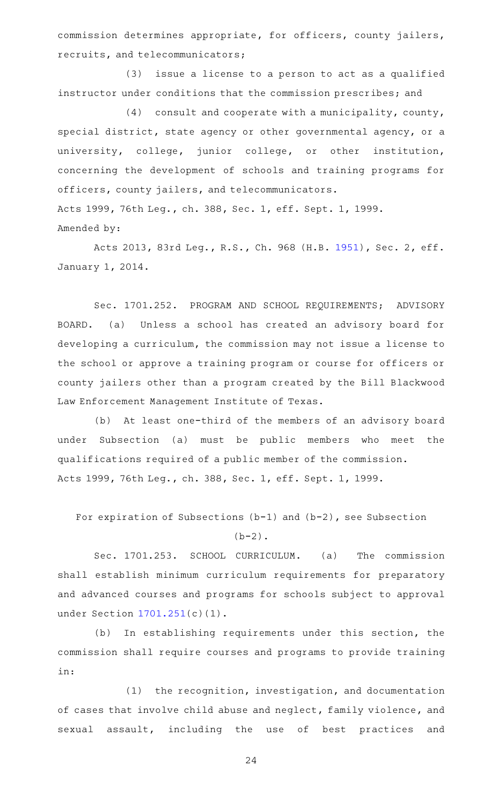commission determines appropriate, for officers, county jailers, recruits, and telecommunicators;

(3) issue a license to a person to act as a qualified instructor under conditions that the commission prescribes; and

 $(4)$  consult and cooperate with a municipality, county, special district, state agency or other governmental agency, or a university, college, junior college, or other institution, concerning the development of schools and training programs for officers, county jailers, and telecommunicators. Acts 1999, 76th Leg., ch. 388, Sec. 1, eff. Sept. 1, 1999. Amended by:

Acts 2013, 83rd Leg., R.S., Ch. 968 (H.B. [1951](http://www.legis.state.tx.us/tlodocs/83R/billtext/html/HB01951F.HTM)), Sec. 2, eff. January 1, 2014.

Sec. 1701.252. PROGRAM AND SCHOOL REQUIREMENTS; ADVISORY BOARD. (a) Unless a school has created an advisory board for developing a curriculum, the commission may not issue a license to the school or approve a training program or course for officers or county jailers other than a program created by the Bill Blackwood Law Enforcement Management Institute of Texas.

(b) At least one-third of the members of an advisory board under Subsection (a) must be public members who meet the qualifications required of a public member of the commission. Acts 1999, 76th Leg., ch. 388, Sec. 1, eff. Sept. 1, 1999.

For expiration of Subsections (b-1) and (b-2), see Subsection

 $(b-2)$ .

Sec. 1701.253. SCHOOL CURRICULUM. (a) The commission shall establish minimum curriculum requirements for preparatory and advanced courses and programs for schools subject to approval under Section [1701.251](http://www.statutes.legis.state.tx.us/GetStatute.aspx?Code=OC&Value=1701.251)(c)(1).

(b) In establishing requirements under this section, the commission shall require courses and programs to provide training in:

 $(1)$  the recognition, investigation, and documentation of cases that involve child abuse and neglect, family violence, and sexual assault, including the use of best practices and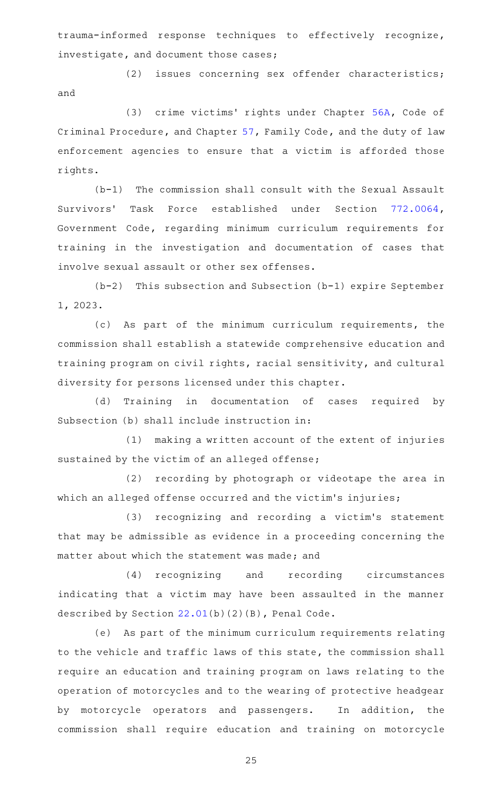trauma-informed response techniques to effectively recognize, investigate, and document those cases;

(2) issues concerning sex offender characteristics; and

(3) crime victims' rights under Chapter [56A](http://www.statutes.legis.state.tx.us/GetStatute.aspx?Code=CR&Value=56A), Code of Criminal Procedure, and Chapter [57,](http://www.statutes.legis.state.tx.us/GetStatute.aspx?Code=FA&Value=57) Family Code, and the duty of law enforcement agencies to ensure that a victim is afforded those rights.

 $(b-1)$  The commission shall consult with the Sexual Assault Survivors' Task Force established under Section [772.0064](http://www.statutes.legis.state.tx.us/GetStatute.aspx?Code=GV&Value=772.0064), Government Code, regarding minimum curriculum requirements for training in the investigation and documentation of cases that involve sexual assault or other sex offenses.

 $(b-2)$  This subsection and Subsection (b-1) expire September 1, 2023.

(c) As part of the minimum curriculum requirements, the commission shall establish a statewide comprehensive education and training program on civil rights, racial sensitivity, and cultural diversity for persons licensed under this chapter.

(d) Training in documentation of cases required by Subsection (b) shall include instruction in:

 $(1)$  making a written account of the extent of injuries sustained by the victim of an alleged offense;

(2) recording by photograph or videotape the area in which an alleged offense occurred and the victim's injuries;

(3) recognizing and recording a victim's statement that may be admissible as evidence in a proceeding concerning the matter about which the statement was made; and

(4) recognizing and recording circumstances indicating that a victim may have been assaulted in the manner described by Section [22.01\(](http://www.statutes.legis.state.tx.us/GetStatute.aspx?Code=PE&Value=22.01)b)(2)(B), Penal Code.

(e) As part of the minimum curriculum requirements relating to the vehicle and traffic laws of this state, the commission shall require an education and training program on laws relating to the operation of motorcycles and to the wearing of protective headgear by motorcycle operators and passengers. In addition, the commission shall require education and training on motorcycle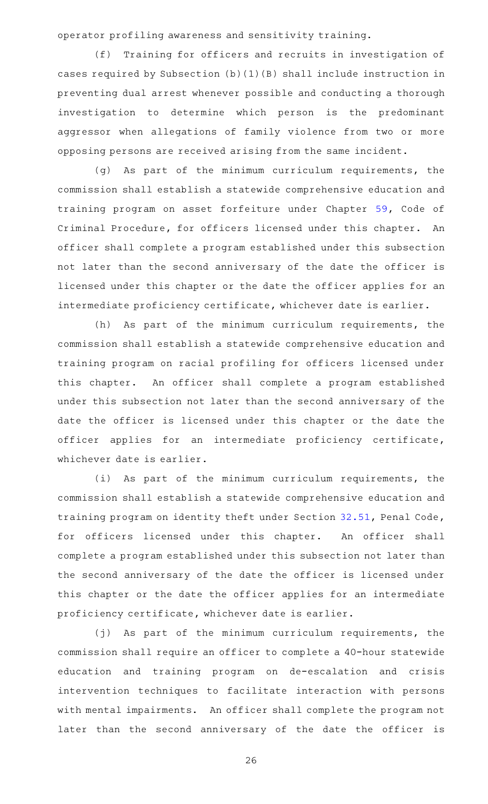operator profiling awareness and sensitivity training.

(f) Training for officers and recruits in investigation of cases required by Subsection (b)(1)(B) shall include instruction in preventing dual arrest whenever possible and conducting a thorough investigation to determine which person is the predominant aggressor when allegations of family violence from two or more opposing persons are received arising from the same incident.

(g) As part of the minimum curriculum requirements, the commission shall establish a statewide comprehensive education and training program on asset forfeiture under Chapter [59](http://www.statutes.legis.state.tx.us/GetStatute.aspx?Code=CR&Value=59), Code of Criminal Procedure, for officers licensed under this chapter. An officer shall complete a program established under this subsection not later than the second anniversary of the date the officer is licensed under this chapter or the date the officer applies for an intermediate proficiency certificate, whichever date is earlier.

(h) As part of the minimum curriculum requirements, the commission shall establish a statewide comprehensive education and training program on racial profiling for officers licensed under this chapter. An officer shall complete a program established under this subsection not later than the second anniversary of the date the officer is licensed under this chapter or the date the officer applies for an intermediate proficiency certificate, whichever date is earlier.

(i) As part of the minimum curriculum requirements, the commission shall establish a statewide comprehensive education and training program on identity theft under Section [32.51](http://www.statutes.legis.state.tx.us/GetStatute.aspx?Code=PE&Value=32.51), Penal Code, for officers licensed under this chapter. An officer shall complete a program established under this subsection not later than the second anniversary of the date the officer is licensed under this chapter or the date the officer applies for an intermediate proficiency certificate, whichever date is earlier.

(j) As part of the minimum curriculum requirements, the commission shall require an officer to complete a 40-hour statewide education and training program on de-escalation and crisis intervention techniques to facilitate interaction with persons with mental impairments. An officer shall complete the program not later than the second anniversary of the date the officer is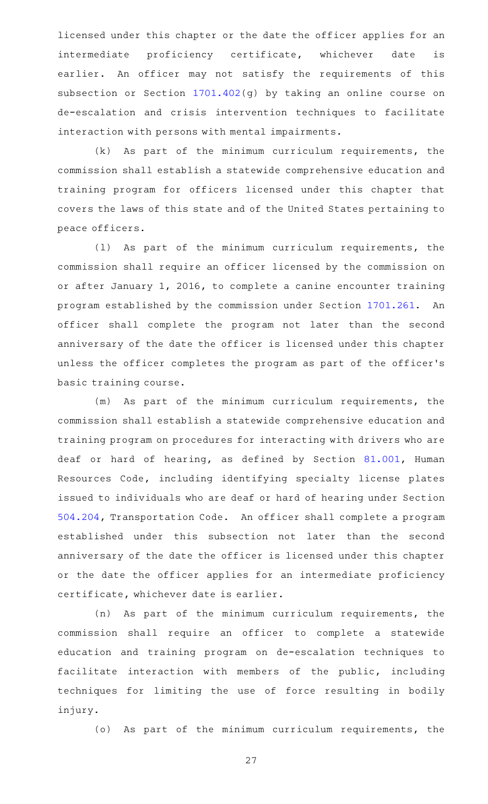licensed under this chapter or the date the officer applies for an intermediate proficiency certificate, whichever date is earlier. An officer may not satisfy the requirements of this subsection or Section [1701.402\(](http://www.statutes.legis.state.tx.us/GetStatute.aspx?Code=OC&Value=1701.402)g) by taking an online course on de-escalation and crisis intervention techniques to facilitate interaction with persons with mental impairments.

 $(k)$  As part of the minimum curriculum requirements, the commission shall establish a statewide comprehensive education and training program for officers licensed under this chapter that covers the laws of this state and of the United States pertaining to peace officers.

(1) As part of the minimum curriculum requirements, the commission shall require an officer licensed by the commission on or after January 1, 2016, to complete a canine encounter training program established by the commission under Section [1701.261](http://www.statutes.legis.state.tx.us/GetStatute.aspx?Code=OC&Value=1701.261). An officer shall complete the program not later than the second anniversary of the date the officer is licensed under this chapter unless the officer completes the program as part of the officer 's basic training course.

(m) As part of the minimum curriculum requirements, the commission shall establish a statewide comprehensive education and training program on procedures for interacting with drivers who are deaf or hard of hearing, as defined by Section [81.001,](http://www.statutes.legis.state.tx.us/GetStatute.aspx?Code=HR&Value=81.001) Human Resources Code, including identifying specialty license plates issued to individuals who are deaf or hard of hearing under Section [504.204,](http://www.statutes.legis.state.tx.us/GetStatute.aspx?Code=TN&Value=504.204) Transportation Code. An officer shall complete a program established under this subsection not later than the second anniversary of the date the officer is licensed under this chapter or the date the officer applies for an intermediate proficiency certificate, whichever date is earlier.

(n) As part of the minimum curriculum requirements, the commission shall require an officer to complete a statewide education and training program on de-escalation techniques to facilitate interaction with members of the public, including techniques for limiting the use of force resulting in bodily injury.

(o) As part of the minimum curriculum requirements, the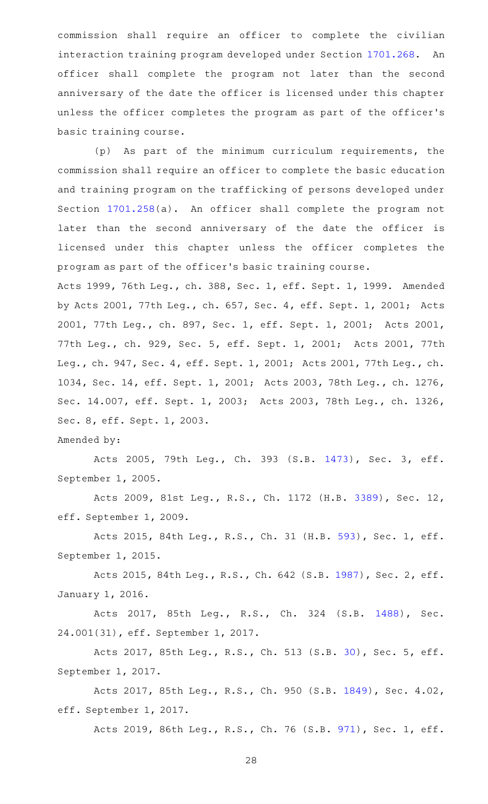commission shall require an officer to complete the civilian interaction training program developed under Section [1701.268](http://www.statutes.legis.state.tx.us/GetStatute.aspx?Code=OC&Value=1701.268). An officer shall complete the program not later than the second anniversary of the date the officer is licensed under this chapter unless the officer completes the program as part of the officer 's basic training course.

(p) As part of the minimum curriculum requirements, the commission shall require an officer to complete the basic education and training program on the trafficking of persons developed under Section [1701.258](http://www.statutes.legis.state.tx.us/GetStatute.aspx?Code=OC&Value=1701.258)(a). An officer shall complete the program not later than the second anniversary of the date the officer is licensed under this chapter unless the officer completes the program as part of the officer 's basic training course. Acts 1999, 76th Leg., ch. 388, Sec. 1, eff. Sept. 1, 1999. Amended by Acts 2001, 77th Leg., ch. 657, Sec. 4, eff. Sept. 1, 2001; Acts 2001, 77th Leg., ch. 897, Sec. 1, eff. Sept. 1, 2001; Acts 2001, 77th Leg., ch. 929, Sec. 5, eff. Sept. 1, 2001; Acts 2001, 77th

Leg., ch. 947, Sec. 4, eff. Sept. 1, 2001; Acts 2001, 77th Leg., ch. 1034, Sec. 14, eff. Sept. 1, 2001; Acts 2003, 78th Leg., ch. 1276, Sec. 14.007, eff. Sept. 1, 2003; Acts 2003, 78th Leg., ch. 1326, Sec. 8, eff. Sept. 1, 2003.

Amended by:

Acts 2005, 79th Leg., Ch. 393 (S.B. [1473](http://www.legis.state.tx.us/tlodocs/79R/billtext/html/SB01473F.HTM)), Sec. 3, eff. September 1, 2005.

Acts 2009, 81st Leg., R.S., Ch. 1172 (H.B. [3389](http://www.legis.state.tx.us/tlodocs/81R/billtext/html/HB03389F.HTM)), Sec. 12, eff. September 1, 2009.

Acts 2015, 84th Leg., R.S., Ch. 31 (H.B. [593](http://www.legis.state.tx.us/tlodocs/84R/billtext/html/HB00593F.HTM)), Sec. 1, eff. September 1, 2015.

Acts 2015, 84th Leg., R.S., Ch. 642 (S.B. [1987](http://www.legis.state.tx.us/tlodocs/84R/billtext/html/SB01987F.HTM)), Sec. 2, eff. January 1, 2016.

Acts 2017, 85th Leg., R.S., Ch. 324 (S.B. [1488\)](http://www.legis.state.tx.us/tlodocs/85R/billtext/html/SB01488F.HTM), Sec. 24.001(31), eff. September 1, 2017.

Acts 2017, 85th Leg., R.S., Ch. 513 (S.B. [30](http://www.legis.state.tx.us/tlodocs/85R/billtext/html/SB00030F.HTM)), Sec. 5, eff. September 1, 2017.

Acts 2017, 85th Leg., R.S., Ch. 950 (S.B. [1849\)](http://www.legis.state.tx.us/tlodocs/85R/billtext/html/SB01849F.HTM), Sec. 4.02, eff. September 1, 2017.

Acts 2019, 86th Leg., R.S., Ch. 76 (S.B. [971](http://www.legis.state.tx.us/tlodocs/86R/billtext/html/SB00971F.HTM)), Sec. 1, eff.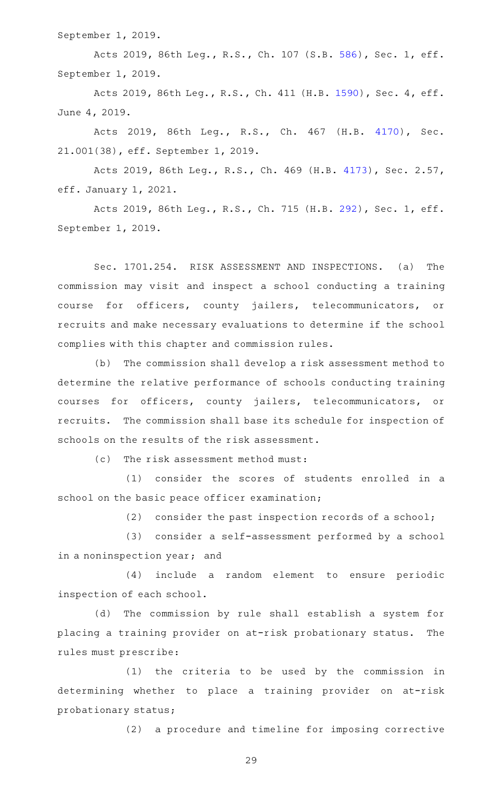September 1, 2019.

Acts 2019, 86th Leg., R.S., Ch. 107 (S.B. [586](http://www.legis.state.tx.us/tlodocs/86R/billtext/html/SB00586F.HTM)), Sec. 1, eff. September 1, 2019.

Acts 2019, 86th Leg., R.S., Ch. 411 (H.B. [1590](http://www.legis.state.tx.us/tlodocs/86R/billtext/html/HB01590F.HTM)), Sec. 4, eff. June 4, 2019.

Acts 2019, 86th Leg., R.S., Ch. 467 (H.B. [4170\)](http://www.legis.state.tx.us/tlodocs/86R/billtext/html/HB04170F.HTM), Sec. 21.001(38), eff. September 1, 2019.

Acts 2019, 86th Leg., R.S., Ch. 469 (H.B. [4173\)](http://www.legis.state.tx.us/tlodocs/86R/billtext/html/HB04173F.HTM), Sec. 2.57, eff. January 1, 2021.

Acts 2019, 86th Leg., R.S., Ch. 715 (H.B. [292](http://www.legis.state.tx.us/tlodocs/86R/billtext/html/HB00292F.HTM)), Sec. 1, eff. September 1, 2019.

Sec. 1701.254. RISK ASSESSMENT AND INSPECTIONS. (a) The commission may visit and inspect a school conducting a training course for officers, county jailers, telecommunicators, or recruits and make necessary evaluations to determine if the school complies with this chapter and commission rules.

(b) The commission shall develop a risk assessment method to determine the relative performance of schools conducting training courses for officers, county jailers, telecommunicators, or recruits. The commission shall base its schedule for inspection of schools on the results of the risk assessment.

(c) The risk assessment method must:

(1) consider the scores of students enrolled in a school on the basic peace officer examination;

(2) consider the past inspection records of a school;

(3) consider a self-assessment performed by a school in a noninspection year; and

(4) include a random element to ensure periodic inspection of each school.

(d) The commission by rule shall establish a system for placing a training provider on at-risk probationary status. The rules must prescribe:

 $(1)$  the criteria to be used by the commission in determining whether to place a training provider on at-risk probationary status;

(2) a procedure and timeline for imposing corrective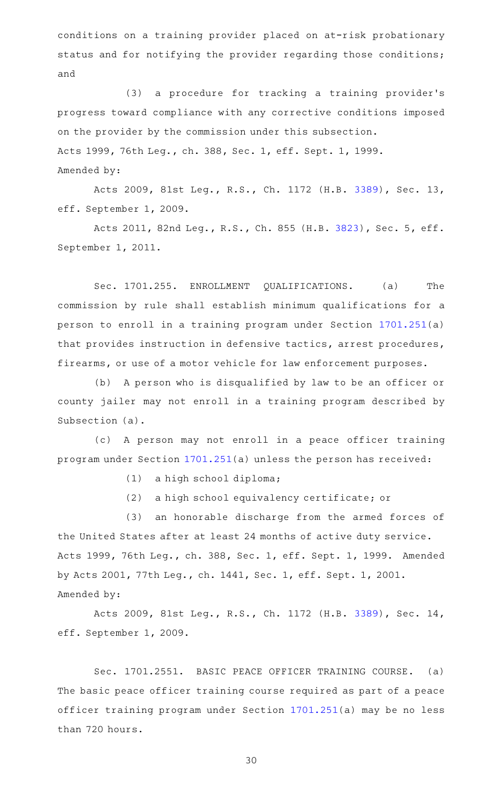conditions on a training provider placed on at-risk probationary status and for notifying the provider regarding those conditions; and

(3) a procedure for tracking a training provider's progress toward compliance with any corrective conditions imposed on the provider by the commission under this subsection. Acts 1999, 76th Leg., ch. 388, Sec. 1, eff. Sept. 1, 1999. Amended by:

Acts 2009, 81st Leg., R.S., Ch. 1172 (H.B. [3389](http://www.legis.state.tx.us/tlodocs/81R/billtext/html/HB03389F.HTM)), Sec. 13, eff. September 1, 2009.

Acts 2011, 82nd Leg., R.S., Ch. 855 (H.B. [3823](http://www.legis.state.tx.us/tlodocs/82R/billtext/html/HB03823F.HTM)), Sec. 5, eff. September 1, 2011.

Sec. 1701.255. ENROLLMENT QUALIFICATIONS. (a) The commission by rule shall establish minimum qualifications for a person to enroll in a training program under Section [1701.251](http://www.statutes.legis.state.tx.us/GetStatute.aspx?Code=OC&Value=1701.251)(a) that provides instruction in defensive tactics, arrest procedures, firearms, or use of a motor vehicle for law enforcement purposes.

(b) A person who is disqualified by law to be an officer or county jailer may not enroll in a training program described by Subsection (a).

(c) A person may not enroll in a peace officer training program under Section [1701.251\(](http://www.statutes.legis.state.tx.us/GetStatute.aspx?Code=OC&Value=1701.251)a) unless the person has received:

 $(1)$  a high school diploma;

(2) a high school equivalency certificate; or

(3) an honorable discharge from the armed forces of the United States after at least 24 months of active duty service. Acts 1999, 76th Leg., ch. 388, Sec. 1, eff. Sept. 1, 1999. Amended by Acts 2001, 77th Leg., ch. 1441, Sec. 1, eff. Sept. 1, 2001. Amended by:

Acts 2009, 81st Leg., R.S., Ch. 1172 (H.B. [3389](http://www.legis.state.tx.us/tlodocs/81R/billtext/html/HB03389F.HTM)), Sec. 14, eff. September 1, 2009.

Sec. 1701.2551. BASIC PEACE OFFICER TRAINING COURSE. (a) The basic peace officer training course required as part of a peace officer training program under Section [1701.251](http://www.statutes.legis.state.tx.us/GetStatute.aspx?Code=OC&Value=1701.251)(a) may be no less than 720 hours.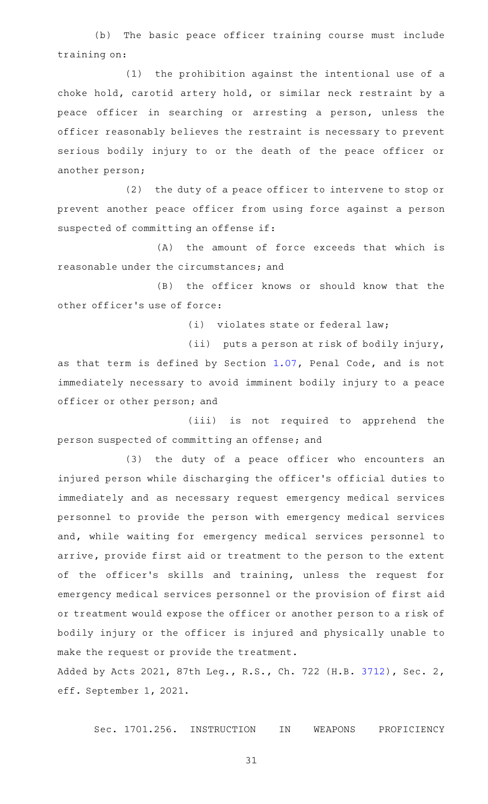(b) The basic peace officer training course must include training on:

(1) the prohibition against the intentional use of a choke hold, carotid artery hold, or similar neck restraint by a peace officer in searching or arresting a person, unless the officer reasonably believes the restraint is necessary to prevent serious bodily injury to or the death of the peace officer or another person;

 $(2)$  the duty of a peace officer to intervene to stop or prevent another peace officer from using force against a person suspected of committing an offense if:

(A) the amount of force exceeds that which is reasonable under the circumstances; and

(B) the officer knows or should know that the other officer 's use of force:

 $(i)$  violates state or federal law;

(ii) puts a person at risk of bodily injury, as that term is defined by Section [1.07](http://www.statutes.legis.state.tx.us/GetStatute.aspx?Code=PE&Value=1.07), Penal Code, and is not immediately necessary to avoid imminent bodily injury to a peace officer or other person; and

(iii) is not required to apprehend the person suspected of committing an offense; and

(3) the duty of a peace officer who encounters an injured person while discharging the officer 's official duties to immediately and as necessary request emergency medical services personnel to provide the person with emergency medical services and, while waiting for emergency medical services personnel to arrive, provide first aid or treatment to the person to the extent of the officer 's skills and training, unless the request for emergency medical services personnel or the provision of first aid or treatment would expose the officer or another person to a risk of bodily injury or the officer is injured and physically unable to make the request or provide the treatment.

Added by Acts 2021, 87th Leg., R.S., Ch. 722 (H.B. [3712](http://www.legis.state.tx.us/tlodocs/87R/billtext/html/HB03712F.HTM)), Sec. 2, eff. September 1, 2021.

Sec. 1701.256. INSTRUCTION IN WEAPONS PROFICIENCY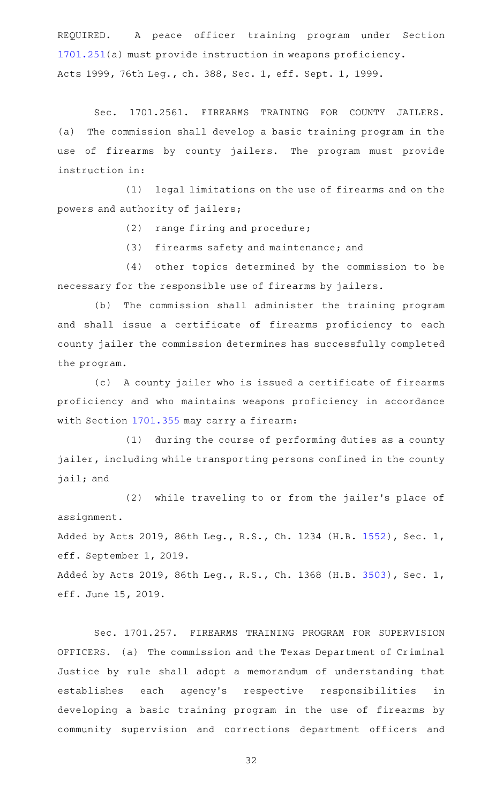REQUIRED. A peace officer training program under Section [1701.251](http://www.statutes.legis.state.tx.us/GetStatute.aspx?Code=OC&Value=1701.251)(a) must provide instruction in weapons proficiency. Acts 1999, 76th Leg., ch. 388, Sec. 1, eff. Sept. 1, 1999.

Sec. 1701.2561. FIREARMS TRAINING FOR COUNTY JAILERS. (a) The commission shall develop a basic training program in the use of firearms by county jailers. The program must provide instruction in:

(1) legal limitations on the use of firearms and on the powers and authority of jailers;

 $(2)$  range firing and procedure;

(3) firearms safety and maintenance; and

(4) other topics determined by the commission to be necessary for the responsible use of firearms by jailers.

(b) The commission shall administer the training program and shall issue a certificate of firearms proficiency to each county jailer the commission determines has successfully completed the program.

(c) A county jailer who is issued a certificate of firearms proficiency and who maintains weapons proficiency in accordance with Section [1701.355](http://www.statutes.legis.state.tx.us/GetStatute.aspx?Code=OC&Value=1701.355) may carry a firearm:

(1) during the course of performing duties as a county jailer, including while transporting persons confined in the county jail; and

(2) while traveling to or from the jailer's place of assignment.

Added by Acts 2019, 86th Leg., R.S., Ch. 1234 (H.B. [1552\)](http://www.legis.state.tx.us/tlodocs/86R/billtext/html/HB01552F.HTM), Sec. 1, eff. September 1, 2019.

Added by Acts 2019, 86th Leg., R.S., Ch. 1368 (H.B. [3503\)](http://www.legis.state.tx.us/tlodocs/86R/billtext/html/HB03503F.HTM), Sec. 1, eff. June 15, 2019.

Sec. 1701.257. FIREARMS TRAINING PROGRAM FOR SUPERVISION OFFICERS. (a) The commission and the Texas Department of Criminal Justice by rule shall adopt a memorandum of understanding that establishes each agency 's respective responsibilities in developing a basic training program in the use of firearms by community supervision and corrections department officers and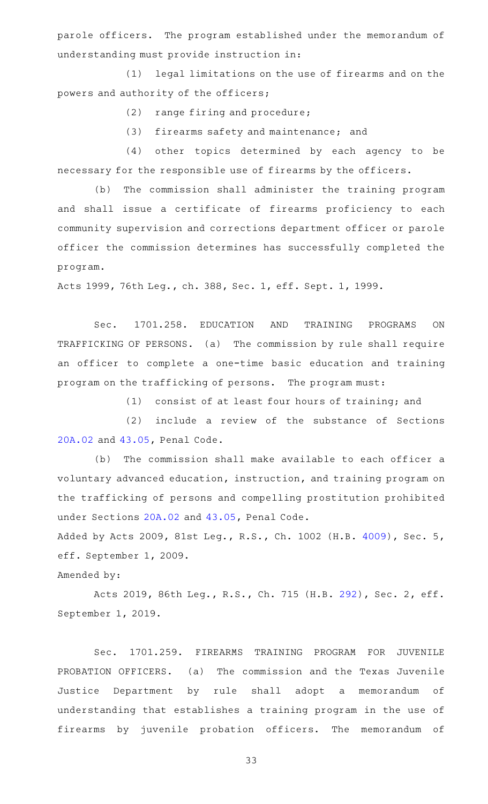parole officers. The program established under the memorandum of understanding must provide instruction in:

(1) legal limitations on the use of firearms and on the powers and authority of the officers;

 $(2)$  range firing and procedure;

(3) firearms safety and maintenance; and

(4) other topics determined by each agency to be necessary for the responsible use of firearms by the officers.

(b) The commission shall administer the training program and shall issue a certificate of firearms proficiency to each community supervision and corrections department officer or parole officer the commission determines has successfully completed the program.

Acts 1999, 76th Leg., ch. 388, Sec. 1, eff. Sept. 1, 1999.

Sec. 1701.258. EDUCATION AND TRAINING PROGRAMS ON TRAFFICKING OF PERSONS. (a) The commission by rule shall require an officer to complete a one-time basic education and training program on the trafficking of persons. The program must:

(1) consist of at least four hours of training; and

(2) include a review of the substance of Sections [20A.02](http://www.statutes.legis.state.tx.us/GetStatute.aspx?Code=PE&Value=20A.02) and [43.05,](http://www.statutes.legis.state.tx.us/GetStatute.aspx?Code=PE&Value=43.05) Penal Code.

(b) The commission shall make available to each officer a voluntary advanced education, instruction, and training program on the trafficking of persons and compelling prostitution prohibited under Sections [20A.02](http://www.statutes.legis.state.tx.us/GetStatute.aspx?Code=PE&Value=20A.02) and [43.05,](http://www.statutes.legis.state.tx.us/GetStatute.aspx?Code=PE&Value=43.05) Penal Code.

Added by Acts 2009, 81st Leg., R.S., Ch. 1002 (H.B. [4009\)](http://www.legis.state.tx.us/tlodocs/81R/billtext/html/HB04009F.HTM), Sec. 5, eff. September 1, 2009.

Amended by:

Acts 2019, 86th Leg., R.S., Ch. 715 (H.B. [292](http://www.legis.state.tx.us/tlodocs/86R/billtext/html/HB00292F.HTM)), Sec. 2, eff. September 1, 2019.

Sec. 1701.259. FIREARMS TRAINING PROGRAM FOR JUVENILE PROBATION OFFICERS. (a) The commission and the Texas Juvenile Justice Department by rule shall adopt a memorandum of understanding that establishes a training program in the use of firearms by juvenile probation officers. The memorandum of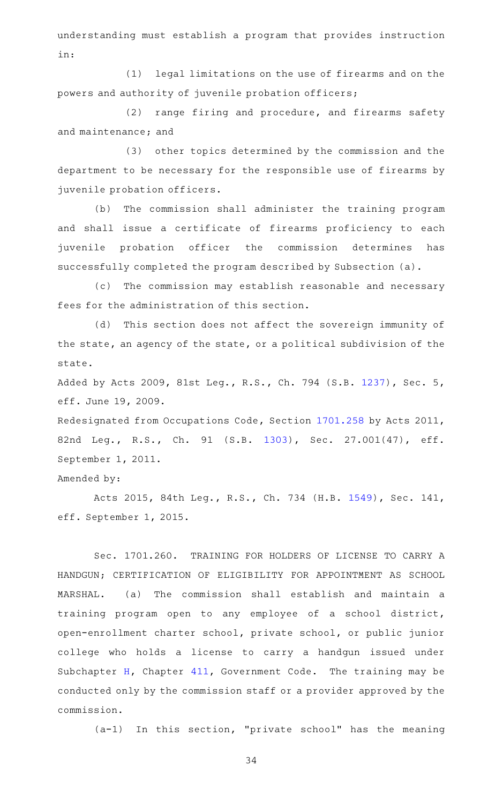understanding must establish a program that provides instruction in:

(1) legal limitations on the use of firearms and on the powers and authority of juvenile probation officers;

 $(2)$  range firing and procedure, and firearms safety and maintenance; and

(3) other topics determined by the commission and the department to be necessary for the responsible use of firearms by juvenile probation officers.

(b) The commission shall administer the training program and shall issue a certificate of firearms proficiency to each juvenile probation officer the commission determines has successfully completed the program described by Subsection (a).

(c) The commission may establish reasonable and necessary fees for the administration of this section.

(d) This section does not affect the sovereign immunity of the state, an agency of the state, or a political subdivision of the state.

Added by Acts 2009, 81st Leg., R.S., Ch. 794 (S.B. [1237](http://www.legis.state.tx.us/tlodocs/81R/billtext/html/SB01237F.HTM)), Sec. 5, eff. June 19, 2009.

Redesignated from Occupations Code, Section [1701.258](http://www.statutes.legis.state.tx.us/GetStatute.aspx?Code=OC&Value=1701.258) by Acts 2011, 82nd Leg., R.S., Ch. 91 (S.B. [1303\)](http://www.legis.state.tx.us/tlodocs/82R/billtext/html/SB01303F.HTM), Sec. 27.001(47), eff. September 1, 2011.

```
Amended by:
```
Acts 2015, 84th Leg., R.S., Ch. 734 (H.B. [1549\)](http://www.legis.state.tx.us/tlodocs/84R/billtext/html/HB01549F.HTM), Sec. 141, eff. September 1, 2015.

Sec. 1701.260. TRAINING FOR HOLDERS OF LICENSE TO CARRY A HANDGUN; CERTIFICATION OF ELIGIBILITY FOR APPOINTMENT AS SCHOOL MARSHAL. (a) The commission shall establish and maintain a training program open to any employee of a school district, open-enrollment charter school, private school, or public junior college who holds a license to carry a handgun issued under Subchapter [H,](http://www.statutes.legis.state.tx.us/GetStatute.aspx?Code=GV&Value=411.171) Chapter  $411$ , Government Code. The training may be conducted only by the commission staff or a provider approved by the commission.

 $(a-1)$  In this section, "private school" has the meaning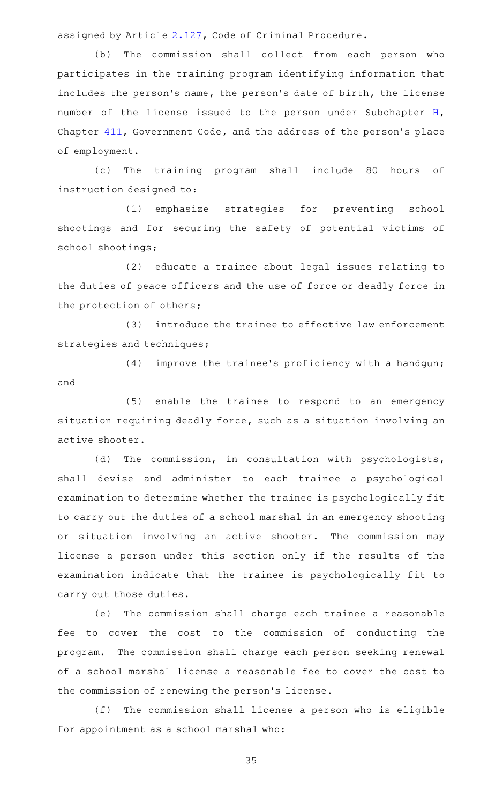assigned by Article [2.127](http://www.statutes.legis.state.tx.us/GetStatute.aspx?Code=CR&Value=2.127), Code of Criminal Procedure.

(b) The commission shall collect from each person who participates in the training program identifying information that includes the person's name, the person's date of birth, the license number of the license issued to the person under Subchapter [H](http://www.statutes.legis.state.tx.us/GetStatute.aspx?Code=GV&Value=411.171), Chapter [411](http://www.statutes.legis.state.tx.us/GetStatute.aspx?Code=GV&Value=411), Government Code, and the address of the person 's place of employment.

(c) The training program shall include 80 hours of instruction designed to:

(1) emphasize strategies for preventing school shootings and for securing the safety of potential victims of school shootings;

(2) educate a trainee about legal issues relating to the duties of peace officers and the use of force or deadly force in the protection of others;

(3) introduce the trainee to effective law enforcement strategies and techniques;

 $(4)$  improve the trainee's proficiency with a handgun; and

 $(5)$  enable the trainee to respond to an emergency situation requiring deadly force, such as a situation involving an active shooter.

(d) The commission, in consultation with psychologists, shall devise and administer to each trainee a psychological examination to determine whether the trainee is psychologically fit to carry out the duties of a school marshal in an emergency shooting or situation involving an active shooter. The commission may license a person under this section only if the results of the examination indicate that the trainee is psychologically fit to carry out those duties.

(e) The commission shall charge each trainee a reasonable fee to cover the cost to the commission of conducting the program. The commission shall charge each person seeking renewal of a school marshal license a reasonable fee to cover the cost to the commission of renewing the person 's license.

(f) The commission shall license a person who is eligible for appointment as a school marshal who: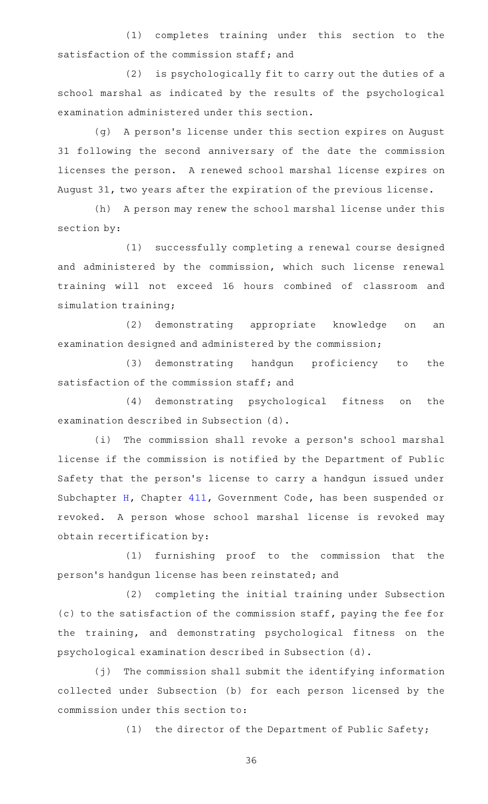(1) completes training under this section to the satisfaction of the commission staff; and

(2) is psychologically fit to carry out the duties of a school marshal as indicated by the results of the psychological examination administered under this section.

(g) A person's license under this section expires on August 31 following the second anniversary of the date the commission licenses the person. A renewed school marshal license expires on August 31, two years after the expiration of the previous license.

(h) A person may renew the school marshal license under this section by:

(1) successfully completing a renewal course designed and administered by the commission, which such license renewal training will not exceed 16 hours combined of classroom and simulation training;

(2) demonstrating appropriate knowledge on an examination designed and administered by the commission;

(3) demonstrating handgun proficiency to the satisfaction of the commission staff; and

(4) demonstrating psychological fitness on the examination described in Subsection (d).

(i) The commission shall revoke a person's school marshal license if the commission is notified by the Department of Public Safety that the person's license to carry a handgun issued under Subchapter [H](http://www.statutes.legis.state.tx.us/GetStatute.aspx?Code=GV&Value=411.171), Chapter [411](http://www.statutes.legis.state.tx.us/GetStatute.aspx?Code=GV&Value=411), Government Code, has been suspended or revoked. A person whose school marshal license is revoked may obtain recertification by:

(1) furnishing proof to the commission that the person 's handgun license has been reinstated; and

(2) completing the initial training under Subsection (c) to the satisfaction of the commission staff, paying the fee for the training, and demonstrating psychological fitness on the psychological examination described in Subsection (d).

(j) The commission shall submit the identifying information collected under Subsection (b) for each person licensed by the commission under this section to:

(1) the director of the Department of Public Safety;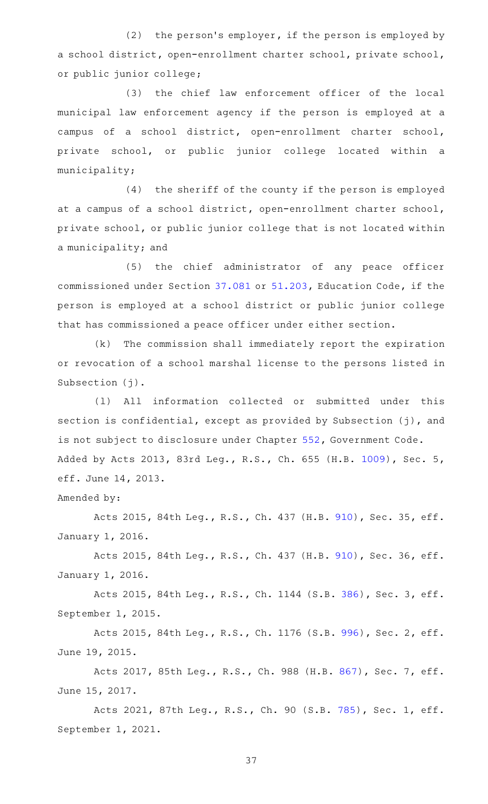$(2)$  the person's employer, if the person is employed by a school district, open-enrollment charter school, private school, or public junior college;

(3) the chief law enforcement officer of the local municipal law enforcement agency if the person is employed at a campus of a school district, open-enrollment charter school, private school, or public junior college located within a municipality;

 $(4)$  the sheriff of the county if the person is employed at a campus of a school district, open-enrollment charter school, private school, or public junior college that is not located within a municipality; and

(5) the chief administrator of any peace officer commissioned under Section [37.081](http://www.statutes.legis.state.tx.us/GetStatute.aspx?Code=ED&Value=37.081) or [51.203,](http://www.statutes.legis.state.tx.us/GetStatute.aspx?Code=ED&Value=51.203) Education Code, if the person is employed at a school district or public junior college that has commissioned a peace officer under either section.

 $(k)$  The commission shall immediately report the expiration or revocation of a school marshal license to the persons listed in Subsection (j).

(1) All information collected or submitted under this section is confidential, except as provided by Subsection (j), and is not subject to disclosure under Chapter [552,](http://www.statutes.legis.state.tx.us/GetStatute.aspx?Code=GV&Value=552) Government Code. Added by Acts 2013, 83rd Leg., R.S., Ch. 655 (H.B. [1009](http://www.legis.state.tx.us/tlodocs/83R/billtext/html/HB01009F.HTM)), Sec. 5, eff. June 14, 2013.

## Amended by:

Acts 2015, 84th Leg., R.S., Ch. 437 (H.B. [910\)](http://www.legis.state.tx.us/tlodocs/84R/billtext/html/HB00910F.HTM), Sec. 35, eff. January 1, 2016.

Acts 2015, 84th Leg., R.S., Ch. 437 (H.B. [910\)](http://www.legis.state.tx.us/tlodocs/84R/billtext/html/HB00910F.HTM), Sec. 36, eff. January 1, 2016.

Acts 2015, 84th Leg., R.S., Ch. 1144 (S.B. [386](http://www.legis.state.tx.us/tlodocs/84R/billtext/html/SB00386F.HTM)), Sec. 3, eff. September 1, 2015.

Acts 2015, 84th Leg., R.S., Ch. 1176 (S.B. [996](http://www.legis.state.tx.us/tlodocs/84R/billtext/html/SB00996F.HTM)), Sec. 2, eff. June 19, 2015.

Acts 2017, 85th Leg., R.S., Ch. 988 (H.B. [867](http://www.legis.state.tx.us/tlodocs/85R/billtext/html/HB00867F.HTM)), Sec. 7, eff. June 15, 2017.

Acts 2021, 87th Leg., R.S., Ch. 90 (S.B. [785](http://www.legis.state.tx.us/tlodocs/87R/billtext/html/SB00785F.HTM)), Sec. 1, eff. September 1, 2021.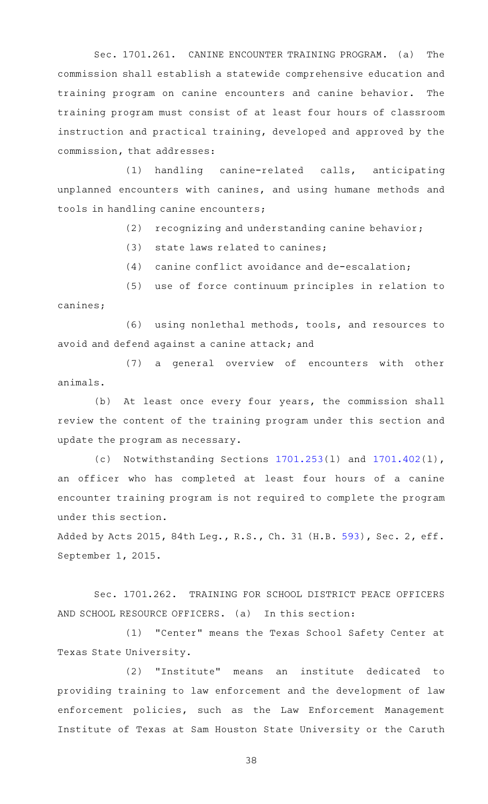Sec. 1701.261. CANINE ENCOUNTER TRAINING PROGRAM. (a) The commission shall establish a statewide comprehensive education and training program on canine encounters and canine behavior. The training program must consist of at least four hours of classroom instruction and practical training, developed and approved by the commission, that addresses:

(1) handling canine-related calls, anticipating unplanned encounters with canines, and using humane methods and tools in handling canine encounters;

 $(2)$  recognizing and understanding canine behavior;

 $(3)$  state laws related to canines;

 $(4)$  canine conflict avoidance and de-escalation;

(5) use of force continuum principles in relation to canines;

(6) using nonlethal methods, tools, and resources to avoid and defend against a canine attack; and

(7) a general overview of encounters with other animals.

(b) At least once every four years, the commission shall review the content of the training program under this section and update the program as necessary.

(c) Notwithstanding Sections  $1701.253(1)$  $1701.253(1)$  and  $1701.402(1)$  $1701.402(1)$ , an officer who has completed at least four hours of a canine encounter training program is not required to complete the program under this section.

Added by Acts 2015, 84th Leg., R.S., Ch. 31 (H.B. [593](http://www.legis.state.tx.us/tlodocs/84R/billtext/html/HB00593F.HTM)), Sec. 2, eff. September 1, 2015.

Sec. 1701.262. TRAINING FOR SCHOOL DISTRICT PEACE OFFICERS AND SCHOOL RESOURCE OFFICERS. (a) In this section:

(1) "Center" means the Texas School Safety Center at Texas State University.

(2) "Institute" means an institute dedicated to providing training to law enforcement and the development of law enforcement policies, such as the Law Enforcement Management Institute of Texas at Sam Houston State University or the Caruth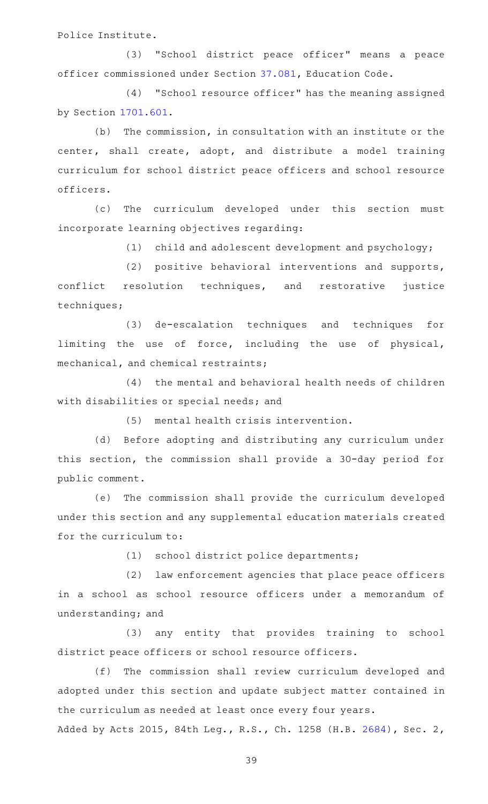Police Institute.

(3) "School district peace officer" means a peace officer commissioned under Section [37.081](http://www.statutes.legis.state.tx.us/GetStatute.aspx?Code=ED&Value=37.081), Education Code.

(4) "School resource officer" has the meaning assigned by Section [1701.601](http://www.statutes.legis.state.tx.us/GetStatute.aspx?Code=OC&Value=1701.601).

 $(b)$  The commission, in consultation with an institute or the center, shall create, adopt, and distribute a model training curriculum for school district peace officers and school resource officers.

(c) The curriculum developed under this section must incorporate learning objectives regarding:

(1) child and adolescent development and psychology;

(2) positive behavioral interventions and supports, conflict resolution techniques, and restorative justice techniques;

(3) de-escalation techniques and techniques for limiting the use of force, including the use of physical, mechanical, and chemical restraints;

(4) the mental and behavioral health needs of children with disabilities or special needs; and

(5) mental health crisis intervention.

(d) Before adopting and distributing any curriculum under this section, the commission shall provide a 30-day period for public comment.

(e) The commission shall provide the curriculum developed under this section and any supplemental education materials created for the curriculum to:

(1) school district police departments;

(2) law enforcement agencies that place peace officers in a school as school resource officers under a memorandum of understanding; and

(3) any entity that provides training to school district peace officers or school resource officers.

(f) The commission shall review curriculum developed and adopted under this section and update subject matter contained in the curriculum as needed at least once every four years.

Added by Acts 2015, 84th Leg., R.S., Ch. 1258 (H.B. [2684\)](http://www.legis.state.tx.us/tlodocs/84R/billtext/html/HB02684F.HTM), Sec. 2,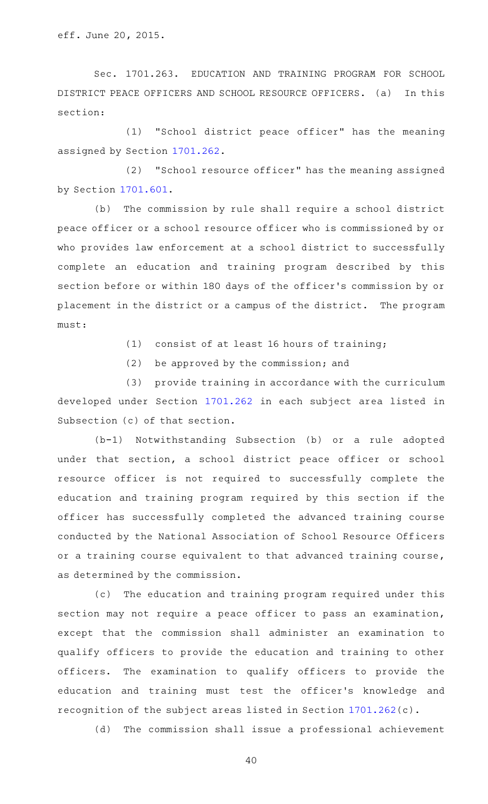Sec. 1701.263. EDUCATION AND TRAINING PROGRAM FOR SCHOOL DISTRICT PEACE OFFICERS AND SCHOOL RESOURCE OFFICERS. (a) In this section:

(1) "School district peace officer" has the meaning assigned by Section [1701.262.](http://www.statutes.legis.state.tx.us/GetStatute.aspx?Code=OC&Value=1701.262)

(2) "School resource officer" has the meaning assigned by Section [1701.601](http://www.statutes.legis.state.tx.us/GetStatute.aspx?Code=OC&Value=1701.601).

(b) The commission by rule shall require a school district peace officer or a school resource officer who is commissioned by or who provides law enforcement at a school district to successfully complete an education and training program described by this section before or within 180 days of the officer 's commission by or placement in the district or a campus of the district. The program must:

- $(1)$  consist of at least 16 hours of training;
- $(2)$  be approved by the commission; and

(3) provide training in accordance with the curriculum developed under Section [1701.262](http://www.statutes.legis.state.tx.us/GetStatute.aspx?Code=OC&Value=1701.262) in each subject area listed in Subsection (c) of that section.

 $(b-1)$  Notwithstanding Subsection (b) or a rule adopted under that section, a school district peace officer or school resource officer is not required to successfully complete the education and training program required by this section if the officer has successfully completed the advanced training course conducted by the National Association of School Resource Officers or a training course equivalent to that advanced training course, as determined by the commission.

(c) The education and training program required under this section may not require a peace officer to pass an examination, except that the commission shall administer an examination to qualify officers to provide the education and training to other officers. The examination to qualify officers to provide the education and training must test the officer 's knowledge and recognition of the subject areas listed in Section [1701.262](http://www.statutes.legis.state.tx.us/GetStatute.aspx?Code=OC&Value=1701.262)(c).

(d) The commission shall issue a professional achievement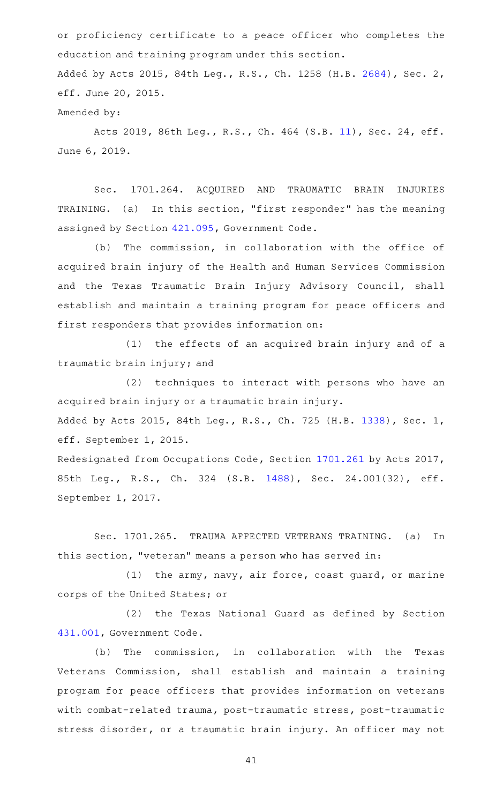or proficiency certificate to a peace officer who completes the education and training program under this section. Added by Acts 2015, 84th Leg., R.S., Ch. 1258 (H.B. [2684\)](http://www.legis.state.tx.us/tlodocs/84R/billtext/html/HB02684F.HTM), Sec. 2, eff. June 20, 2015.

Amended by:

Acts 2019, 86th Leg., R.S., Ch. 464 (S.B. [11\)](http://www.legis.state.tx.us/tlodocs/86R/billtext/html/SB00011F.HTM), Sec. 24, eff. June 6, 2019.

Sec. 1701.264. ACQUIRED AND TRAUMATIC BRAIN INJURIES TRAINING. (a) In this section, "first responder" has the meaning assigned by Section [421.095](http://www.statutes.legis.state.tx.us/GetStatute.aspx?Code=GV&Value=421.095), Government Code.

(b) The commission, in collaboration with the office of acquired brain injury of the Health and Human Services Commission and the Texas Traumatic Brain Injury Advisory Council, shall establish and maintain a training program for peace officers and first responders that provides information on:

(1) the effects of an acquired brain injury and of a traumatic brain injury; and

(2) techniques to interact with persons who have an acquired brain injury or a traumatic brain injury. Added by Acts 2015, 84th Leg., R.S., Ch. 725 (H.B. [1338](http://www.legis.state.tx.us/tlodocs/84R/billtext/html/HB01338F.HTM)), Sec. 1,

eff. September 1, 2015.

Redesignated from Occupations Code, Section [1701.261](http://www.statutes.legis.state.tx.us/GetStatute.aspx?Code=OC&Value=1701.261) by Acts 2017, 85th Leg., R.S., Ch. 324 (S.B. [1488](http://www.legis.state.tx.us/tlodocs/85R/billtext/html/SB01488F.HTM)), Sec. 24.001(32), eff. September 1, 2017.

Sec. 1701.265. TRAUMA AFFECTED VETERANS TRAINING. (a) In this section, "veteran" means a person who has served in:

(1) the army, navy, air force, coast guard, or marine corps of the United States; or

(2) the Texas National Guard as defined by Section [431.001,](http://www.statutes.legis.state.tx.us/GetStatute.aspx?Code=GV&Value=431.001) Government Code.

(b) The commission, in collaboration with the Texas Veterans Commission, shall establish and maintain a training program for peace officers that provides information on veterans with combat-related trauma, post-traumatic stress, post-traumatic stress disorder, or a traumatic brain injury. An officer may not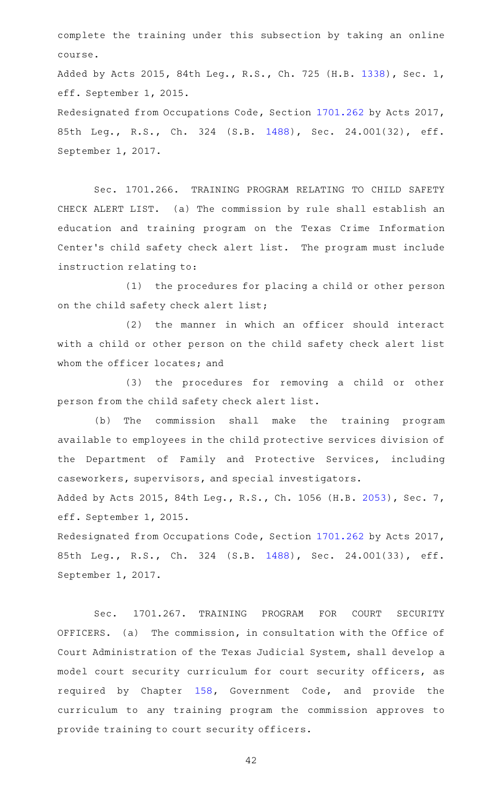complete the training under this subsection by taking an online course.

Added by Acts 2015, 84th Leg., R.S., Ch. 725 (H.B. [1338](http://www.legis.state.tx.us/tlodocs/84R/billtext/html/HB01338F.HTM)), Sec. 1, eff. September 1, 2015.

Redesignated from Occupations Code, Section [1701.262](http://www.statutes.legis.state.tx.us/GetStatute.aspx?Code=OC&Value=1701.262) by Acts 2017, 85th Leg., R.S., Ch. 324 (S.B. [1488](http://www.legis.state.tx.us/tlodocs/85R/billtext/html/SB01488F.HTM)), Sec. 24.001(32), eff. September 1, 2017.

Sec. 1701.266. TRAINING PROGRAM RELATING TO CHILD SAFETY CHECK ALERT LIST. (a) The commission by rule shall establish an education and training program on the Texas Crime Information Center's child safety check alert list. The program must include instruction relating to:

(1) the procedures for placing a child or other person on the child safety check alert list;

(2) the manner in which an officer should interact with a child or other person on the child safety check alert list whom the officer locates; and

(3) the procedures for removing a child or other person from the child safety check alert list.

(b) The commission shall make the training program available to employees in the child protective services division of the Department of Family and Protective Services, including caseworkers, supervisors, and special investigators.

Added by Acts 2015, 84th Leg., R.S., Ch. 1056 (H.B. [2053\)](http://www.legis.state.tx.us/tlodocs/84R/billtext/html/HB02053F.HTM), Sec. 7, eff. September 1, 2015.

Redesignated from Occupations Code, Section [1701.262](http://www.statutes.legis.state.tx.us/GetStatute.aspx?Code=OC&Value=1701.262) by Acts 2017, 85th Leg., R.S., Ch. 324 (S.B. [1488](http://www.legis.state.tx.us/tlodocs/85R/billtext/html/SB01488F.HTM)), Sec. 24.001(33), eff. September 1, 2017.

Sec. 1701.267. TRAINING PROGRAM FOR COURT SECURITY OFFICERS. (a) The commission, in consultation with the Office of Court Administration of the Texas Judicial System, shall develop a model court security curriculum for court security officers, as required by Chapter [158,](http://www.statutes.legis.state.tx.us/GetStatute.aspx?Code=GV&Value=158) Government Code, and provide the curriculum to any training program the commission approves to provide training to court security officers.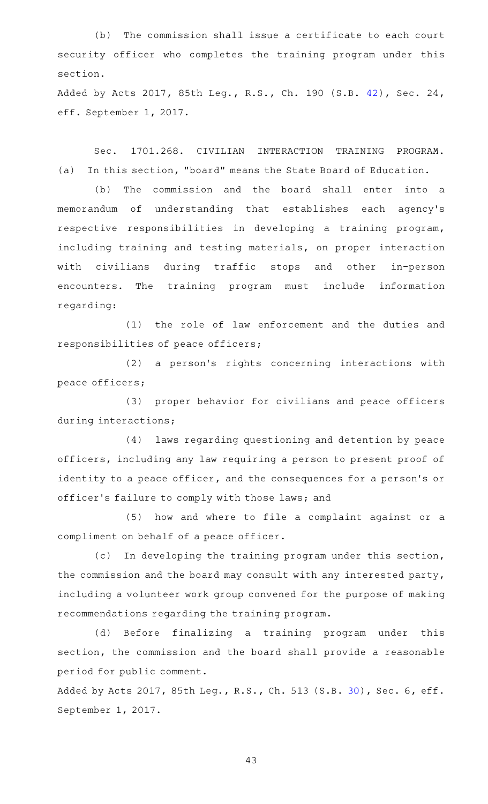(b) The commission shall issue a certificate to each court security officer who completes the training program under this section.

Added by Acts 2017, 85th Leg., R.S., Ch. 190 (S.B. [42](http://www.legis.state.tx.us/tlodocs/85R/billtext/html/SB00042F.HTM)), Sec. 24, eff. September 1, 2017.

Sec. 1701.268. CIVILIAN INTERACTION TRAINING PROGRAM. (a) In this section, "board" means the State Board of Education.

(b) The commission and the board shall enter into a memorandum of understanding that establishes each agency 's respective responsibilities in developing a training program, including training and testing materials, on proper interaction with civilians during traffic stops and other in-person encounters. The training program must include information regarding:

(1) the role of law enforcement and the duties and responsibilities of peace officers;

(2) a person's rights concerning interactions with peace officers;

(3) proper behavior for civilians and peace officers during interactions;

(4) laws regarding questioning and detention by peace officers, including any law requiring a person to present proof of identity to a peace officer, and the consequences for a person's or officer 's failure to comply with those laws; and

(5) how and where to file a complaint against or a compliment on behalf of a peace officer.

(c) In developing the training program under this section, the commission and the board may consult with any interested party, including a volunteer work group convened for the purpose of making recommendations regarding the training program.

(d) Before finalizing a training program under this section, the commission and the board shall provide a reasonable period for public comment.

Added by Acts 2017, 85th Leg., R.S., Ch. 513 (S.B. [30](http://www.legis.state.tx.us/tlodocs/85R/billtext/html/SB00030F.HTM)), Sec. 6, eff. September 1, 2017.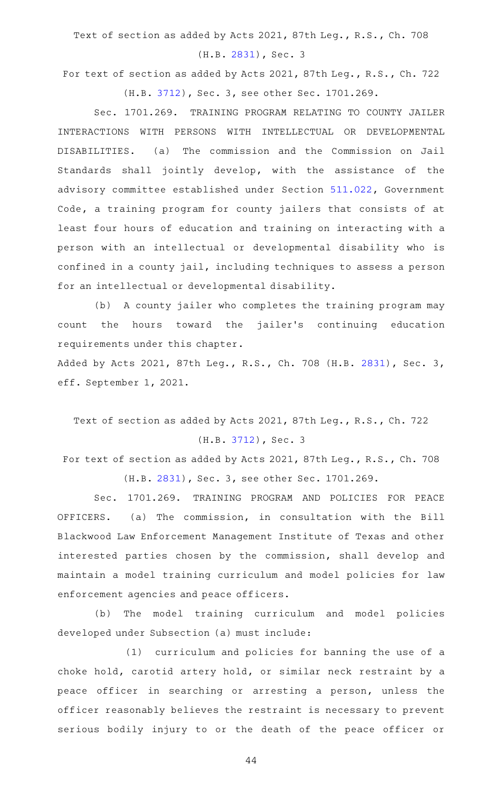Text of section as added by Acts 2021, 87th Leg., R.S., Ch. 708

(H.B. [2831\)](http://www.legis.state.tx.us/tlodocs/87R/billtext/html/HB02831F.HTM), Sec. 3

For text of section as added by Acts 2021, 87th Leg., R.S., Ch. 722 (H.B. [3712\)](http://www.legis.state.tx.us/tlodocs/87R/billtext/html/HB03712F.HTM), Sec. 3, see other Sec. 1701.269.

Sec. 1701.269. TRAINING PROGRAM RELATING TO COUNTY JAILER INTERACTIONS WITH PERSONS WITH INTELLECTUAL OR DEVELOPMENTAL DISABILITIES. (a) The commission and the Commission on Jail Standards shall jointly develop, with the assistance of the advisory committee established under Section [511.022,](http://www.statutes.legis.state.tx.us/GetStatute.aspx?Code=GV&Value=511.022) Government Code, a training program for county jailers that consists of at least four hours of education and training on interacting with a person with an intellectual or developmental disability who is confined in a county jail, including techniques to assess a person for an intellectual or developmental disability.

(b) A county jailer who completes the training program may count the hours toward the jailer 's continuing education requirements under this chapter.

Added by Acts 2021, 87th Leg., R.S., Ch. 708 (H.B. [2831](http://www.legis.state.tx.us/tlodocs/87R/billtext/html/HB02831F.HTM)), Sec. 3, eff. September 1, 2021.

Text of section as added by Acts 2021, 87th Leg., R.S., Ch. 722 (H.B. [3712](http://www.legis.state.tx.us/tlodocs/87R/billtext/html/HB03712F.HTM)), Sec. 3

For text of section as added by Acts 2021, 87th Leg., R.S., Ch. 708 (H.B. [2831\)](http://www.legis.state.tx.us/tlodocs/87R/billtext/html/HB02831F.HTM), Sec. 3, see other Sec. 1701.269.

Sec. 1701.269. TRAINING PROGRAM AND POLICIES FOR PEACE OFFICERS. (a) The commission, in consultation with the Bill Blackwood Law Enforcement Management Institute of Texas and other interested parties chosen by the commission, shall develop and maintain a model training curriculum and model policies for law enforcement agencies and peace officers.

(b) The model training curriculum and model policies developed under Subsection (a) must include:

(1) curriculum and policies for banning the use of a choke hold, carotid artery hold, or similar neck restraint by a peace officer in searching or arresting a person, unless the officer reasonably believes the restraint is necessary to prevent serious bodily injury to or the death of the peace officer or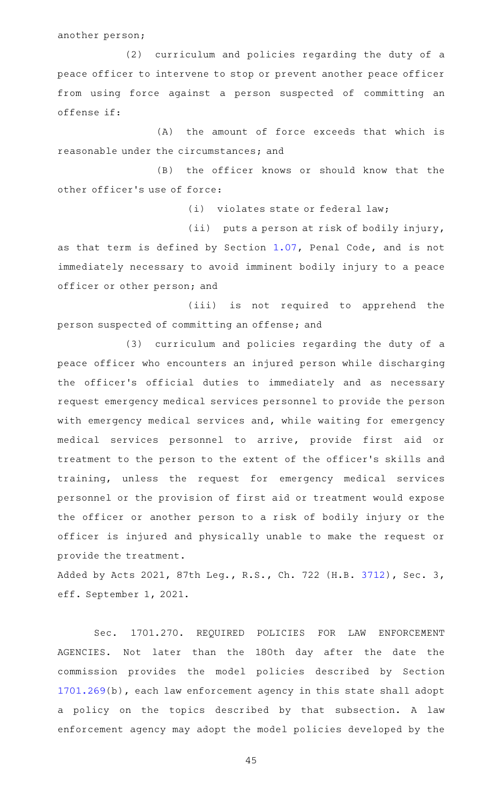another person;

(2) curriculum and policies regarding the duty of a peace officer to intervene to stop or prevent another peace officer from using force against a person suspected of committing an offense if:

 $(A)$  the amount of force exceeds that which is reasonable under the circumstances; and

(B) the officer knows or should know that the other officer 's use of force:

(i) violates state or federal law;

(ii) puts a person at risk of bodily injury,

as that term is defined by Section [1.07](http://www.statutes.legis.state.tx.us/GetStatute.aspx?Code=PE&Value=1.07), Penal Code, and is not immediately necessary to avoid imminent bodily injury to a peace officer or other person; and

(iii) is not required to apprehend the person suspected of committing an offense; and

(3) curriculum and policies regarding the duty of a peace officer who encounters an injured person while discharging the officer 's official duties to immediately and as necessary request emergency medical services personnel to provide the person with emergency medical services and, while waiting for emergency medical services personnel to arrive, provide first aid or treatment to the person to the extent of the officer 's skills and training, unless the request for emergency medical services personnel or the provision of first aid or treatment would expose the officer or another person to a risk of bodily injury or the officer is injured and physically unable to make the request or provide the treatment.

Added by Acts 2021, 87th Leg., R.S., Ch. 722 (H.B. [3712](http://www.legis.state.tx.us/tlodocs/87R/billtext/html/HB03712F.HTM)), Sec. 3, eff. September 1, 2021.

Sec. 1701.270. REQUIRED POLICIES FOR LAW ENFORCEMENT AGENCIES. Not later than the 180th day after the date the commission provides the model policies described by Section [1701.269](http://www.statutes.legis.state.tx.us/GetStatute.aspx?Code=OC&Value=1701.269)(b), each law enforcement agency in this state shall adopt a policy on the topics described by that subsection. A law enforcement agency may adopt the model policies developed by the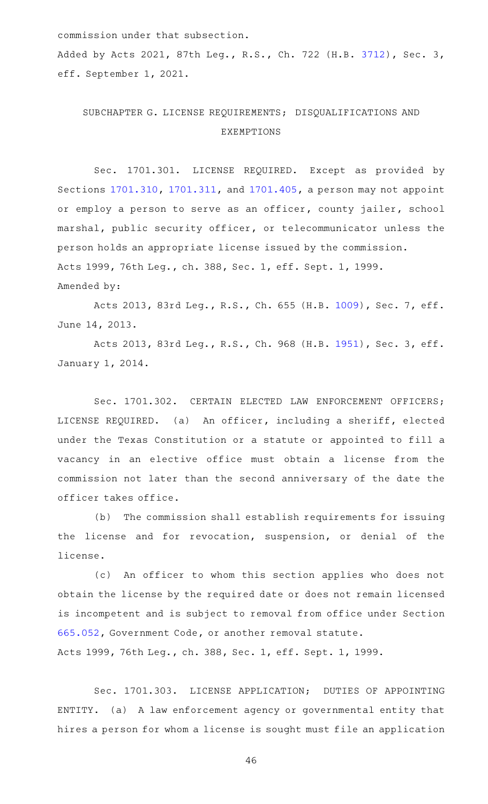commission under that subsection.

Added by Acts 2021, 87th Leg., R.S., Ch. 722 (H.B. [3712](http://www.legis.state.tx.us/tlodocs/87R/billtext/html/HB03712F.HTM)), Sec. 3, eff. September 1, 2021.

## SUBCHAPTER G. LICENSE REQUIREMENTS; DISQUALIFICATIONS AND EXEMPTIONS

Sec. 1701.301. LICENSE REQUIRED. Except as provided by Sections [1701.310](http://www.statutes.legis.state.tx.us/GetStatute.aspx?Code=OC&Value=1701.310), [1701.311](http://www.statutes.legis.state.tx.us/GetStatute.aspx?Code=OC&Value=1701.311), and [1701.405,](http://www.statutes.legis.state.tx.us/GetStatute.aspx?Code=OC&Value=1701.405) a person may not appoint or employ a person to serve as an officer, county jailer, school marshal, public security officer, or telecommunicator unless the person holds an appropriate license issued by the commission. Acts 1999, 76th Leg., ch. 388, Sec. 1, eff. Sept. 1, 1999. Amended by:

Acts 2013, 83rd Leg., R.S., Ch. 655 (H.B. [1009](http://www.legis.state.tx.us/tlodocs/83R/billtext/html/HB01009F.HTM)), Sec. 7, eff. June 14, 2013.

Acts 2013, 83rd Leg., R.S., Ch. 968 (H.B. [1951](http://www.legis.state.tx.us/tlodocs/83R/billtext/html/HB01951F.HTM)), Sec. 3, eff. January 1, 2014.

Sec. 1701.302. CERTAIN ELECTED LAW ENFORCEMENT OFFICERS; LICENSE REQUIRED. (a) An officer, including a sheriff, elected under the Texas Constitution or a statute or appointed to fill a vacancy in an elective office must obtain a license from the commission not later than the second anniversary of the date the officer takes office.

(b) The commission shall establish requirements for issuing the license and for revocation, suspension, or denial of the license.

(c) An officer to whom this section applies who does not obtain the license by the required date or does not remain licensed is incompetent and is subject to removal from office under Section [665.052,](http://www.statutes.legis.state.tx.us/GetStatute.aspx?Code=GV&Value=665.052) Government Code, or another removal statute. Acts 1999, 76th Leg., ch. 388, Sec. 1, eff. Sept. 1, 1999.

Sec. 1701.303. LICENSE APPLICATION; DUTIES OF APPOINTING ENTITY. (a) A law enforcement agency or governmental entity that hires a person for whom a license is sought must file an application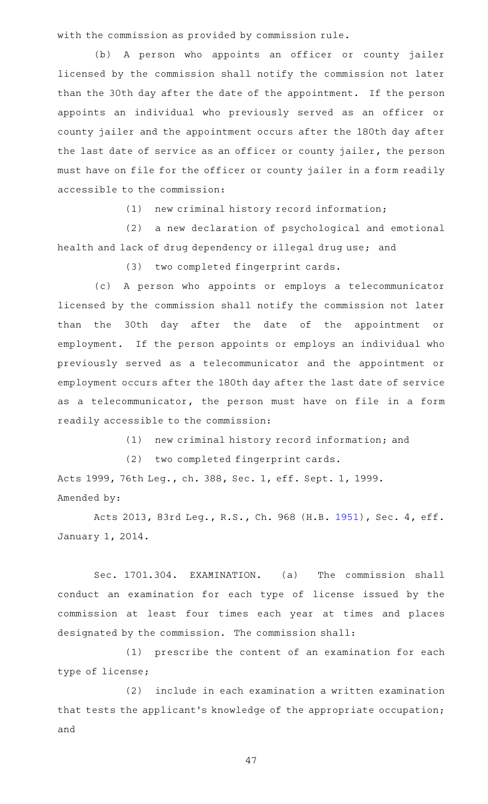with the commission as provided by commission rule.

(b) A person who appoints an officer or county jailer licensed by the commission shall notify the commission not later than the 30th day after the date of the appointment. If the person appoints an individual who previously served as an officer or county jailer and the appointment occurs after the 180th day after the last date of service as an officer or county jailer, the person must have on file for the officer or county jailer in a form readily accessible to the commission:

 $(1)$  new criminal history record information;

(2) a new declaration of psychological and emotional health and lack of drug dependency or illegal drug use; and

(3) two completed fingerprint cards.

(c)AAA person who appoints or employs a telecommunicator licensed by the commission shall notify the commission not later than the 30th day after the date of the appointment or employment. If the person appoints or employs an individual who previously served as a telecommunicator and the appointment or employment occurs after the 180th day after the last date of service as a telecommunicator, the person must have on file in a form readily accessible to the commission:

(1) new criminal history record information; and

(2) two completed fingerprint cards.

Acts 1999, 76th Leg., ch. 388, Sec. 1, eff. Sept. 1, 1999. Amended by:

Acts 2013, 83rd Leg., R.S., Ch. 968 (H.B. [1951](http://www.legis.state.tx.us/tlodocs/83R/billtext/html/HB01951F.HTM)), Sec. 4, eff. January 1, 2014.

Sec. 1701.304. EXAMINATION. (a) The commission shall conduct an examination for each type of license issued by the commission at least four times each year at times and places designated by the commission. The commission shall:

(1) prescribe the content of an examination for each type of license;

(2) include in each examination a written examination that tests the applicant 's knowledge of the appropriate occupation; and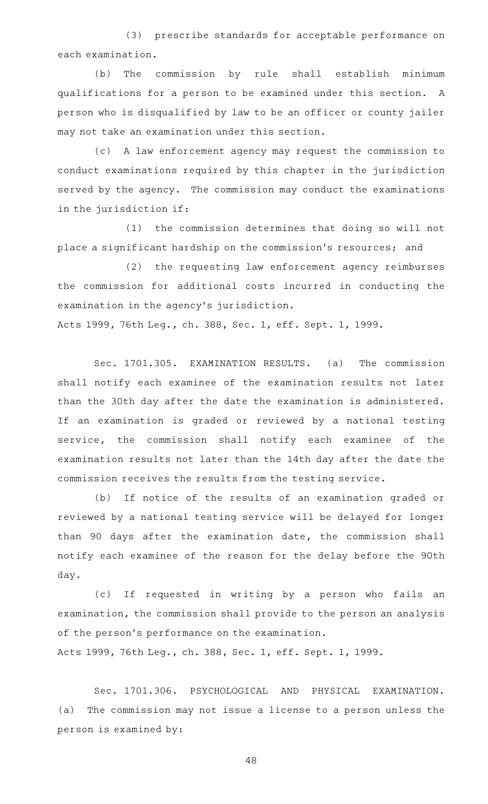(3) prescribe standards for acceptable performance on each examination.

(b) The commission by rule shall establish minimum qualifications for a person to be examined under this section. A person who is disqualified by law to be an officer or county jailer may not take an examination under this section.

(c) A law enforcement agency may request the commission to conduct examinations required by this chapter in the jurisdiction served by the agency. The commission may conduct the examinations in the jurisdiction if:

(1) the commission determines that doing so will not place a significant hardship on the commission 's resources; and

(2) the requesting law enforcement agency reimburses the commission for additional costs incurred in conducting the examination in the agency 's jurisdiction.

Acts 1999, 76th Leg., ch. 388, Sec. 1, eff. Sept. 1, 1999.

Sec. 1701.305. EXAMINATION RESULTS. (a) The commission shall notify each examinee of the examination results not later than the 30th day after the date the examination is administered. If an examination is graded or reviewed by a national testing service, the commission shall notify each examinee of the examination results not later than the 14th day after the date the commission receives the results from the testing service.

(b) If notice of the results of an examination graded or reviewed by a national testing service will be delayed for longer than 90 days after the examination date, the commission shall notify each examinee of the reason for the delay before the 90th day.

(c) If requested in writing by a person who fails an examination, the commission shall provide to the person an analysis of the person's performance on the examination. Acts 1999, 76th Leg., ch. 388, Sec. 1, eff. Sept. 1, 1999.

Sec. 1701.306. PSYCHOLOGICAL AND PHYSICAL EXAMINATION. (a) The commission may not issue a license to a person unless the person is examined by: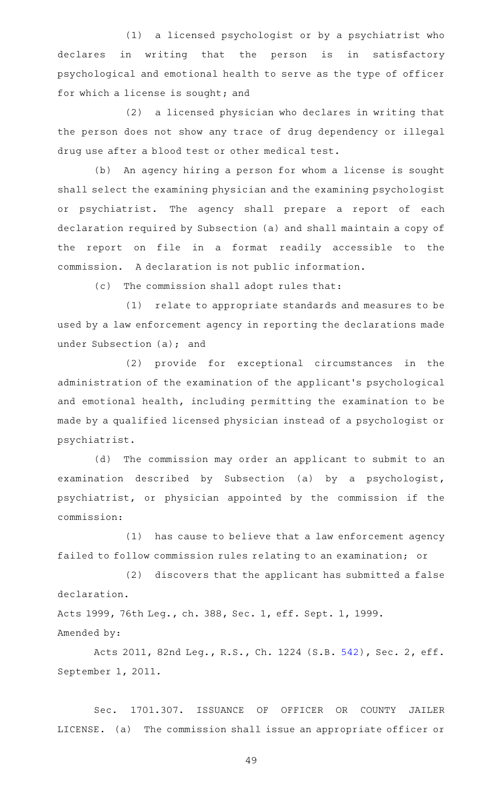(1) a licensed psychologist or by a psychiatrist who declares in writing that the person is in satisfactory psychological and emotional health to serve as the type of officer for which a license is sought; and

(2) a licensed physician who declares in writing that the person does not show any trace of drug dependency or illegal drug use after a blood test or other medical test.

(b) An agency hiring a person for whom a license is sought shall select the examining physician and the examining psychologist or psychiatrist. The agency shall prepare a report of each declaration required by Subsection (a) and shall maintain a copy of the report on file in a format readily accessible to the commission. A declaration is not public information.

(c) The commission shall adopt rules that:

(1) relate to appropriate standards and measures to be used by a law enforcement agency in reporting the declarations made under Subsection (a); and

(2) provide for exceptional circumstances in the administration of the examination of the applicant 's psychological and emotional health, including permitting the examination to be made by a qualified licensed physician instead of a psychologist or psychiatrist.

(d) The commission may order an applicant to submit to an examination described by Subsection (a) by a psychologist, psychiatrist, or physician appointed by the commission if the commission:

 $(1)$  has cause to believe that a law enforcement agency failed to follow commission rules relating to an examination; or

(2) discovers that the applicant has submitted a false declaration.

Acts 1999, 76th Leg., ch. 388, Sec. 1, eff. Sept. 1, 1999. Amended by:

Acts 2011, 82nd Leg., R.S., Ch. 1224 (S.B. [542](http://www.legis.state.tx.us/tlodocs/82R/billtext/html/SB00542F.HTM)), Sec. 2, eff. September 1, 2011.

Sec. 1701.307. ISSUANCE OF OFFICER OR COUNTY JAILER LICENSE. (a) The commission shall issue an appropriate officer or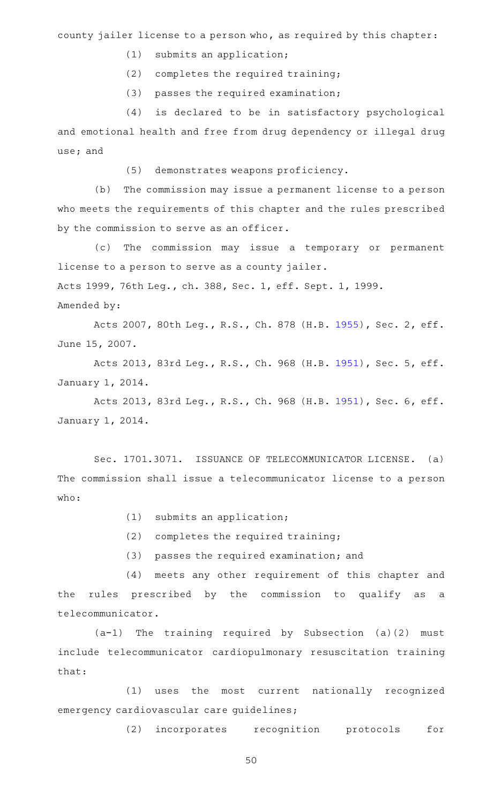county jailer license to a person who, as required by this chapter:

- $(1)$  submits an application;
- $(2)$  completes the required training;
- $(3)$  passes the required examination;

(4) is declared to be in satisfactory psychological and emotional health and free from drug dependency or illegal drug use; and

(5) demonstrates weapons proficiency.

(b) The commission may issue a permanent license to a person who meets the requirements of this chapter and the rules prescribed by the commission to serve as an officer.

(c) The commission may issue a temporary or permanent license to a person to serve as a county jailer. Acts 1999, 76th Leg., ch. 388, Sec. 1, eff. Sept. 1, 1999.

Amended by:

Acts 2007, 80th Leg., R.S., Ch. 878 (H.B. [1955](http://www.legis.state.tx.us/tlodocs/80R/billtext/html/HB01955F.HTM)), Sec. 2, eff. June 15, 2007.

Acts 2013, 83rd Leg., R.S., Ch. 968 (H.B. [1951](http://www.legis.state.tx.us/tlodocs/83R/billtext/html/HB01951F.HTM)), Sec. 5, eff. January 1, 2014.

Acts 2013, 83rd Leg., R.S., Ch. 968 (H.B. [1951](http://www.legis.state.tx.us/tlodocs/83R/billtext/html/HB01951F.HTM)), Sec. 6, eff. January 1, 2014.

Sec. 1701.3071. ISSUANCE OF TELECOMMUNICATOR LICENSE. (a) The commission shall issue a telecommunicator license to a person who:

- $(1)$  submits an application;
- $(2)$  completes the required training;
- (3) passes the required examination; and

(4) meets any other requirement of this chapter and the rules prescribed by the commission to qualify as a telecommunicator.

 $(a-1)$  The training required by Subsection (a)(2) must include telecommunicator cardiopulmonary resuscitation training that:

(1) uses the most current nationally recognized emergency cardiovascular care guidelines;

(2) incorporates recognition protocols for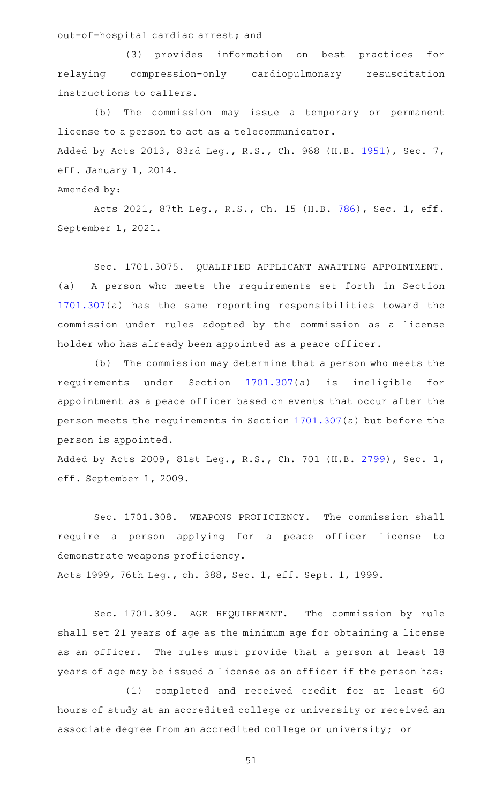out-of-hospital cardiac arrest; and

(3) provides information on best practices for relaying compression-only cardiopulmonary resuscitation instructions to callers.

(b) The commission may issue a temporary or permanent license to a person to act as a telecommunicator. Added by Acts 2013, 83rd Leg., R.S., Ch. 968 (H.B. [1951](http://www.legis.state.tx.us/tlodocs/83R/billtext/html/HB01951F.HTM)), Sec. 7, eff. January 1, 2014.

Amended by:

Acts 2021, 87th Leg., R.S., Ch. 15 (H.B. [786](http://www.legis.state.tx.us/tlodocs/87R/billtext/html/HB00786F.HTM)), Sec. 1, eff. September 1, 2021.

Sec. 1701.3075. QUALIFIED APPLICANT AWAITING APPOINTMENT. (a) A person who meets the requirements set forth in Section [1701.307](http://www.statutes.legis.state.tx.us/GetStatute.aspx?Code=OC&Value=1701.307)(a) has the same reporting responsibilities toward the commission under rules adopted by the commission as a license holder who has already been appointed as a peace officer.

(b) The commission may determine that a person who meets the requirements under Section [1701.307\(](http://www.statutes.legis.state.tx.us/GetStatute.aspx?Code=OC&Value=1701.307)a) is ineligible for appointment as a peace officer based on events that occur after the person meets the requirements in Section [1701.307\(](http://www.statutes.legis.state.tx.us/GetStatute.aspx?Code=OC&Value=1701.307)a) but before the person is appointed.

Added by Acts 2009, 81st Leg., R.S., Ch. 701 (H.B. [2799](http://www.legis.state.tx.us/tlodocs/81R/billtext/html/HB02799F.HTM)), Sec. 1, eff. September 1, 2009.

Sec. 1701.308. WEAPONS PROFICIENCY. The commission shall require a person applying for a peace officer license to demonstrate weapons proficiency.

Acts 1999, 76th Leg., ch. 388, Sec. 1, eff. Sept. 1, 1999.

Sec. 1701.309. AGE REQUIREMENT. The commission by rule shall set 21 years of age as the minimum age for obtaining a license as an officer. The rules must provide that a person at least 18 years of age may be issued a license as an officer if the person has:

(1) completed and received credit for at least 60 hours of study at an accredited college or university or received an associate degree from an accredited college or university; or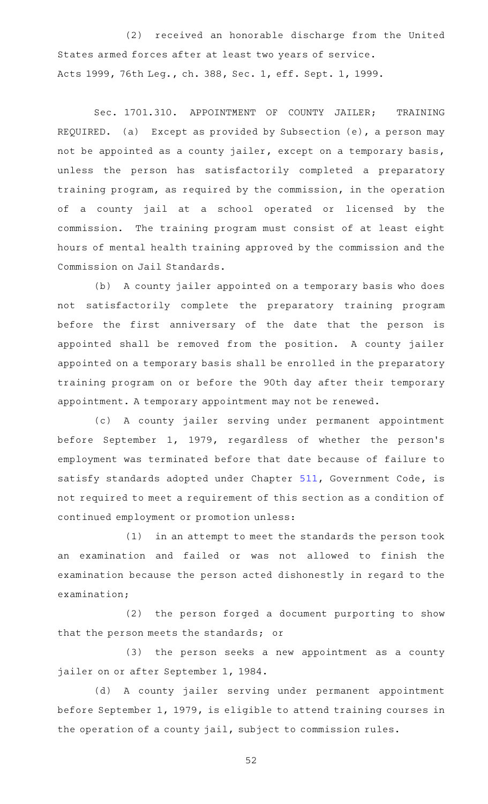(2) received an honorable discharge from the United States armed forces after at least two years of service. Acts 1999, 76th Leg., ch. 388, Sec. 1, eff. Sept. 1, 1999.

Sec. 1701.310. APPOINTMENT OF COUNTY JAILER; TRAINING REQUIRED. (a) Except as provided by Subsection (e), a person may not be appointed as a county jailer, except on a temporary basis, unless the person has satisfactorily completed a preparatory training program, as required by the commission, in the operation of a county jail at a school operated or licensed by the commission. The training program must consist of at least eight hours of mental health training approved by the commission and the Commission on Jail Standards.

(b) A county jailer appointed on a temporary basis who does not satisfactorily complete the preparatory training program before the first anniversary of the date that the person is appointed shall be removed from the position. A county jailer appointed on a temporary basis shall be enrolled in the preparatory training program on or before the 90th day after their temporary appointment. A temporary appointment may not be renewed.

(c)AAA county jailer serving under permanent appointment before September 1, 1979, regardless of whether the person's employment was terminated before that date because of failure to satisfy standards adopted under Chapter [511](http://www.statutes.legis.state.tx.us/GetStatute.aspx?Code=GV&Value=511), Government Code, is not required to meet a requirement of this section as a condition of continued employment or promotion unless:

 $(1)$  in an attempt to meet the standards the person took an examination and failed or was not allowed to finish the examination because the person acted dishonestly in regard to the examination;

(2) the person forged a document purporting to show that the person meets the standards; or

(3) the person seeks a new appointment as a county jailer on or after September 1, 1984.

(d) A county jailer serving under permanent appointment before September 1, 1979, is eligible to attend training courses in the operation of a county jail, subject to commission rules.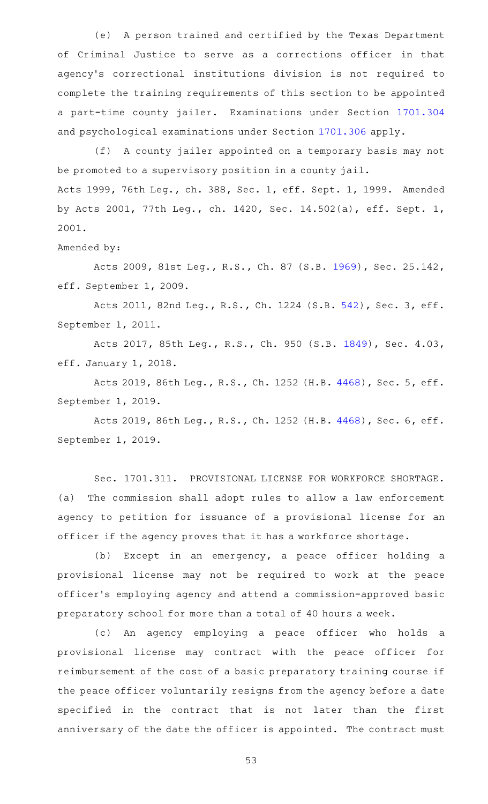(e) A person trained and certified by the Texas Department of Criminal Justice to serve as a corrections officer in that agency 's correctional institutions division is not required to complete the training requirements of this section to be appointed a part-time county jailer. Examinations under Section [1701.304](http://www.statutes.legis.state.tx.us/GetStatute.aspx?Code=OC&Value=1701.304) and psychological examinations under Section [1701.306](http://www.statutes.legis.state.tx.us/GetStatute.aspx?Code=OC&Value=1701.306) apply.

(f) A county jailer appointed on a temporary basis may not be promoted to a supervisory position in a county jail. Acts 1999, 76th Leg., ch. 388, Sec. 1, eff. Sept. 1, 1999. Amended by Acts 2001, 77th Leg., ch. 1420, Sec. 14.502(a), eff. Sept. 1, 2001.

Amended by:

Acts 2009, 81st Leg., R.S., Ch. 87 (S.B. [1969](http://www.legis.state.tx.us/tlodocs/81R/billtext/html/SB01969F.HTM)), Sec. 25.142, eff. September 1, 2009.

Acts 2011, 82nd Leg., R.S., Ch. 1224 (S.B. [542](http://www.legis.state.tx.us/tlodocs/82R/billtext/html/SB00542F.HTM)), Sec. 3, eff. September 1, 2011.

Acts 2017, 85th Leg., R.S., Ch. 950 (S.B. [1849\)](http://www.legis.state.tx.us/tlodocs/85R/billtext/html/SB01849F.HTM), Sec. 4.03, eff. January 1, 2018.

Acts 2019, 86th Leg., R.S., Ch. 1252 (H.B. [4468](http://www.legis.state.tx.us/tlodocs/86R/billtext/html/HB04468F.HTM)), Sec. 5, eff. September 1, 2019.

Acts 2019, 86th Leg., R.S., Ch. 1252 (H.B. [4468](http://www.legis.state.tx.us/tlodocs/86R/billtext/html/HB04468F.HTM)), Sec. 6, eff. September 1, 2019.

Sec. 1701.311. PROVISIONAL LICENSE FOR WORKFORCE SHORTAGE. (a) The commission shall adopt rules to allow a law enforcement agency to petition for issuance of a provisional license for an officer if the agency proves that it has a workforce shortage.

(b) Except in an emergency, a peace officer holding a provisional license may not be required to work at the peace officer 's employing agency and attend a commission-approved basic preparatory school for more than a total of 40 hours a week.

(c) An agency employing a peace officer who holds a provisional license may contract with the peace officer for reimbursement of the cost of a basic preparatory training course if the peace officer voluntarily resigns from the agency before a date specified in the contract that is not later than the first anniversary of the date the officer is appointed. The contract must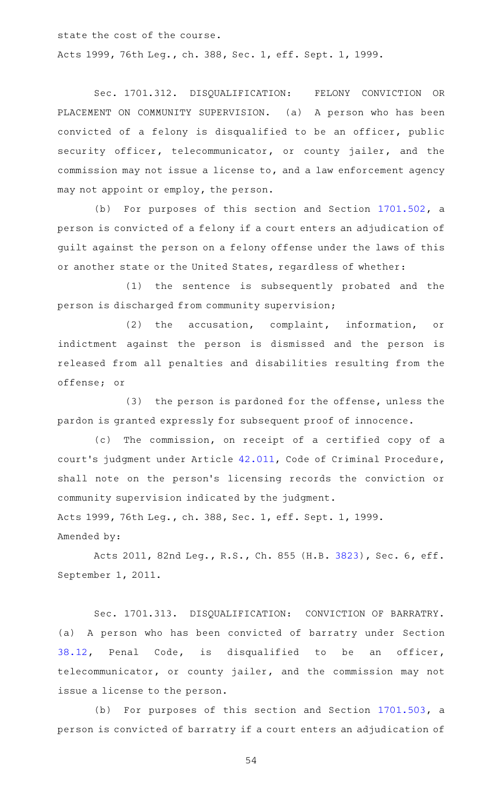state the cost of the course.

Acts 1999, 76th Leg., ch. 388, Sec. 1, eff. Sept. 1, 1999.

Sec. 1701.312. DISQUALIFICATION: FELONY CONVICTION OR PLACEMENT ON COMMUNITY SUPERVISION. (a) A person who has been convicted of a felony is disqualified to be an officer, public security officer, telecommunicator, or county jailer, and the commission may not issue a license to, and a law enforcement agency may not appoint or employ, the person.

(b) For purposes of this section and Section  $1701.502$ , a person is convicted of a felony if a court enters an adjudication of guilt against the person on a felony offense under the laws of this or another state or the United States, regardless of whether:

(1) the sentence is subsequently probated and the person is discharged from community supervision;

(2) the accusation, complaint, information, or indictment against the person is dismissed and the person is released from all penalties and disabilities resulting from the offense; or

 $(3)$  the person is pardoned for the offense, unless the pardon is granted expressly for subsequent proof of innocence.

(c) The commission, on receipt of a certified copy of a court 's judgment under Article [42.011](http://www.statutes.legis.state.tx.us/GetStatute.aspx?Code=CR&Value=42.011), Code of Criminal Procedure, shall note on the person 's licensing records the conviction or community supervision indicated by the judgment. Acts 1999, 76th Leg., ch. 388, Sec. 1, eff. Sept. 1, 1999. Amended by:

Acts 2011, 82nd Leg., R.S., Ch. 855 (H.B. [3823](http://www.legis.state.tx.us/tlodocs/82R/billtext/html/HB03823F.HTM)), Sec. 6, eff. September 1, 2011.

Sec. 1701.313. DISQUALIFICATION: CONVICTION OF BARRATRY. (a) A person who has been convicted of barratry under Section [38.12,](http://www.statutes.legis.state.tx.us/GetStatute.aspx?Code=PE&Value=38.12) Penal Code, is disqualified to be an officer, telecommunicator, or county jailer, and the commission may not issue a license to the person.

(b) For purposes of this section and Section [1701.503](http://www.statutes.legis.state.tx.us/GetStatute.aspx?Code=OC&Value=1701.503), a person is convicted of barratry if a court enters an adjudication of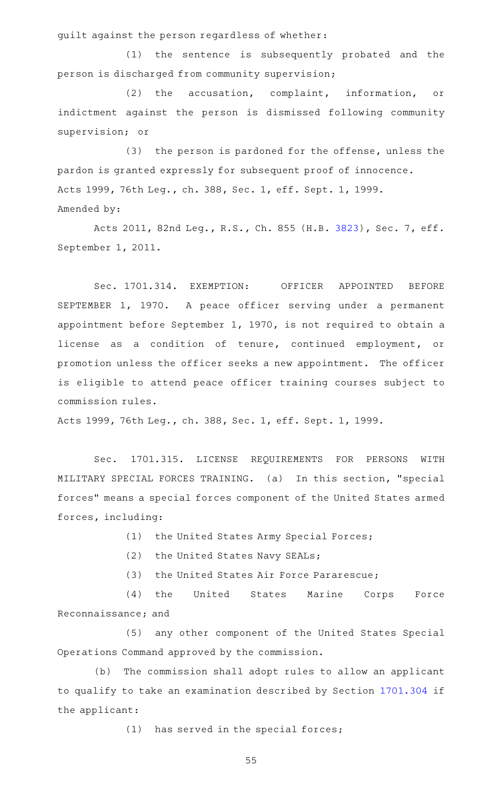guilt against the person regardless of whether:

(1) the sentence is subsequently probated and the person is discharged from community supervision;

(2) the accusation, complaint, information, or indictment against the person is dismissed following community supervision; or

(3) the person is pardoned for the offense, unless the pardon is granted expressly for subsequent proof of innocence. Acts 1999, 76th Leg., ch. 388, Sec. 1, eff. Sept. 1, 1999. Amended by:

Acts 2011, 82nd Leg., R.S., Ch. 855 (H.B. [3823](http://www.legis.state.tx.us/tlodocs/82R/billtext/html/HB03823F.HTM)), Sec. 7, eff. September 1, 2011.

Sec. 1701.314. EXEMPTION: OFFICER APPOINTED BEFORE SEPTEMBER 1, 1970. A peace officer serving under a permanent appointment before September 1, 1970, is not required to obtain a license as a condition of tenure, continued employment, or promotion unless the officer seeks a new appointment. The officer is eligible to attend peace officer training courses subject to commission rules.

Acts 1999, 76th Leg., ch. 388, Sec. 1, eff. Sept. 1, 1999.

Sec. 1701.315. LICENSE REQUIREMENTS FOR PERSONS WITH MILITARY SPECIAL FORCES TRAINING. (a) In this section, "special forces" means a special forces component of the United States armed forces, including:

(1) the United States Army Special Forces;

(2) the United States Navy SEALs;

(3) the United States Air Force Pararescue;

(4) the United States Marine Corps Force Reconnaissance; and

(5) any other component of the United States Special Operations Command approved by the commission.

(b) The commission shall adopt rules to allow an applicant to qualify to take an examination described by Section [1701.304](http://www.statutes.legis.state.tx.us/GetStatute.aspx?Code=OC&Value=1701.304) if the applicant:

 $(1)$  has served in the special forces;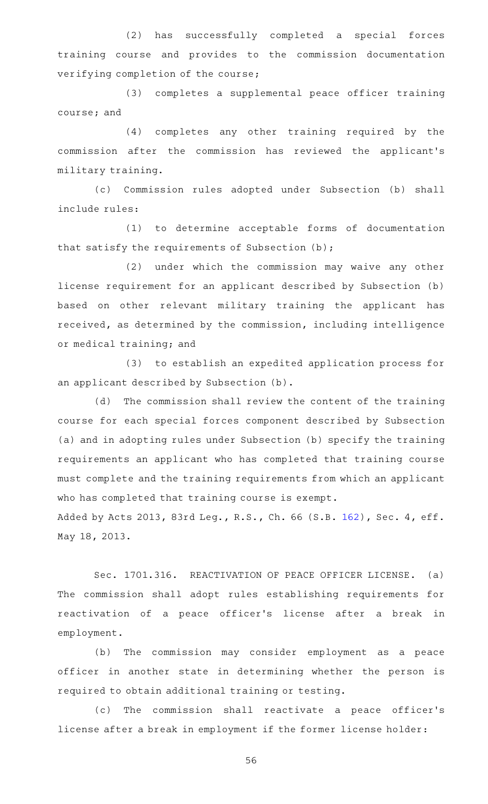(2) has successfully completed a special forces training course and provides to the commission documentation verifying completion of the course;

(3) completes a supplemental peace officer training course; and

(4) completes any other training required by the commission after the commission has reviewed the applicant 's military training.

(c) Commission rules adopted under Subsection (b) shall include rules:

(1) to determine acceptable forms of documentation that satisfy the requirements of Subsection (b);

(2) under which the commission may waive any other license requirement for an applicant described by Subsection (b) based on other relevant military training the applicant has received, as determined by the commission, including intelligence or medical training; and

(3) to establish an expedited application process for an applicant described by Subsection (b).

(d) The commission shall review the content of the training course for each special forces component described by Subsection (a) and in adopting rules under Subsection (b) specify the training requirements an applicant who has completed that training course must complete and the training requirements from which an applicant who has completed that training course is exempt. Added by Acts 2013, 83rd Leg., R.S., Ch. 66 (S.B. [162](http://www.legis.state.tx.us/tlodocs/83R/billtext/html/SB00162F.HTM)), Sec. 4, eff.

May 18, 2013.

Sec. 1701.316. REACTIVATION OF PEACE OFFICER LICENSE. (a) The commission shall adopt rules establishing requirements for reactivation of a peace officer 's license after a break in employment.

(b) The commission may consider employment as a peace officer in another state in determining whether the person is required to obtain additional training or testing.

(c) The commission shall reactivate a peace officer's license after a break in employment if the former license holder: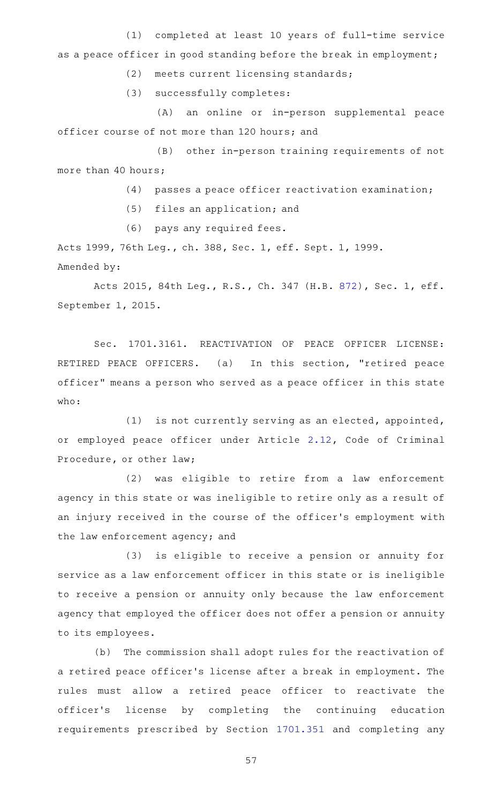(1) completed at least 10 years of full-time service as a peace officer in good standing before the break in employment;

(2) meets current licensing standards;

(3) successfully completes:

(A) an online or in-person supplemental peace officer course of not more than 120 hours; and

(B) other in-person training requirements of not more than 40 hours;

 $(4)$  passes a peace officer reactivation examination;

(5) files an application; and

(6) pays any required fees.

Acts 1999, 76th Leg., ch. 388, Sec. 1, eff. Sept. 1, 1999. Amended by:

Acts 2015, 84th Leg., R.S., Ch. 347 (H.B. [872](http://www.legis.state.tx.us/tlodocs/84R/billtext/html/HB00872F.HTM)), Sec. 1, eff. September 1, 2015.

Sec. 1701.3161. REACTIVATION OF PEACE OFFICER LICENSE: RETIRED PEACE OFFICERS. (a) In this section, "retired peace officer" means a person who served as a peace officer in this state who:

(1) is not currently serving as an elected, appointed, or employed peace officer under Article [2.12](http://www.statutes.legis.state.tx.us/GetStatute.aspx?Code=CR&Value=2.12), Code of Criminal Procedure, or other law;

(2) was eligible to retire from a law enforcement agency in this state or was ineligible to retire only as a result of an injury received in the course of the officer 's employment with the law enforcement agency; and

(3) is eligible to receive a pension or annuity for service as a law enforcement officer in this state or is ineligible to receive a pension or annuity only because the law enforcement agency that employed the officer does not offer a pension or annuity to its employees.

(b) The commission shall adopt rules for the reactivation of a retired peace officer 's license after a break in employment. The rules must allow a retired peace officer to reactivate the officer 's license by completing the continuing education requirements prescribed by Section [1701.351](http://www.statutes.legis.state.tx.us/GetStatute.aspx?Code=OC&Value=1701.351) and completing any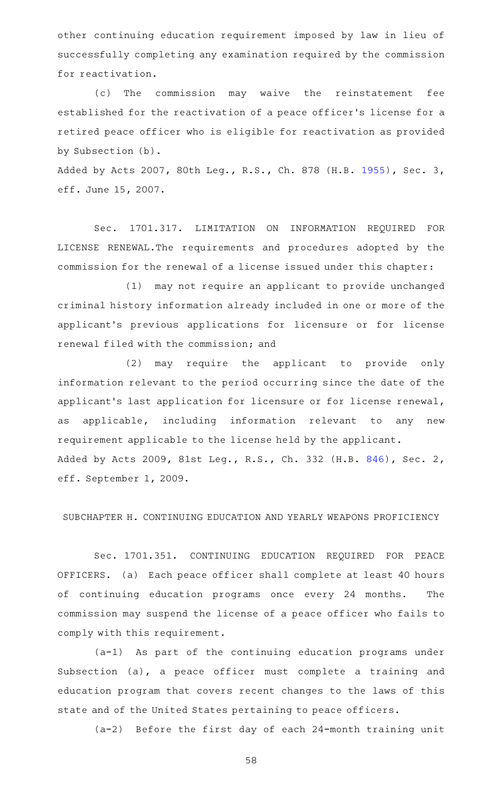other continuing education requirement imposed by law in lieu of successfully completing any examination required by the commission for reactivation.

(c) The commission may waive the reinstatement fee established for the reactivation of a peace officer 's license for a retired peace officer who is eligible for reactivation as provided by Subsection (b).

Added by Acts 2007, 80th Leg., R.S., Ch. 878 (H.B. [1955](http://www.legis.state.tx.us/tlodocs/80R/billtext/html/HB01955F.HTM)), Sec. 3, eff. June 15, 2007.

Sec. 1701.317. LIMITATION ON INFORMATION REQUIRED FOR LICENSE RENEWAL.The requirements and procedures adopted by the commission for the renewal of a license issued under this chapter:

(1) may not require an applicant to provide unchanged criminal history information already included in one or more of the applicant 's previous applications for licensure or for license renewal filed with the commission; and

(2) may require the applicant to provide only information relevant to the period occurring since the date of the applicant 's last application for licensure or for license renewal, as applicable, including information relevant to any new requirement applicable to the license held by the applicant. Added by Acts 2009, 81st Leg., R.S., Ch. 332 (H.B. [846](http://www.legis.state.tx.us/tlodocs/81R/billtext/html/HB00846F.HTM)), Sec. 2, eff. September 1, 2009.

SUBCHAPTER H. CONTINUING EDUCATION AND YEARLY WEAPONS PROFICIENCY

Sec. 1701.351. CONTINUING EDUCATION REQUIRED FOR PEACE OFFICERS. (a) Each peace officer shall complete at least 40 hours of continuing education programs once every 24 months. The commission may suspend the license of a peace officer who fails to comply with this requirement.

 $(a-1)$  As part of the continuing education programs under Subsection (a), a peace officer must complete a training and education program that covers recent changes to the laws of this state and of the United States pertaining to peace officers.

 $(a-2)$  Before the first day of each 24-month training unit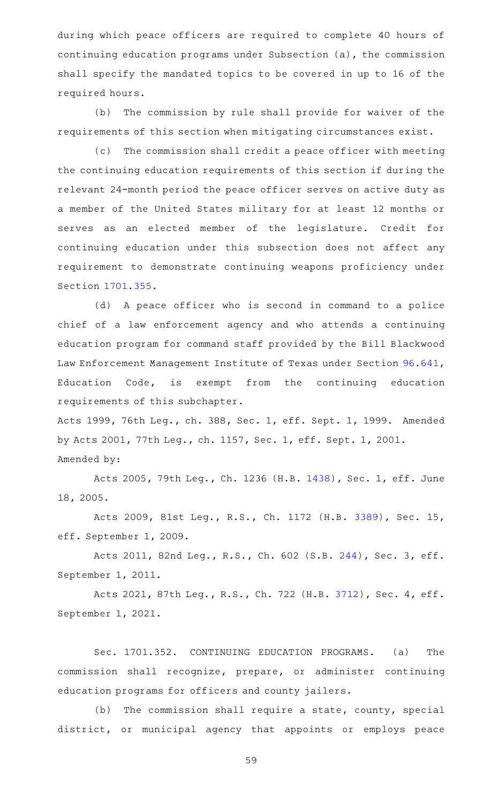during which peace officers are required to complete 40 hours of continuing education programs under Subsection (a), the commission shall specify the mandated topics to be covered in up to 16 of the required hours.

(b) The commission by rule shall provide for waiver of the requirements of this section when mitigating circumstances exist.

(c) The commission shall credit a peace officer with meeting the continuing education requirements of this section if during the relevant 24-month period the peace officer serves on active duty as a member of the United States military for at least 12 months or serves as an elected member of the legislature. Credit for continuing education under this subsection does not affect any requirement to demonstrate continuing weapons proficiency under Section [1701.355](http://www.statutes.legis.state.tx.us/GetStatute.aspx?Code=OC&Value=1701.355).

(d) A peace officer who is second in command to a police chief of a law enforcement agency and who attends a continuing education program for command staff provided by the Bill Blackwood Law Enforcement Management Institute of Texas under Section [96.641](http://www.statutes.legis.state.tx.us/GetStatute.aspx?Code=ED&Value=96.641), Education Code, is exempt from the continuing education requirements of this subchapter.

Acts 1999, 76th Leg., ch. 388, Sec. 1, eff. Sept. 1, 1999. Amended by Acts 2001, 77th Leg., ch. 1157, Sec. 1, eff. Sept. 1, 2001. Amended by:

Acts 2005, 79th Leg., Ch. 1236 (H.B. [1438](http://www.legis.state.tx.us/tlodocs/79R/billtext/html/HB01438F.HTM)), Sec. 1, eff. June 18, 2005.

Acts 2009, 81st Leg., R.S., Ch. 1172 (H.B. [3389](http://www.legis.state.tx.us/tlodocs/81R/billtext/html/HB03389F.HTM)), Sec. 15, eff. September 1, 2009.

Acts 2011, 82nd Leg., R.S., Ch. 602 (S.B. [244](http://www.legis.state.tx.us/tlodocs/82R/billtext/html/SB00244F.HTM)), Sec. 3, eff. September 1, 2011.

Acts 2021, 87th Leg., R.S., Ch. 722 (H.B. [3712](http://www.legis.state.tx.us/tlodocs/87R/billtext/html/HB03712F.HTM)), Sec. 4, eff. September 1, 2021.

Sec. 1701.352. CONTINUING EDUCATION PROGRAMS. (a) The commission shall recognize, prepare, or administer continuing education programs for officers and county jailers.

 $(b)$  The commission shall require a state, county, special district, or municipal agency that appoints or employs peace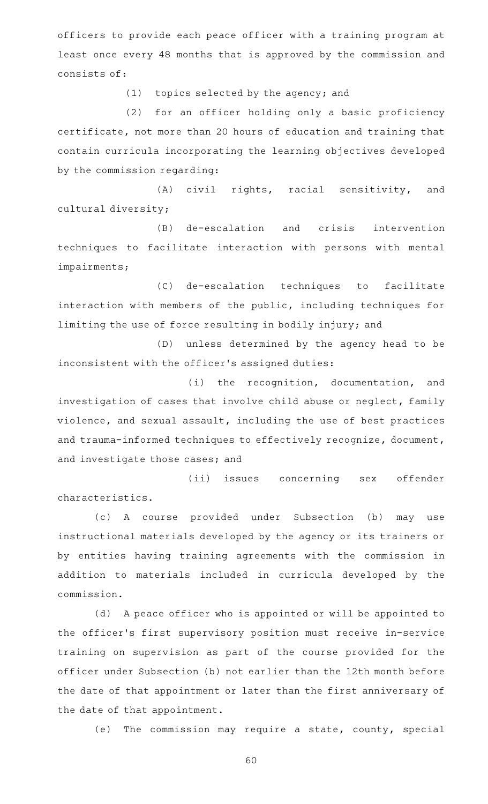officers to provide each peace officer with a training program at least once every 48 months that is approved by the commission and consists of:

 $(1)$  topics selected by the agency; and

(2) for an officer holding only a basic proficiency certificate, not more than 20 hours of education and training that contain curricula incorporating the learning objectives developed by the commission regarding:

(A) civil rights, racial sensitivity, and cultural diversity;

(B) de-escalation and crisis intervention techniques to facilitate interaction with persons with mental impairments;

(C) de-escalation techniques to facilitate interaction with members of the public, including techniques for limiting the use of force resulting in bodily injury; and

(D) unless determined by the agency head to be inconsistent with the officer 's assigned duties:

 $(i)$  the recognition, documentation, and investigation of cases that involve child abuse or neglect, family violence, and sexual assault, including the use of best practices and trauma-informed techniques to effectively recognize, document, and investigate those cases; and

(ii) issues concerning sex offender characteristics.

(c)AAA course provided under Subsection (b) may use instructional materials developed by the agency or its trainers or by entities having training agreements with the commission in addition to materials included in curricula developed by the commission.

(d) A peace officer who is appointed or will be appointed to the officer 's first supervisory position must receive in-service training on supervision as part of the course provided for the officer under Subsection (b) not earlier than the 12th month before the date of that appointment or later than the first anniversary of the date of that appointment.

(e) The commission may require a state, county, special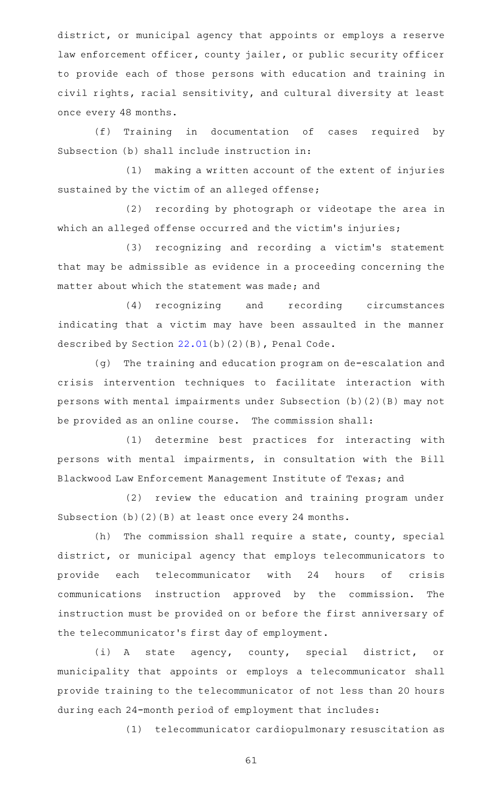district, or municipal agency that appoints or employs a reserve law enforcement officer, county jailer, or public security officer to provide each of those persons with education and training in civil rights, racial sensitivity, and cultural diversity at least once every 48 months.

(f) Training in documentation of cases required by Subsection (b) shall include instruction in:

(1) making a written account of the extent of injuries sustained by the victim of an alleged offense;

(2) recording by photograph or videotape the area in which an alleged offense occurred and the victim's injuries;

(3) recognizing and recording a victim's statement that may be admissible as evidence in a proceeding concerning the matter about which the statement was made; and

(4) recognizing and recording circumstances indicating that a victim may have been assaulted in the manner described by Section [22.01\(](http://www.statutes.legis.state.tx.us/GetStatute.aspx?Code=PE&Value=22.01)b)(2)(B), Penal Code.

(g) The training and education program on de-escalation and crisis intervention techniques to facilitate interaction with persons with mental impairments under Subsection (b)(2)(B) may not be provided as an online course. The commission shall:

(1) determine best practices for interacting with persons with mental impairments, in consultation with the Bill Blackwood Law Enforcement Management Institute of Texas; and

(2) review the education and training program under Subsection (b)(2)(B) at least once every 24 months.

(h) The commission shall require a state, county, special district, or municipal agency that employs telecommunicators to provide each telecommunicator with 24 hours of crisis communications instruction approved by the commission. The instruction must be provided on or before the first anniversary of the telecommunicator 's first day of employment.

(i)AAA state agency, county, special district, or municipality that appoints or employs a telecommunicator shall provide training to the telecommunicator of not less than 20 hours during each 24-month period of employment that includes:

(1) telecommunicator cardiopulmonary resuscitation as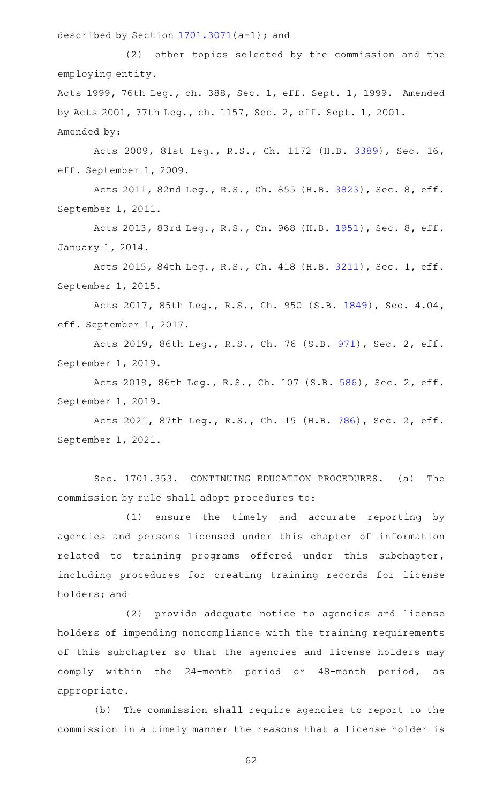described by Section [1701.3071\(](http://www.statutes.legis.state.tx.us/GetStatute.aspx?Code=OC&Value=1701.3071)a-1); and

(2) other topics selected by the commission and the employing entity. Acts 1999, 76th Leg., ch. 388, Sec. 1, eff. Sept. 1, 1999. Amended by Acts 2001, 77th Leg., ch. 1157, Sec. 2, eff. Sept. 1, 2001.

Amended by:

Acts 2009, 81st Leg., R.S., Ch. 1172 (H.B. [3389](http://www.legis.state.tx.us/tlodocs/81R/billtext/html/HB03389F.HTM)), Sec. 16, eff. September 1, 2009.

Acts 2011, 82nd Leg., R.S., Ch. 855 (H.B. [3823](http://www.legis.state.tx.us/tlodocs/82R/billtext/html/HB03823F.HTM)), Sec. 8, eff. September 1, 2011.

Acts 2013, 83rd Leg., R.S., Ch. 968 (H.B. [1951](http://www.legis.state.tx.us/tlodocs/83R/billtext/html/HB01951F.HTM)), Sec. 8, eff. January 1, 2014.

Acts 2015, 84th Leg., R.S., Ch. 418 (H.B. [3211](http://www.legis.state.tx.us/tlodocs/84R/billtext/html/HB03211F.HTM)), Sec. 1, eff. September 1, 2015.

Acts 2017, 85th Leg., R.S., Ch. 950 (S.B. [1849\)](http://www.legis.state.tx.us/tlodocs/85R/billtext/html/SB01849F.HTM), Sec. 4.04, eff. September 1, 2017.

Acts 2019, 86th Leg., R.S., Ch. 76 (S.B. [971](http://www.legis.state.tx.us/tlodocs/86R/billtext/html/SB00971F.HTM)), Sec. 2, eff. September 1, 2019.

Acts 2019, 86th Leg., R.S., Ch. 107 (S.B. [586](http://www.legis.state.tx.us/tlodocs/86R/billtext/html/SB00586F.HTM)), Sec. 2, eff. September 1, 2019.

Acts 2021, 87th Leg., R.S., Ch. 15 (H.B. [786](http://www.legis.state.tx.us/tlodocs/87R/billtext/html/HB00786F.HTM)), Sec. 2, eff. September 1, 2021.

Sec. 1701.353. CONTINUING EDUCATION PROCEDURES. (a) The commission by rule shall adopt procedures to:

(1) ensure the timely and accurate reporting by agencies and persons licensed under this chapter of information related to training programs offered under this subchapter, including procedures for creating training records for license holders; and

(2) provide adequate notice to agencies and license holders of impending noncompliance with the training requirements of this subchapter so that the agencies and license holders may comply within the 24-month period or 48-month period, as appropriate.

(b) The commission shall require agencies to report to the commission in a timely manner the reasons that a license holder is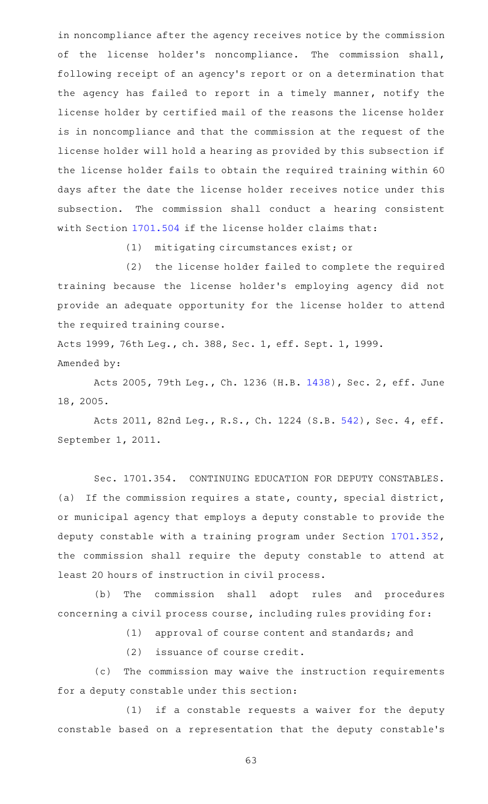in noncompliance after the agency receives notice by the commission of the license holder's noncompliance. The commission shall, following receipt of an agency 's report or on a determination that the agency has failed to report in a timely manner, notify the license holder by certified mail of the reasons the license holder is in noncompliance and that the commission at the request of the license holder will hold a hearing as provided by this subsection if the license holder fails to obtain the required training within 60 days after the date the license holder receives notice under this subsection. The commission shall conduct a hearing consistent with Section [1701.504](http://www.statutes.legis.state.tx.us/GetStatute.aspx?Code=OC&Value=1701.504) if the license holder claims that:

(1) mitigating circumstances exist; or

(2) the license holder failed to complete the required training because the license holder 's employing agency did not provide an adequate opportunity for the license holder to attend the required training course.

Acts 1999, 76th Leg., ch. 388, Sec. 1, eff. Sept. 1, 1999. Amended by:

Acts 2005, 79th Leg., Ch. 1236 (H.B. [1438](http://www.legis.state.tx.us/tlodocs/79R/billtext/html/HB01438F.HTM)), Sec. 2, eff. June 18, 2005.

Acts 2011, 82nd Leg., R.S., Ch. 1224 (S.B. [542](http://www.legis.state.tx.us/tlodocs/82R/billtext/html/SB00542F.HTM)), Sec. 4, eff. September 1, 2011.

Sec. 1701.354. CONTINUING EDUCATION FOR DEPUTY CONSTABLES. (a) If the commission requires a state, county, special district, or municipal agency that employs a deputy constable to provide the deputy constable with a training program under Section [1701.352](http://www.statutes.legis.state.tx.us/GetStatute.aspx?Code=OC&Value=1701.352), the commission shall require the deputy constable to attend at least 20 hours of instruction in civil process.

(b) The commission shall adopt rules and procedures concerning a civil process course, including rules providing for:

(1) approval of course content and standards; and

(2) issuance of course credit.

(c) The commission may waive the instruction requirements for a deputy constable under this section:

 $(1)$  if a constable requests a waiver for the deputy constable based on a representation that the deputy constable 's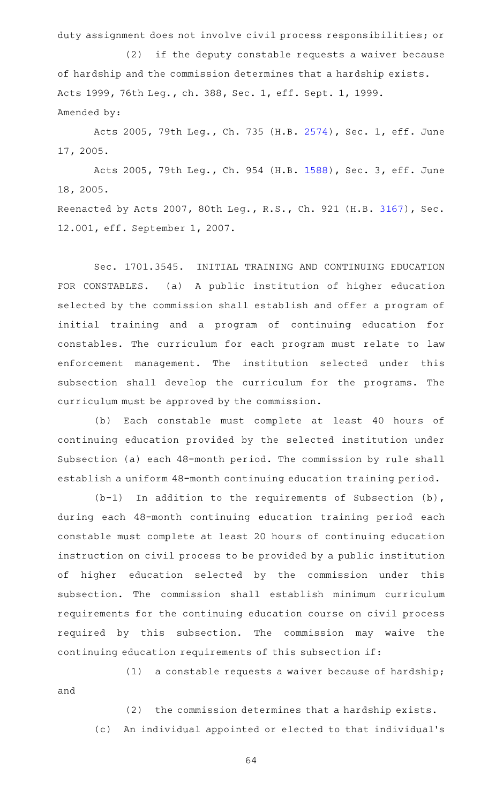duty assignment does not involve civil process responsibilities; or

 $(2)$  if the deputy constable requests a waiver because of hardship and the commission determines that a hardship exists. Acts 1999, 76th Leg., ch. 388, Sec. 1, eff. Sept. 1, 1999. Amended by:

Acts 2005, 79th Leg., Ch. 735 (H.B. [2574\)](http://www.legis.state.tx.us/tlodocs/79R/billtext/html/HB02574F.HTM), Sec. 1, eff. June 17, 2005.

Acts 2005, 79th Leg., Ch. 954 (H.B. [1588\)](http://www.legis.state.tx.us/tlodocs/79R/billtext/html/HB01588F.HTM), Sec. 3, eff. June 18, 2005.

Reenacted by Acts 2007, 80th Leg., R.S., Ch. 921 (H.B. [3167](http://www.legis.state.tx.us/tlodocs/80R/billtext/html/HB03167F.HTM)), Sec. 12.001, eff. September 1, 2007.

Sec. 1701.3545. INITIAL TRAINING AND CONTINUING EDUCATION FOR CONSTABLES. (a) A public institution of higher education selected by the commission shall establish and offer a program of initial training and a program of continuing education for constables. The curriculum for each program must relate to law enforcement management. The institution selected under this subsection shall develop the curriculum for the programs. The curriculum must be approved by the commission.

(b) Each constable must complete at least 40 hours of continuing education provided by the selected institution under Subsection (a) each 48-month period. The commission by rule shall establish a uniform 48-month continuing education training period.

 $(b-1)$  In addition to the requirements of Subsection (b), during each 48-month continuing education training period each constable must complete at least 20 hours of continuing education instruction on civil process to be provided by a public institution of higher education selected by the commission under this subsection. The commission shall establish minimum curriculum requirements for the continuing education course on civil process required by this subsection. The commission may waive the continuing education requirements of this subsection if:

 $(1)$  a constable requests a waiver because of hardship; and

(2) the commission determines that a hardship exists. (c) An individual appointed or elected to that individual's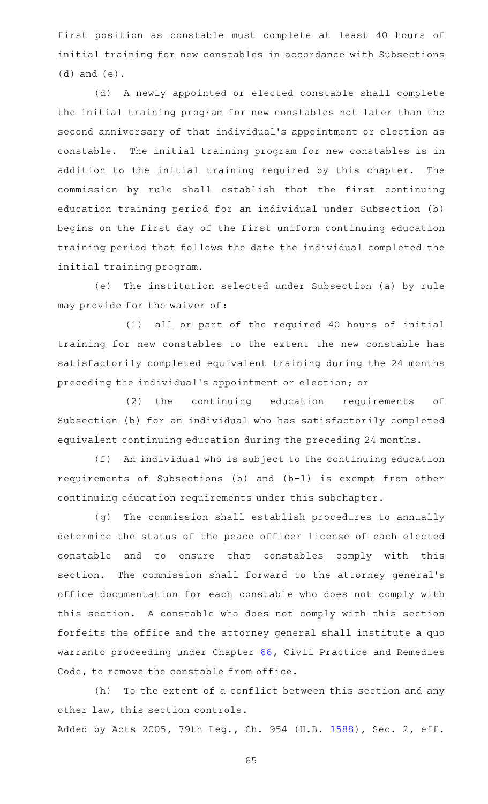first position as constable must complete at least 40 hours of initial training for new constables in accordance with Subsections (d) and (e).

(d) A newly appointed or elected constable shall complete the initial training program for new constables not later than the second anniversary of that individual 's appointment or election as constable. The initial training program for new constables is in addition to the initial training required by this chapter. The commission by rule shall establish that the first continuing education training period for an individual under Subsection (b) begins on the first day of the first uniform continuing education training period that follows the date the individual completed the initial training program.

(e) The institution selected under Subsection (a) by rule may provide for the waiver of:

(1) all or part of the required 40 hours of initial training for new constables to the extent the new constable has satisfactorily completed equivalent training during the 24 months preceding the individual 's appointment or election; or

 $(2)$  the continuing education requirements of Subsection (b) for an individual who has satisfactorily completed equivalent continuing education during the preceding 24 months.

(f) An individual who is subject to the continuing education requirements of Subsections (b) and (b-1) is exempt from other continuing education requirements under this subchapter.

(g) The commission shall establish procedures to annually determine the status of the peace officer license of each elected constable and to ensure that constables comply with this section. The commission shall forward to the attorney general's office documentation for each constable who does not comply with this section. A constable who does not comply with this section forfeits the office and the attorney general shall institute a quo warranto proceeding under Chapter [66](http://www.statutes.legis.state.tx.us/GetStatute.aspx?Code=CP&Value=66), Civil Practice and Remedies Code, to remove the constable from office.

(h) To the extent of a conflict between this section and any other law, this section controls. Added by Acts 2005, 79th Leg., Ch. 954 (H.B. [1588](http://www.legis.state.tx.us/tlodocs/79R/billtext/html/HB01588F.HTM)), Sec. 2, eff.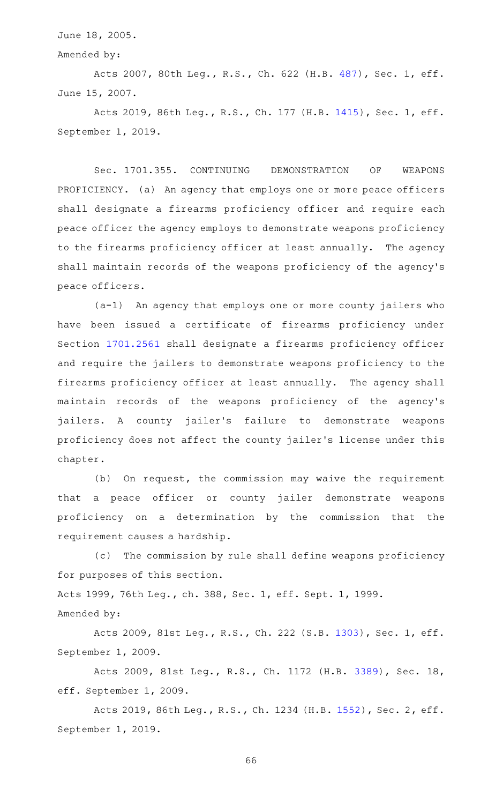June 18, 2005.

Amended by:

Acts 2007, 80th Leg., R.S., Ch. 622 (H.B. [487](http://www.legis.state.tx.us/tlodocs/80R/billtext/html/HB00487F.HTM)), Sec. 1, eff. June 15, 2007.

Acts 2019, 86th Leg., R.S., Ch. 177 (H.B. [1415](http://www.legis.state.tx.us/tlodocs/86R/billtext/html/HB01415F.HTM)), Sec. 1, eff. September 1, 2019.

Sec. 1701.355. CONTINUING DEMONSTRATION OF WEAPONS PROFICIENCY. (a) An agency that employs one or more peace officers shall designate a firearms proficiency officer and require each peace officer the agency employs to demonstrate weapons proficiency to the firearms proficiency officer at least annually. The agency shall maintain records of the weapons proficiency of the agency 's peace officers.

 $(a-1)$  An agency that employs one or more county jailers who have been issued a certificate of firearms proficiency under Section [1701.2561](http://www.statutes.legis.state.tx.us/GetStatute.aspx?Code=OC&Value=1701.2561) shall designate a firearms proficiency officer and require the jailers to demonstrate weapons proficiency to the firearms proficiency officer at least annually. The agency shall maintain records of the weapons proficiency of the agency 's jailers. A county jailer's failure to demonstrate weapons proficiency does not affect the county jailer 's license under this chapter.

(b) On request, the commission may waive the requirement that a peace officer or county jailer demonstrate weapons proficiency on a determination by the commission that the requirement causes a hardship.

(c) The commission by rule shall define weapons proficiency for purposes of this section.

Acts 1999, 76th Leg., ch. 388, Sec. 1, eff. Sept. 1, 1999. Amended by:

Acts 2009, 81st Leg., R.S., Ch. 222 (S.B. [1303](http://www.legis.state.tx.us/tlodocs/81R/billtext/html/SB01303F.HTM)), Sec. 1, eff. September 1, 2009.

Acts 2009, 81st Leg., R.S., Ch. 1172 (H.B. [3389](http://www.legis.state.tx.us/tlodocs/81R/billtext/html/HB03389F.HTM)), Sec. 18, eff. September 1, 2009.

Acts 2019, 86th Leg., R.S., Ch. 1234 (H.B. [1552](http://www.legis.state.tx.us/tlodocs/86R/billtext/html/HB01552F.HTM)), Sec. 2, eff. September 1, 2019.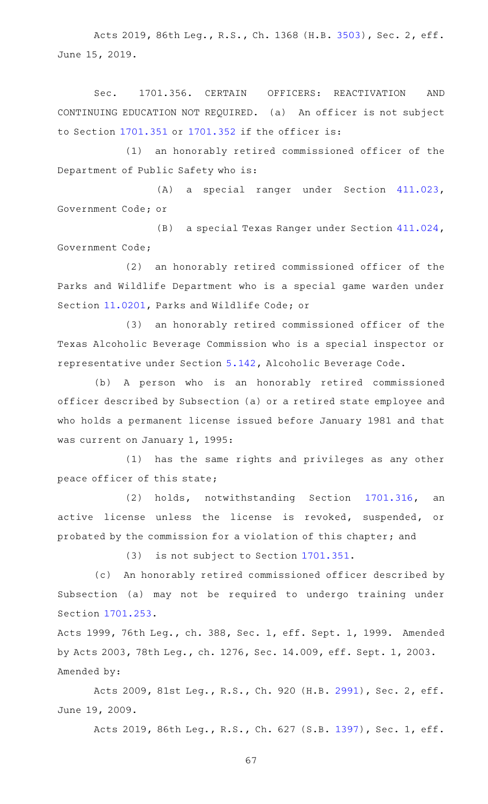Acts 2019, 86th Leg., R.S., Ch. 1368 (H.B. [3503](http://www.legis.state.tx.us/tlodocs/86R/billtext/html/HB03503F.HTM)), Sec. 2, eff. June 15, 2019.

Sec. 1701.356. CERTAIN OFFICERS: REACTIVATION AND CONTINUING EDUCATION NOT REQUIRED. (a) An officer is not subject to Section [1701.351](http://www.statutes.legis.state.tx.us/GetStatute.aspx?Code=OC&Value=1701.351) or [1701.352](http://www.statutes.legis.state.tx.us/GetStatute.aspx?Code=OC&Value=1701.352) if the officer is:

(1) an honorably retired commissioned officer of the Department of Public Safety who is:

(A) a special ranger under Section [411.023](http://www.statutes.legis.state.tx.us/GetStatute.aspx?Code=GV&Value=411.023), Government Code; or

(B) a special Texas Ranger under Section [411.024](http://www.statutes.legis.state.tx.us/GetStatute.aspx?Code=GV&Value=411.024), Government Code;

(2) an honorably retired commissioned officer of the Parks and Wildlife Department who is a special game warden under Section [11.0201,](http://www.statutes.legis.state.tx.us/GetStatute.aspx?Code=PW&Value=11.0201) Parks and Wildlife Code; or

(3) an honorably retired commissioned officer of the Texas Alcoholic Beverage Commission who is a special inspector or representative under Section [5.142](http://www.statutes.legis.state.tx.us/GetStatute.aspx?Code=AL&Value=5.142), Alcoholic Beverage Code.

(b) A person who is an honorably retired commissioned officer described by Subsection (a) or a retired state employee and who holds a permanent license issued before January 1981 and that was current on January 1, 1995:

(1) has the same rights and privileges as any other peace officer of this state;

(2) holds, notwithstanding Section [1701.316,](http://www.statutes.legis.state.tx.us/GetStatute.aspx?Code=OC&Value=1701.316) an active license unless the license is revoked, suspended, or probated by the commission for a violation of this chapter; and

(3) is not subject to Section [1701.351](http://www.statutes.legis.state.tx.us/GetStatute.aspx?Code=OC&Value=1701.351).

(c) An honorably retired commissioned officer described by Subsection (a) may not be required to undergo training under Section [1701.253](http://www.statutes.legis.state.tx.us/GetStatute.aspx?Code=OC&Value=1701.253).

Acts 1999, 76th Leg., ch. 388, Sec. 1, eff. Sept. 1, 1999. Amended by Acts 2003, 78th Leg., ch. 1276, Sec. 14.009, eff. Sept. 1, 2003. Amended by:

Acts 2009, 81st Leg., R.S., Ch. 920 (H.B. [2991](http://www.legis.state.tx.us/tlodocs/81R/billtext/html/HB02991F.HTM)), Sec. 2, eff. June 19, 2009.

Acts 2019, 86th Leg., R.S., Ch. 627 (S.B. [1397](http://www.legis.state.tx.us/tlodocs/86R/billtext/html/SB01397F.HTM)), Sec. 1, eff.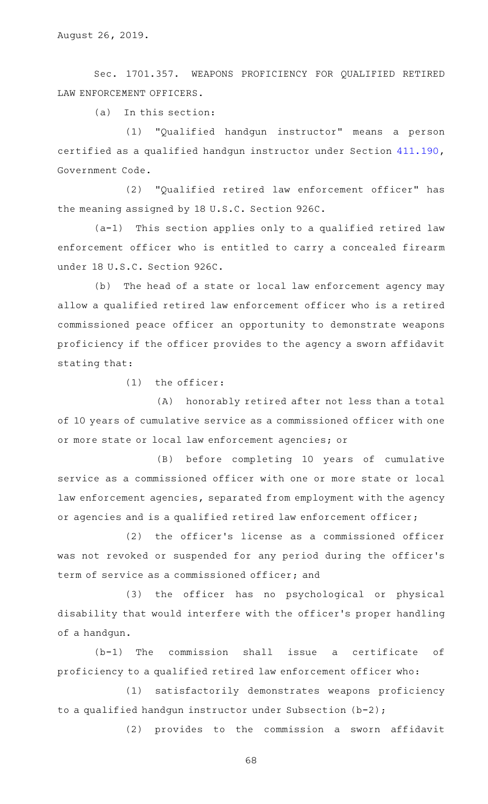Sec. 1701.357. WEAPONS PROFICIENCY FOR QUALIFIED RETIRED LAW ENFORCEMENT OFFICERS.

 $(a)$  In this section:

(1) "Qualified handgun instructor" means a person certified as a qualified handgun instructor under Section [411.190](http://www.statutes.legis.state.tx.us/GetStatute.aspx?Code=GV&Value=411.190), Government Code.

(2) "Qualified retired law enforcement officer" has the meaning assigned by 18 U.S.C. Section 926C.

(a-1) This section applies only to a qualified retired law enforcement officer who is entitled to carry a concealed firearm under 18 U.S.C. Section 926C.

(b) The head of a state or local law enforcement agency may allow a qualified retired law enforcement officer who is a retired commissioned peace officer an opportunity to demonstrate weapons proficiency if the officer provides to the agency a sworn affidavit stating that:

 $(1)$  the officer:

(A) honorably retired after not less than a total of 10 years of cumulative service as a commissioned officer with one or more state or local law enforcement agencies; or

(B) before completing 10 years of cumulative service as a commissioned officer with one or more state or local law enforcement agencies, separated from employment with the agency or agencies and is a qualified retired law enforcement officer;

(2) the officer's license as a commissioned officer was not revoked or suspended for any period during the officer 's term of service as a commissioned officer; and

(3) the officer has no psychological or physical disability that would interfere with the officer 's proper handling of a handgun.

 $(b-1)$  The commission shall issue a certificate of proficiency to a qualified retired law enforcement officer who:

(1) satisfactorily demonstrates weapons proficiency to a qualified handgun instructor under Subsection (b-2);

(2) provides to the commission a sworn affidavit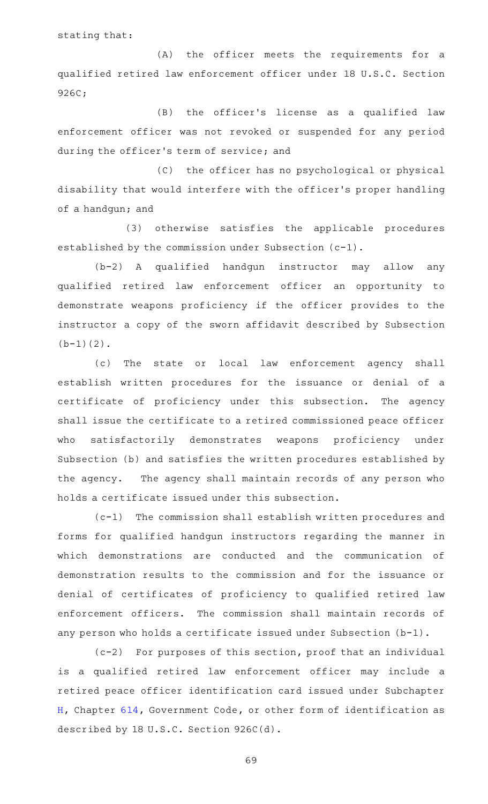stating that:

(A) the officer meets the requirements for a qualified retired law enforcement officer under 18 U.S.C. Section 926C;

(B) the officer's license as a qualified law enforcement officer was not revoked or suspended for any period during the officer 's term of service; and

(C) the officer has no psychological or physical disability that would interfere with the officer 's proper handling of a handgun; and

(3) otherwise satisfies the applicable procedures established by the commission under Subsection (c-1).

(b-2) A qualified handgun instructor may allow any qualified retired law enforcement officer an opportunity to demonstrate weapons proficiency if the officer provides to the instructor a copy of the sworn affidavit described by Subsection  $(b-1)(2)$ .

(c) The state or local law enforcement agency shall establish written procedures for the issuance or denial of a certificate of proficiency under this subsection. The agency shall issue the certificate to a retired commissioned peace officer who satisfactorily demonstrates weapons proficiency under Subsection (b) and satisfies the written procedures established by the agency. The agency shall maintain records of any person who holds a certificate issued under this subsection.

(c-1) The commission shall establish written procedures and forms for qualified handgun instructors regarding the manner in which demonstrations are conducted and the communication of demonstration results to the commission and for the issuance or denial of certificates of proficiency to qualified retired law enforcement officers. The commission shall maintain records of any person who holds a certificate issued under Subsection (b-1).

 $(c-2)$  For purposes of this section, proof that an individual is a qualified retired law enforcement officer may include a retired peace officer identification card issued under Subchapter [H,](http://www.statutes.legis.state.tx.us/GetStatute.aspx?Code=GV&Value=614.121) Chapter [614,](http://www.statutes.legis.state.tx.us/GetStatute.aspx?Code=GV&Value=614) Government Code, or other form of identification as described by 18 U.S.C. Section 926C(d).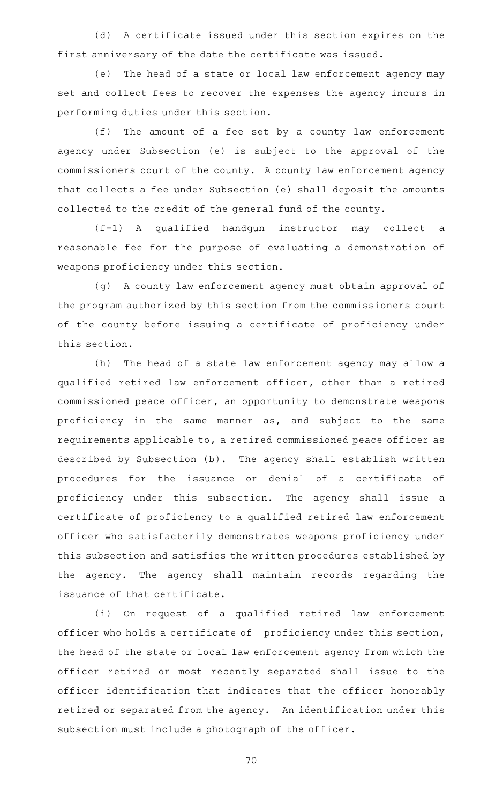(d) A certificate issued under this section expires on the first anniversary of the date the certificate was issued.

(e) The head of a state or local law enforcement agency may set and collect fees to recover the expenses the agency incurs in performing duties under this section.

(f) The amount of a fee set by a county law enforcement agency under Subsection (e) is subject to the approval of the commissioners court of the county. A county law enforcement agency that collects a fee under Subsection (e) shall deposit the amounts collected to the credit of the general fund of the county.

(f-1)AAA qualified handgun instructor may collect a reasonable fee for the purpose of evaluating a demonstration of weapons proficiency under this section.

(g) A county law enforcement agency must obtain approval of the program authorized by this section from the commissioners court of the county before issuing a certificate of proficiency under this section.

(h) The head of a state law enforcement agency may allow a qualified retired law enforcement officer, other than a retired commissioned peace officer, an opportunity to demonstrate weapons proficiency in the same manner as, and subject to the same requirements applicable to, a retired commissioned peace officer as described by Subsection (b). The agency shall establish written procedures for the issuance or denial of a certificate of proficiency under this subsection. The agency shall issue a certificate of proficiency to a qualified retired law enforcement officer who satisfactorily demonstrates weapons proficiency under this subsection and satisfies the written procedures established by the agency. The agency shall maintain records regarding the issuance of that certificate.

(i) On request of a qualified retired law enforcement officer who holds a certificate of proficiency under this section, the head of the state or local law enforcement agency from which the officer retired or most recently separated shall issue to the officer identification that indicates that the officer honorably retired or separated from the agency. An identification under this subsection must include a photograph of the officer.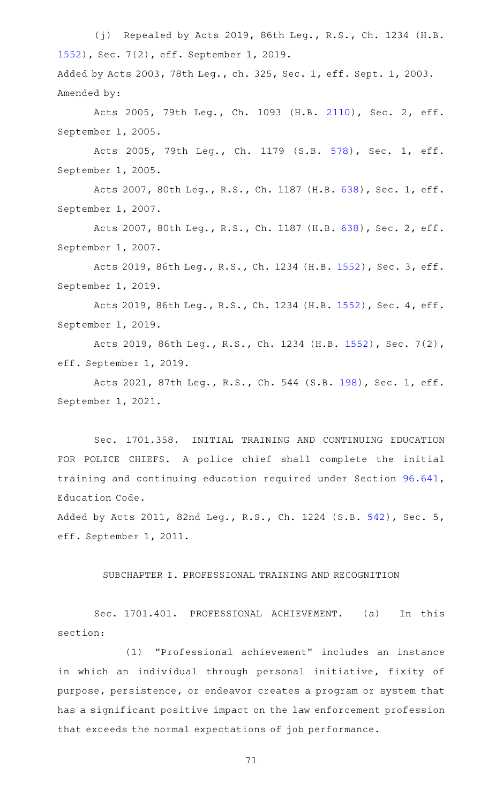(j) Repealed by Acts 2019, 86th Leg., R.S., Ch. 1234 (H.B. [1552](http://www.legis.state.tx.us/tlodocs/86R/billtext/html/HB01552F.HTM)), Sec. 7(2), eff. September 1, 2019. Added by Acts 2003, 78th Leg., ch. 325, Sec. 1, eff. Sept. 1, 2003. Amended by:

Acts 2005, 79th Leg., Ch. 1093 (H.B. [2110](http://www.legis.state.tx.us/tlodocs/79R/billtext/html/HB02110F.HTM)), Sec. 2, eff. September 1, 2005.

Acts 2005, 79th Leg., Ch. 1179 (S.B. [578](http://www.legis.state.tx.us/tlodocs/79R/billtext/html/SB00578F.HTM)), Sec. 1, eff. September 1, 2005.

Acts 2007, 80th Leg., R.S., Ch. 1187 (H.B. [638](http://www.legis.state.tx.us/tlodocs/80R/billtext/html/HB00638F.HTM)), Sec. 1, eff. September 1, 2007.

Acts 2007, 80th Leg., R.S., Ch. 1187 (H.B. [638](http://www.legis.state.tx.us/tlodocs/80R/billtext/html/HB00638F.HTM)), Sec. 2, eff. September 1, 2007.

Acts 2019, 86th Leg., R.S., Ch. 1234 (H.B. [1552](http://www.legis.state.tx.us/tlodocs/86R/billtext/html/HB01552F.HTM)), Sec. 3, eff. September 1, 2019.

Acts 2019, 86th Leg., R.S., Ch. 1234 (H.B. [1552](http://www.legis.state.tx.us/tlodocs/86R/billtext/html/HB01552F.HTM)), Sec. 4, eff. September 1, 2019.

Acts 2019, 86th Leg., R.S., Ch. 1234 (H.B. [1552](http://www.legis.state.tx.us/tlodocs/86R/billtext/html/HB01552F.HTM)), Sec. 7(2), eff. September 1, 2019.

Acts 2021, 87th Leg., R.S., Ch. 544 (S.B. [198](http://www.legis.state.tx.us/tlodocs/87R/billtext/html/SB00198F.HTM)), Sec. 1, eff. September 1, 2021.

Sec. 1701.358. INITIAL TRAINING AND CONTINUING EDUCATION FOR POLICE CHIEFS. A police chief shall complete the initial training and continuing education required under Section [96.641](http://www.statutes.legis.state.tx.us/GetStatute.aspx?Code=ED&Value=96.641), Education Code.

Added by Acts 2011, 82nd Leg., R.S., Ch. 1224 (S.B. [542](http://www.legis.state.tx.us/tlodocs/82R/billtext/html/SB00542F.HTM)), Sec. 5, eff. September 1, 2011.

SUBCHAPTER I. PROFESSIONAL TRAINING AND RECOGNITION

Sec. 1701.401. PROFESSIONAL ACHIEVEMENT. (a) In this section:

(1) "Professional achievement" includes an instance in which an individual through personal initiative, fixity of purpose, persistence, or endeavor creates a program or system that has a significant positive impact on the law enforcement profession that exceeds the normal expectations of job performance.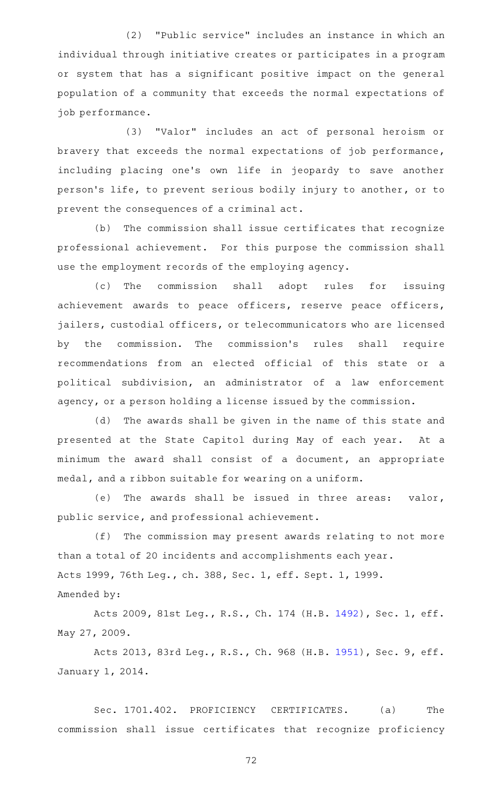(2) "Public service" includes an instance in which an individual through initiative creates or participates in a program or system that has a significant positive impact on the general population of a community that exceeds the normal expectations of job performance.

(3) "Valor" includes an act of personal heroism or bravery that exceeds the normal expectations of job performance, including placing one's own life in jeopardy to save another person 's life, to prevent serious bodily injury to another, or to prevent the consequences of a criminal act.

(b) The commission shall issue certificates that recognize professional achievement. For this purpose the commission shall use the employment records of the employing agency.

(c) The commission shall adopt rules for issuing achievement awards to peace officers, reserve peace officers, jailers, custodial officers, or telecommunicators who are licensed by the commission. The commission's rules shall require recommendations from an elected official of this state or a political subdivision, an administrator of a law enforcement agency, or a person holding a license issued by the commission.

(d) The awards shall be given in the name of this state and presented at the State Capitol during May of each year. At a minimum the award shall consist of a document, an appropriate medal, and a ribbon suitable for wearing on a uniform.

(e) The awards shall be issued in three areas: valor, public service, and professional achievement.

(f) The commission may present awards relating to not more than a total of 20 incidents and accomplishments each year. Acts 1999, 76th Leg., ch. 388, Sec. 1, eff. Sept. 1, 1999. Amended by:

Acts 2009, 81st Leg., R.S., Ch. 174 (H.B. [1492](http://www.legis.state.tx.us/tlodocs/81R/billtext/html/HB01492F.HTM)), Sec. 1, eff. May 27, 2009.

Acts 2013, 83rd Leg., R.S., Ch. 968 (H.B. [1951](http://www.legis.state.tx.us/tlodocs/83R/billtext/html/HB01951F.HTM)), Sec. 9, eff. January 1, 2014.

Sec. 1701.402. PROFICIENCY CERTIFICATES. (a) The commission shall issue certificates that recognize proficiency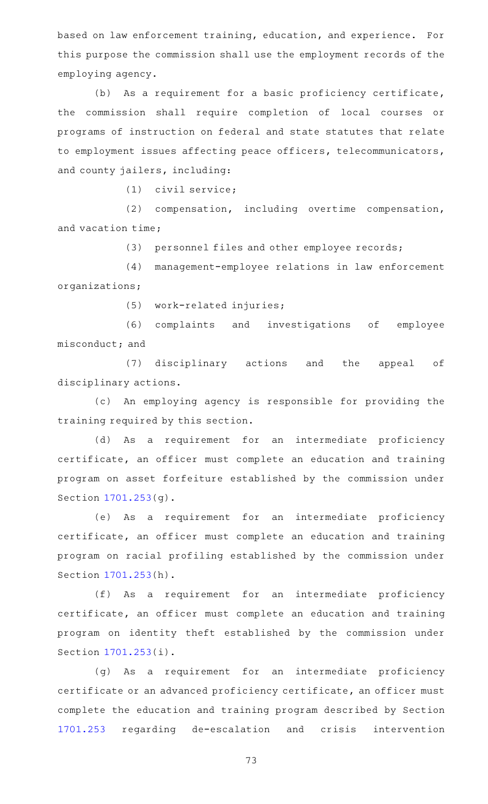based on law enforcement training, education, and experience. For this purpose the commission shall use the employment records of the employing agency.

(b) As a requirement for a basic proficiency certificate, the commission shall require completion of local courses or programs of instruction on federal and state statutes that relate to employment issues affecting peace officers, telecommunicators, and county jailers, including:

 $(1)$  civil service;

(2) compensation, including overtime compensation, and vacation time;

(3) personnel files and other employee records;

(4) management-employee relations in law enforcement organizations;

(5) work-related injuries;

(6) complaints and investigations of employee misconduct; and

(7) disciplinary actions and the appeal of disciplinary actions.

(c) An employing agency is responsible for providing the training required by this section.

(d) As a requirement for an intermediate proficiency certificate, an officer must complete an education and training program on asset forfeiture established by the commission under Section [1701.253](http://www.statutes.legis.state.tx.us/GetStatute.aspx?Code=OC&Value=1701.253)(g).

(e) As a requirement for an intermediate proficiency certificate, an officer must complete an education and training program on racial profiling established by the commission under Section [1701.253](http://www.statutes.legis.state.tx.us/GetStatute.aspx?Code=OC&Value=1701.253)(h).

(f) As a requirement for an intermediate proficiency certificate, an officer must complete an education and training program on identity theft established by the commission under Section [1701.253](http://www.statutes.legis.state.tx.us/GetStatute.aspx?Code=OC&Value=1701.253)(i).

(g) As a requirement for an intermediate proficiency certificate or an advanced proficiency certificate, an officer must complete the education and training program described by Section [1701.253](http://www.statutes.legis.state.tx.us/GetStatute.aspx?Code=OC&Value=1701.253) regarding de-escalation and crisis intervention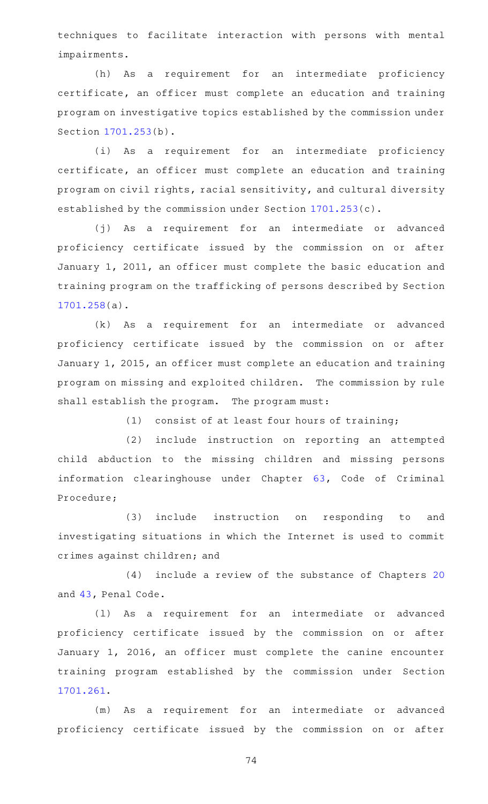techniques to facilitate interaction with persons with mental impairments.

(h) As a requirement for an intermediate proficiency certificate, an officer must complete an education and training program on investigative topics established by the commission under Section [1701.253](http://www.statutes.legis.state.tx.us/GetStatute.aspx?Code=OC&Value=1701.253)(b).

(i) As a requirement for an intermediate proficiency certificate, an officer must complete an education and training program on civil rights, racial sensitivity, and cultural diversity established by the commission under Section [1701.253](http://www.statutes.legis.state.tx.us/GetStatute.aspx?Code=OC&Value=1701.253)(c).

(j) As a requirement for an intermediate or advanced proficiency certificate issued by the commission on or after January 1, 2011, an officer must complete the basic education and training program on the trafficking of persons described by Section [1701.258](http://www.statutes.legis.state.tx.us/GetStatute.aspx?Code=OC&Value=1701.258)(a).

(k) As a requirement for an intermediate or advanced proficiency certificate issued by the commission on or after January 1, 2015, an officer must complete an education and training program on missing and exploited children. The commission by rule shall establish the program. The program must:

 $(1)$  consist of at least four hours of training;

(2) include instruction on reporting an attempted child abduction to the missing children and missing persons information clearinghouse under Chapter [63,](http://www.statutes.legis.state.tx.us/GetStatute.aspx?Code=CR&Value=63) Code of Criminal Procedure;

(3) include instruction on responding to and investigating situations in which the Internet is used to commit crimes against children; and

 $(4)$  include a review of the substance of Chapters [20](http://www.statutes.legis.state.tx.us/GetStatute.aspx?Code=PE&Value=20) and [43,](http://www.statutes.legis.state.tx.us/GetStatute.aspx?Code=PE&Value=43) Penal Code.

(1) As a requirement for an intermediate or advanced proficiency certificate issued by the commission on or after January 1, 2016, an officer must complete the canine encounter training program established by the commission under Section [1701.261](http://www.statutes.legis.state.tx.us/GetStatute.aspx?Code=OC&Value=1701.261).

(m) As a requirement for an intermediate or advanced proficiency certificate issued by the commission on or after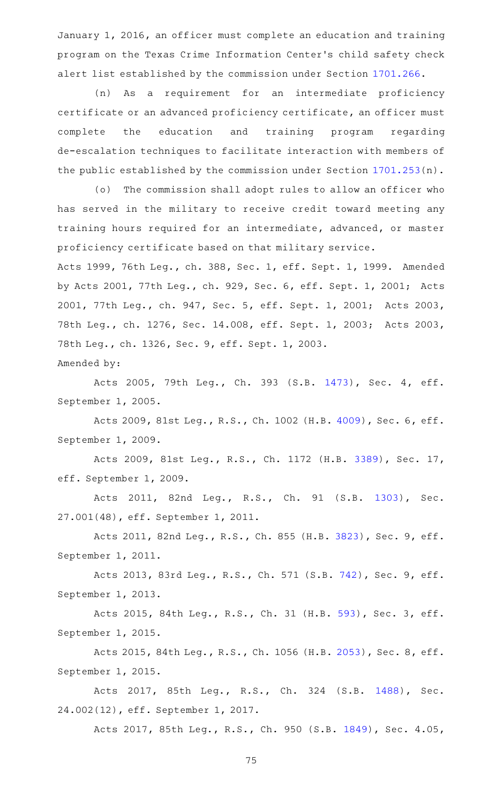January 1, 2016, an officer must complete an education and training program on the Texas Crime Information Center 's child safety check alert list established by the commission under Section [1701.266](http://www.statutes.legis.state.tx.us/GetStatute.aspx?Code=OC&Value=1701.266).

(n) As a requirement for an intermediate proficiency certificate or an advanced proficiency certificate, an officer must complete the education and training program regarding de-escalation techniques to facilitate interaction with members of the public established by the commission under Section [1701.253](http://www.statutes.legis.state.tx.us/GetStatute.aspx?Code=OC&Value=1701.253)(n).

(o) The commission shall adopt rules to allow an officer who has served in the military to receive credit toward meeting any training hours required for an intermediate, advanced, or master proficiency certificate based on that military service.

Acts 1999, 76th Leg., ch. 388, Sec. 1, eff. Sept. 1, 1999. Amended by Acts 2001, 77th Leg., ch. 929, Sec. 6, eff. Sept. 1, 2001; Acts 2001, 77th Leg., ch. 947, Sec. 5, eff. Sept. 1, 2001; Acts 2003, 78th Leg., ch. 1276, Sec. 14.008, eff. Sept. 1, 2003; Acts 2003, 78th Leg., ch. 1326, Sec. 9, eff. Sept. 1, 2003.

Amended by:

Acts 2005, 79th Leg., Ch. 393 (S.B. [1473](http://www.legis.state.tx.us/tlodocs/79R/billtext/html/SB01473F.HTM)), Sec. 4, eff. September 1, 2005.

Acts 2009, 81st Leg., R.S., Ch. 1002 (H.B. [4009](http://www.legis.state.tx.us/tlodocs/81R/billtext/html/HB04009F.HTM)), Sec. 6, eff. September 1, 2009.

Acts 2009, 81st Leg., R.S., Ch. 1172 (H.B. [3389](http://www.legis.state.tx.us/tlodocs/81R/billtext/html/HB03389F.HTM)), Sec. 17, eff. September 1, 2009.

Acts 2011, 82nd Leg., R.S., Ch. 91 (S.B. [1303\)](http://www.legis.state.tx.us/tlodocs/82R/billtext/html/SB01303F.HTM), Sec. 27.001(48), eff. September 1, 2011.

Acts 2011, 82nd Leg., R.S., Ch. 855 (H.B. [3823](http://www.legis.state.tx.us/tlodocs/82R/billtext/html/HB03823F.HTM)), Sec. 9, eff. September 1, 2011.

Acts 2013, 83rd Leg., R.S., Ch. 571 (S.B. [742](http://www.legis.state.tx.us/tlodocs/83R/billtext/html/SB00742F.HTM)), Sec. 9, eff. September 1, 2013.

Acts 2015, 84th Leg., R.S., Ch. 31 (H.B. [593](http://www.legis.state.tx.us/tlodocs/84R/billtext/html/HB00593F.HTM)), Sec. 3, eff. September 1, 2015.

Acts 2015, 84th Leg., R.S., Ch. 1056 (H.B. [2053](http://www.legis.state.tx.us/tlodocs/84R/billtext/html/HB02053F.HTM)), Sec. 8, eff. September 1, 2015.

Acts 2017, 85th Leg., R.S., Ch. 324 (S.B. [1488\)](http://www.legis.state.tx.us/tlodocs/85R/billtext/html/SB01488F.HTM), Sec. 24.002(12), eff. September 1, 2017.

Acts 2017, 85th Leg., R.S., Ch. 950 (S.B. [1849\)](http://www.legis.state.tx.us/tlodocs/85R/billtext/html/SB01849F.HTM), Sec. 4.05,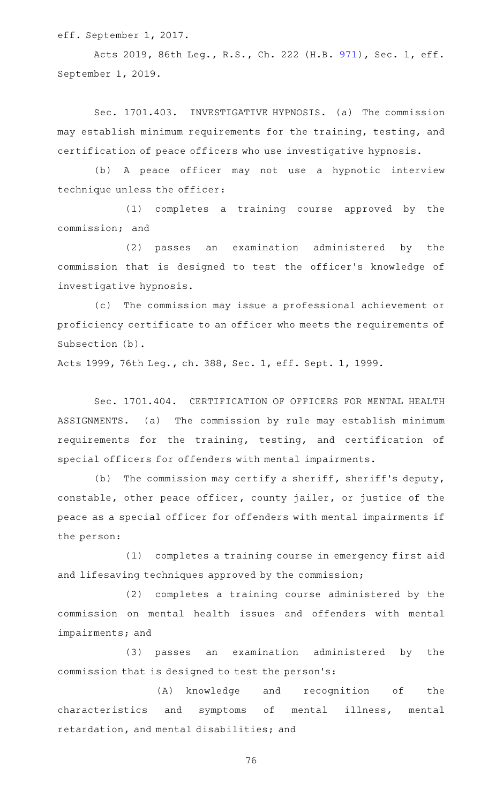eff. September 1, 2017.

Acts 2019, 86th Leg., R.S., Ch. 222 (H.B. [971](http://www.legis.state.tx.us/tlodocs/86R/billtext/html/HB00971F.HTM)), Sec. 1, eff. September 1, 2019.

Sec. 1701.403. INVESTIGATIVE HYPNOSIS. (a) The commission may establish minimum requirements for the training, testing, and certification of peace officers who use investigative hypnosis.

(b) A peace officer may not use a hypnotic interview technique unless the officer:

(1) completes a training course approved by the commission; and

(2) passes an examination administered by the commission that is designed to test the officer 's knowledge of investigative hypnosis.

(c) The commission may issue a professional achievement or proficiency certificate to an officer who meets the requirements of Subsection (b).

Acts 1999, 76th Leg., ch. 388, Sec. 1, eff. Sept. 1, 1999.

Sec. 1701.404. CERTIFICATION OF OFFICERS FOR MENTAL HEALTH ASSIGNMENTS. (a) The commission by rule may establish minimum requirements for the training, testing, and certification of special officers for offenders with mental impairments.

(b) The commission may certify a sheriff, sheriff's deputy, constable, other peace officer, county jailer, or justice of the peace as a special officer for offenders with mental impairments if the person:

(1) completes a training course in emergency first aid and lifesaving techniques approved by the commission;

(2) completes a training course administered by the commission on mental health issues and offenders with mental impairments; and

(3) passes an examination administered by the commission that is designed to test the person 's:

(A) knowledge and recognition of the characteristics and symptoms of mental illness, mental retardation, and mental disabilities; and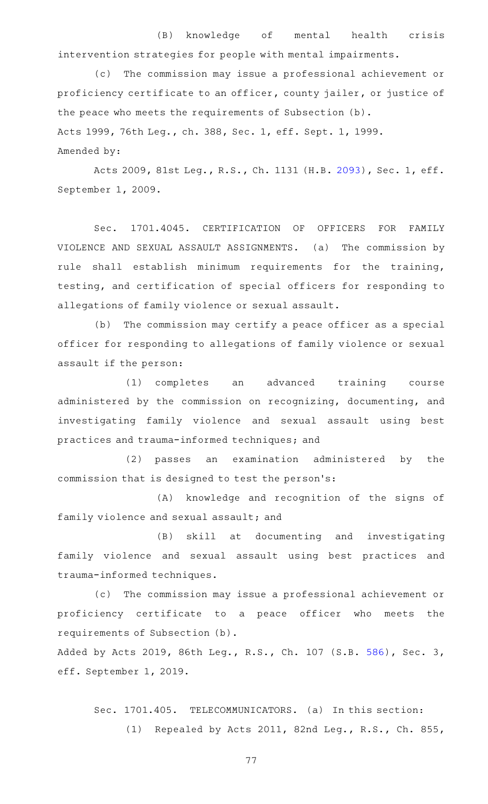(B) knowledge of mental health crisis intervention strategies for people with mental impairments.

(c) The commission may issue a professional achievement or proficiency certificate to an officer, county jailer, or justice of the peace who meets the requirements of Subsection (b). Acts 1999, 76th Leg., ch. 388, Sec. 1, eff. Sept. 1, 1999. Amended by:

Acts 2009, 81st Leg., R.S., Ch. 1131 (H.B. [2093](http://www.legis.state.tx.us/tlodocs/81R/billtext/html/HB02093F.HTM)), Sec. 1, eff. September 1, 2009.

Sec. 1701.4045. CERTIFICATION OF OFFICERS FOR FAMILY VIOLENCE AND SEXUAL ASSAULT ASSIGNMENTS. (a) The commission by rule shall establish minimum requirements for the training, testing, and certification of special officers for responding to allegations of family violence or sexual assault.

(b) The commission may certify a peace officer as a special officer for responding to allegations of family violence or sexual assault if the person:

(1) completes an advanced training course administered by the commission on recognizing, documenting, and investigating family violence and sexual assault using best practices and trauma-informed techniques; and

(2) passes an examination administered by the commission that is designed to test the person 's:

(A) knowledge and recognition of the signs of family violence and sexual assault; and

(B) skill at documenting and investigating family violence and sexual assault using best practices and trauma-informed techniques.

(c) The commission may issue a professional achievement or proficiency certificate to a peace officer who meets the requirements of Subsection (b).

Added by Acts 2019, 86th Leg., R.S., Ch. 107 (S.B. [586](http://www.legis.state.tx.us/tlodocs/86R/billtext/html/SB00586F.HTM)), Sec. 3, eff. September 1, 2019.

Sec. 1701.405. TELECOMMUNICATORS. (a) In this section: (1) Repealed by Acts 2011, 82nd Leg., R.S., Ch. 855,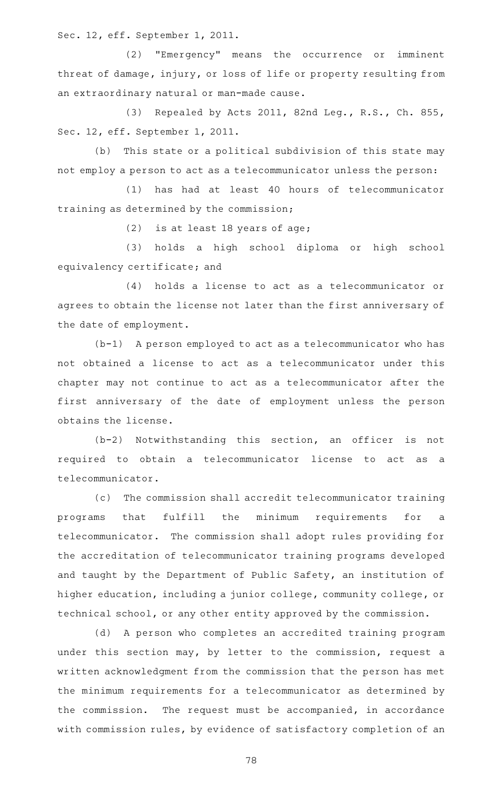Sec. 12, eff. September 1, 2011.

(2) "Emergency" means the occurrence or imminent threat of damage, injury, or loss of life or property resulting from an extraordinary natural or man-made cause.

(3) Repealed by Acts 2011, 82nd Leg., R.S., Ch. 855, Sec. 12, eff. September 1, 2011.

(b) This state or a political subdivision of this state may not employ a person to act as a telecommunicator unless the person:

(1) has had at least 40 hours of telecommunicator training as determined by the commission;

(2) is at least 18 years of age;

(3) holds a high school diploma or high school equivalency certificate; and

(4) holds a license to act as a telecommunicator or agrees to obtain the license not later than the first anniversary of the date of employment.

 $(b-1)$  A person employed to act as a telecommunicator who has not obtained a license to act as a telecommunicator under this chapter may not continue to act as a telecommunicator after the first anniversary of the date of employment unless the person obtains the license.

 $(b-2)$  Notwithstanding this section, an officer is not required to obtain a telecommunicator license to act as a telecommunicator.

(c) The commission shall accredit telecommunicator training programs that fulfill the minimum requirements for a telecommunicator. The commission shall adopt rules providing for the accreditation of telecommunicator training programs developed and taught by the Department of Public Safety, an institution of higher education, including a junior college, community college, or technical school, or any other entity approved by the commission.

(d) A person who completes an accredited training program under this section may, by letter to the commission, request a written acknowledgment from the commission that the person has met the minimum requirements for a telecommunicator as determined by the commission. The request must be accompanied, in accordance with commission rules, by evidence of satisfactory completion of an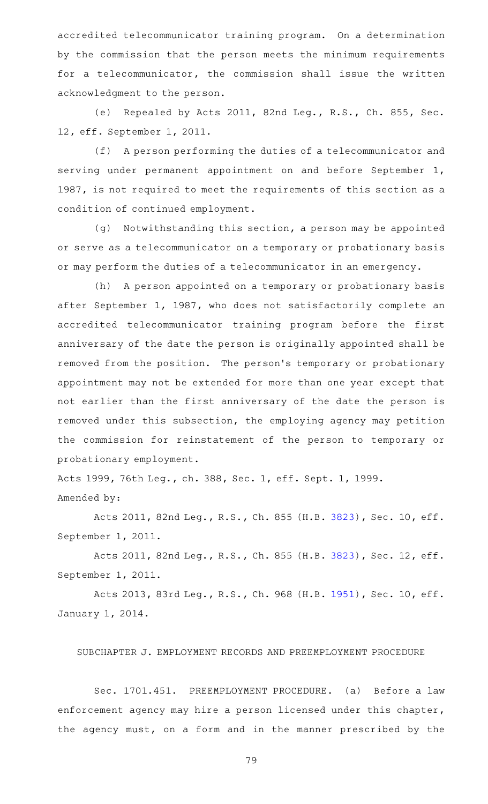accredited telecommunicator training program. On a determination by the commission that the person meets the minimum requirements for a telecommunicator, the commission shall issue the written acknowledgment to the person.

(e) Repealed by Acts 2011, 82nd Leg., R.S., Ch. 855, Sec. 12, eff. September 1, 2011.

(f) A person performing the duties of a telecommunicator and serving under permanent appointment on and before September 1, 1987, is not required to meet the requirements of this section as a condition of continued employment.

(g) Notwithstanding this section, a person may be appointed or serve as a telecommunicator on a temporary or probationary basis or may perform the duties of a telecommunicator in an emergency.

(h) A person appointed on a temporary or probationary basis after September 1, 1987, who does not satisfactorily complete an accredited telecommunicator training program before the first anniversary of the date the person is originally appointed shall be removed from the position. The person 's temporary or probationary appointment may not be extended for more than one year except that not earlier than the first anniversary of the date the person is removed under this subsection, the employing agency may petition the commission for reinstatement of the person to temporary or probationary employment.

Acts 1999, 76th Leg., ch. 388, Sec. 1, eff. Sept. 1, 1999. Amended by:

Acts 2011, 82nd Leg., R.S., Ch. 855 (H.B. [3823\)](http://www.legis.state.tx.us/tlodocs/82R/billtext/html/HB03823F.HTM), Sec. 10, eff. September 1, 2011.

Acts 2011, 82nd Leg., R.S., Ch. 855 (H.B. [3823\)](http://www.legis.state.tx.us/tlodocs/82R/billtext/html/HB03823F.HTM), Sec. 12, eff. September 1, 2011.

Acts 2013, 83rd Leg., R.S., Ch. 968 (H.B. [1951\)](http://www.legis.state.tx.us/tlodocs/83R/billtext/html/HB01951F.HTM), Sec. 10, eff. January 1, 2014.

SUBCHAPTER J. EMPLOYMENT RECORDS AND PREEMPLOYMENT PROCEDURE

Sec. 1701.451. PREEMPLOYMENT PROCEDURE. (a) Before a law enforcement agency may hire a person licensed under this chapter, the agency must, on a form and in the manner prescribed by the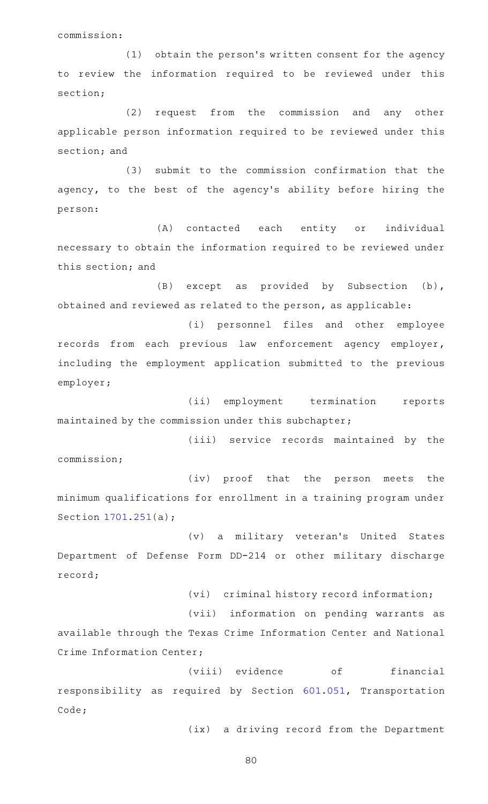commission:

(1) obtain the person's written consent for the agency to review the information required to be reviewed under this section;

(2) request from the commission and any other applicable person information required to be reviewed under this section; and

(3) submit to the commission confirmation that the agency, to the best of the agency 's ability before hiring the person:

(A) contacted each entity or individual necessary to obtain the information required to be reviewed under this section; and

(B) except as provided by Subsection (b), obtained and reviewed as related to the person, as applicable:

(i) personnel files and other employee records from each previous law enforcement agency employer, including the employment application submitted to the previous employer;

(ii) employment termination reports maintained by the commission under this subchapter;

(iii) service records maintained by the commission;

(iv) proof that the person meets the minimum qualifications for enrollment in a training program under Section [1701.251](http://www.statutes.legis.state.tx.us/GetStatute.aspx?Code=OC&Value=1701.251)(a);

(v) a military veteran's United States Department of Defense Form DD-214 or other military discharge record;

(vi) criminal history record information;

(vii) information on pending warrants as

available through the Texas Crime Information Center and National Crime Information Center;

(viii) evidence of financial responsibility as required by Section [601.051,](http://www.statutes.legis.state.tx.us/GetStatute.aspx?Code=TN&Value=601.051) Transportation Code;

(ix) a driving record from the Department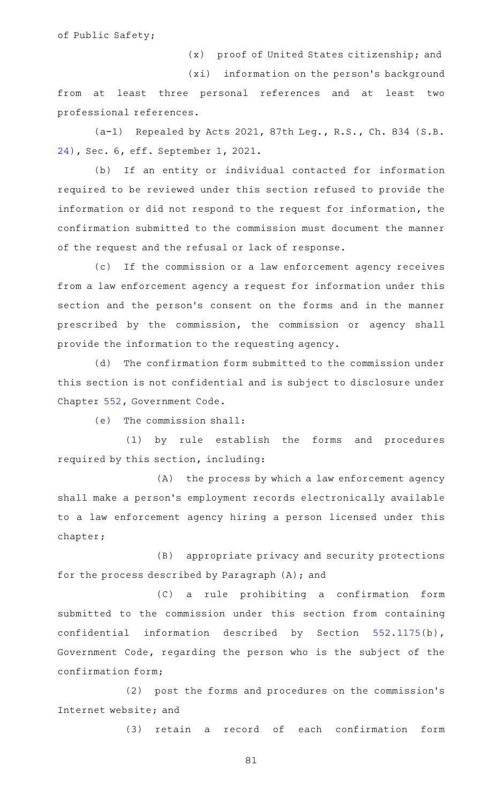of Public Safety;

(x) proof of United States citizenship; and

(xi) information on the person's background from at least three personal references and at least two professional references.

(a-1) Repealed by Acts 2021, 87th Leg., R.S., Ch. 834 (S.B. [24](http://www.legis.state.tx.us/tlodocs/87R/billtext/html/SB00024F.HTM)), Sec. 6, eff. September 1, 2021.

(b) If an entity or individual contacted for information required to be reviewed under this section refused to provide the information or did not respond to the request for information, the confirmation submitted to the commission must document the manner of the request and the refusal or lack of response.

(c) If the commission or a law enforcement agency receives from a law enforcement agency a request for information under this section and the person's consent on the forms and in the manner prescribed by the commission, the commission or agency shall provide the information to the requesting agency.

(d) The confirmation form submitted to the commission under this section is not confidential and is subject to disclosure under Chapter [552,](http://www.statutes.legis.state.tx.us/GetStatute.aspx?Code=GV&Value=552) Government Code.

(e) The commission shall:

(1) by rule establish the forms and procedures required by this section, including:

 $(A)$  the process by which a law enforcement agency shall make a person's employment records electronically available to a law enforcement agency hiring a person licensed under this chapter;

(B) appropriate privacy and security protections for the process described by Paragraph (A); and

(C) a rule prohibiting a confirmation form submitted to the commission under this section from containing confidential information described by Section [552.1175\(](http://www.statutes.legis.state.tx.us/GetStatute.aspx?Code=GV&Value=552.1175)b), Government Code, regarding the person who is the subject of the confirmation form;

(2) post the forms and procedures on the commission's Internet website; and

(3) retain a record of each confirmation form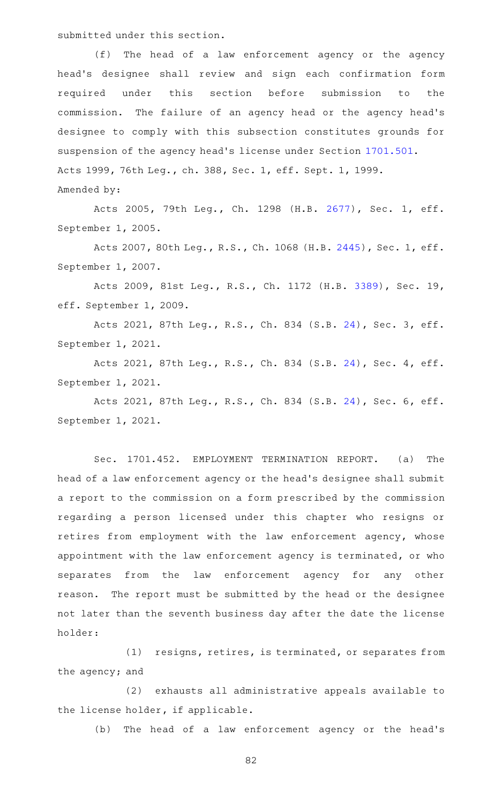submitted under this section.

(f) The head of a law enforcement agency or the agency head 's designee shall review and sign each confirmation form required under this section before submission to the commission. The failure of an agency head or the agency head's designee to comply with this subsection constitutes grounds for suspension of the agency head's license under Section [1701.501](http://www.statutes.legis.state.tx.us/GetStatute.aspx?Code=OC&Value=1701.501). Acts 1999, 76th Leg., ch. 388, Sec. 1, eff. Sept. 1, 1999. Amended by:

Acts 2005, 79th Leg., Ch. 1298 (H.B. [2677](http://www.legis.state.tx.us/tlodocs/79R/billtext/html/HB02677F.HTM)), Sec. 1, eff. September 1, 2005.

Acts 2007, 80th Leg., R.S., Ch. 1068 (H.B. [2445](http://www.legis.state.tx.us/tlodocs/80R/billtext/html/HB02445F.HTM)), Sec. 1, eff. September 1, 2007.

Acts 2009, 81st Leg., R.S., Ch. 1172 (H.B. [3389](http://www.legis.state.tx.us/tlodocs/81R/billtext/html/HB03389F.HTM)), Sec. 19, eff. September 1, 2009.

Acts 2021, 87th Leg., R.S., Ch. 834 (S.B. [24](http://www.legis.state.tx.us/tlodocs/87R/billtext/html/SB00024F.HTM)), Sec. 3, eff. September 1, 2021.

Acts 2021, 87th Leg., R.S., Ch. 834 (S.B. [24](http://www.legis.state.tx.us/tlodocs/87R/billtext/html/SB00024F.HTM)), Sec. 4, eff. September 1, 2021.

Acts 2021, 87th Leg., R.S., Ch. 834 (S.B. [24](http://www.legis.state.tx.us/tlodocs/87R/billtext/html/SB00024F.HTM)), Sec. 6, eff. September 1, 2021.

Sec. 1701.452. EMPLOYMENT TERMINATION REPORT. (a) The head of a law enforcement agency or the head 's designee shall submit a report to the commission on a form prescribed by the commission regarding a person licensed under this chapter who resigns or retires from employment with the law enforcement agency, whose appointment with the law enforcement agency is terminated, or who separates from the law enforcement agency for any other reason. The report must be submitted by the head or the designee not later than the seventh business day after the date the license holder:

(1) resigns, retires, is terminated, or separates from the agency; and

(2) exhausts all administrative appeals available to the license holder, if applicable.

(b) The head of a law enforcement agency or the head's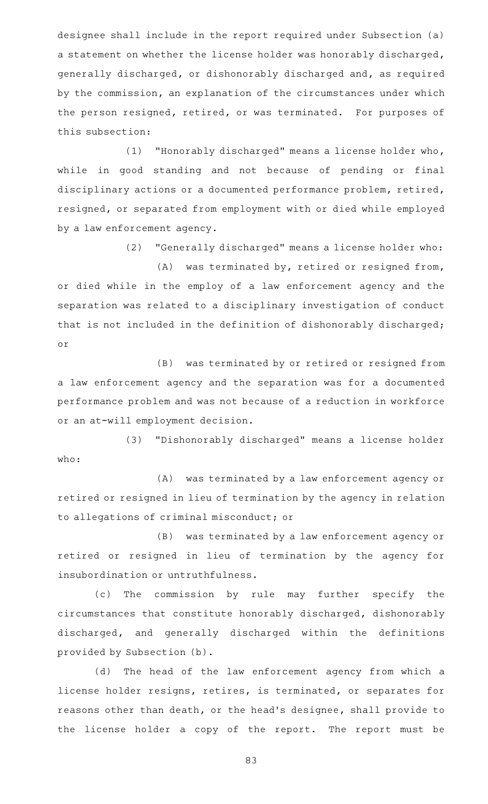designee shall include in the report required under Subsection (a) a statement on whether the license holder was honorably discharged, generally discharged, or dishonorably discharged and, as required by the commission, an explanation of the circumstances under which the person resigned, retired, or was terminated. For purposes of this subsection:

(1) "Honorably discharged" means a license holder who, while in good standing and not because of pending or final disciplinary actions or a documented performance problem, retired, resigned, or separated from employment with or died while employed by a law enforcement agency.

(2) "Generally discharged" means a license holder who:

 $(A)$  was terminated by, retired or resigned from, or died while in the employ of a law enforcement agency and the separation was related to a disciplinary investigation of conduct that is not included in the definition of dishonorably discharged; or

(B) was terminated by or retired or resigned from a law enforcement agency and the separation was for a documented performance problem and was not because of a reduction in workforce or an at-will employment decision.

(3) "Dishonorably discharged" means a license holder who:

(A) was terminated by a law enforcement agency or retired or resigned in lieu of termination by the agency in relation to allegations of criminal misconduct; or

(B) was terminated by a law enforcement agency or retired or resigned in lieu of termination by the agency for insubordination or untruthfulness.

(c) The commission by rule may further specify the circumstances that constitute honorably discharged, dishonorably discharged, and generally discharged within the definitions provided by Subsection (b).

(d) The head of the law enforcement agency from which a license holder resigns, retires, is terminated, or separates for reasons other than death, or the head 's designee, shall provide to the license holder a copy of the report. The report must be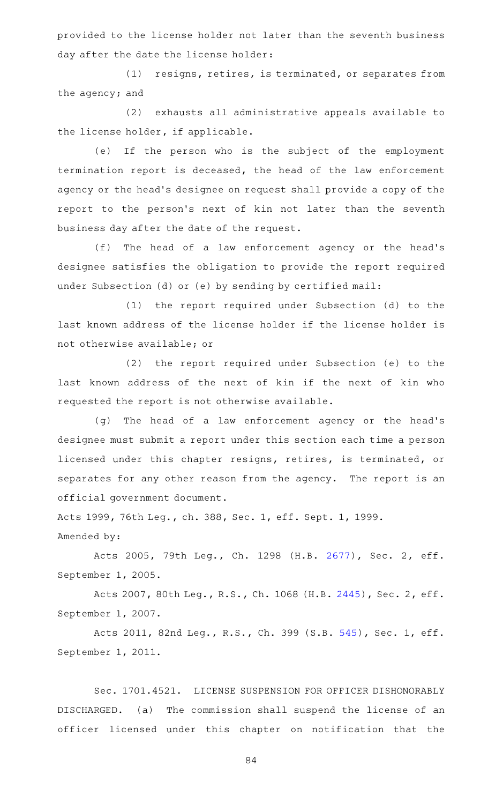provided to the license holder not later than the seventh business day after the date the license holder:

(1) resigns, retires, is terminated, or separates from the agency; and

(2) exhausts all administrative appeals available to the license holder, if applicable.

(e) If the person who is the subject of the employment termination report is deceased, the head of the law enforcement agency or the head 's designee on request shall provide a copy of the report to the person's next of kin not later than the seventh business day after the date of the request.

(f) The head of a law enforcement agency or the head's designee satisfies the obligation to provide the report required under Subsection (d) or (e) by sending by certified mail:

(1) the report required under Subsection (d) to the last known address of the license holder if the license holder is not otherwise available; or

(2) the report required under Subsection (e) to the last known address of the next of kin if the next of kin who requested the report is not otherwise available.

(g) The head of a law enforcement agency or the head's designee must submit a report under this section each time a person licensed under this chapter resigns, retires, is terminated, or separates for any other reason from the agency. The report is an official government document.

Acts 1999, 76th Leg., ch. 388, Sec. 1, eff. Sept. 1, 1999. Amended by:

Acts 2005, 79th Leg., Ch. 1298 (H.B. [2677](http://www.legis.state.tx.us/tlodocs/79R/billtext/html/HB02677F.HTM)), Sec. 2, eff. September 1, 2005.

Acts 2007, 80th Leg., R.S., Ch. 1068 (H.B. [2445](http://www.legis.state.tx.us/tlodocs/80R/billtext/html/HB02445F.HTM)), Sec. 2, eff. September 1, 2007.

Acts 2011, 82nd Leg., R.S., Ch. 399 (S.B. [545](http://www.legis.state.tx.us/tlodocs/82R/billtext/html/SB00545F.HTM)), Sec. 1, eff. September 1, 2011.

Sec. 1701.4521. LICENSE SUSPENSION FOR OFFICER DISHONORABLY DISCHARGED. (a) The commission shall suspend the license of an officer licensed under this chapter on notification that the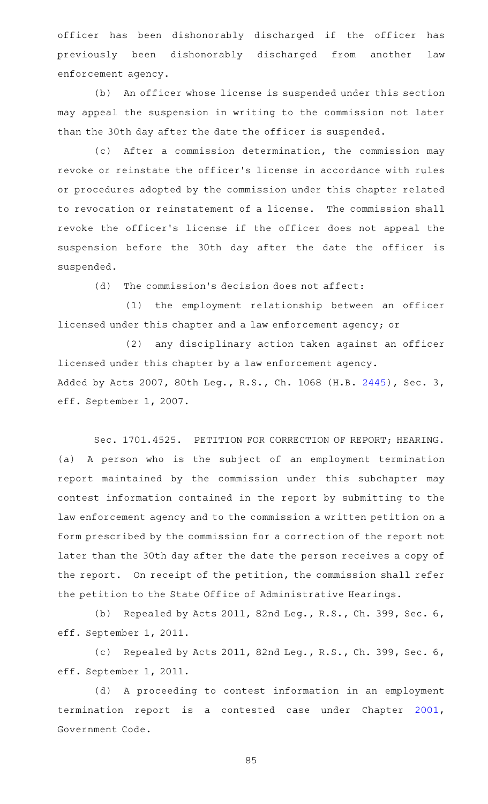officer has been dishonorably discharged if the officer has previously been dishonorably discharged from another law enforcement agency.

(b) An officer whose license is suspended under this section may appeal the suspension in writing to the commission not later than the 30th day after the date the officer is suspended.

(c) After a commission determination, the commission may revoke or reinstate the officer 's license in accordance with rules or procedures adopted by the commission under this chapter related to revocation or reinstatement of a license. The commission shall revoke the officer 's license if the officer does not appeal the suspension before the 30th day after the date the officer is suspended.

 $(d)$  The commission's decision does not affect:

(1) the employment relationship between an officer licensed under this chapter and a law enforcement agency; or

(2) any disciplinary action taken against an officer licensed under this chapter by a law enforcement agency. Added by Acts 2007, 80th Leg., R.S., Ch. 1068 (H.B. [2445\)](http://www.legis.state.tx.us/tlodocs/80R/billtext/html/HB02445F.HTM), Sec. 3, eff. September 1, 2007.

Sec. 1701.4525. PETITION FOR CORRECTION OF REPORT; HEARING. (a) A person who is the subject of an employment termination report maintained by the commission under this subchapter may contest information contained in the report by submitting to the law enforcement agency and to the commission a written petition on a form prescribed by the commission for a correction of the report not later than the 30th day after the date the person receives a copy of the report. On receipt of the petition, the commission shall refer the petition to the State Office of Administrative Hearings.

(b) Repealed by Acts 2011, 82nd Leg., R.S., Ch. 399, Sec. 6, eff. September 1, 2011.

(c) Repealed by Acts 2011, 82nd Leg., R.S., Ch. 399, Sec. 6, eff. September 1, 2011.

(d) A proceeding to contest information in an employment termination report is a contested case under Chapter [2001](http://www.statutes.legis.state.tx.us/GetStatute.aspx?Code=GV&Value=2001), Government Code.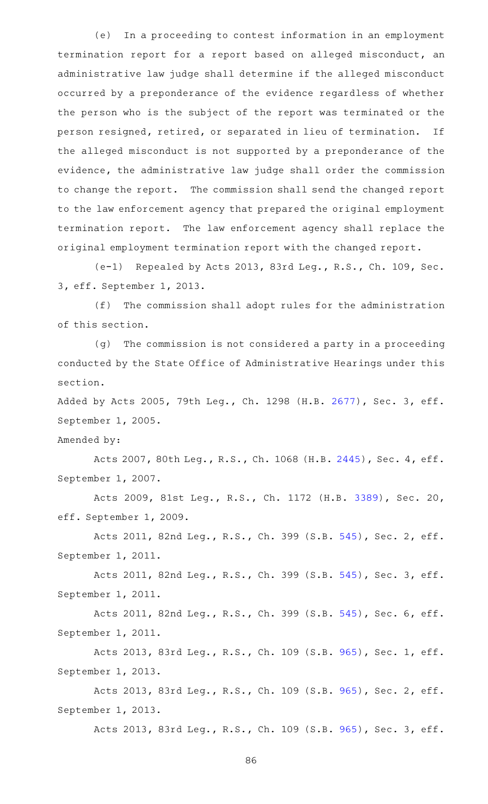(e) In a proceeding to contest information in an employment termination report for a report based on alleged misconduct, an administrative law judge shall determine if the alleged misconduct occurred by a preponderance of the evidence regardless of whether the person who is the subject of the report was terminated or the person resigned, retired, or separated in lieu of termination. If the alleged misconduct is not supported by a preponderance of the evidence, the administrative law judge shall order the commission to change the report. The commission shall send the changed report to the law enforcement agency that prepared the original employment termination report. The law enforcement agency shall replace the original employment termination report with the changed report.

(e-1) Repealed by Acts 2013, 83rd Leg., R.S., Ch. 109, Sec. 3, eff. September 1, 2013.

(f) The commission shall adopt rules for the administration of this section.

(g) The commission is not considered a party in a proceeding conducted by the State Office of Administrative Hearings under this section.

Added by Acts 2005, 79th Leg., Ch. 1298 (H.B. [2677\)](http://www.legis.state.tx.us/tlodocs/79R/billtext/html/HB02677F.HTM), Sec. 3, eff. September 1, 2005.

Amended by:

Acts 2007, 80th Leg., R.S., Ch. 1068 (H.B. [2445](http://www.legis.state.tx.us/tlodocs/80R/billtext/html/HB02445F.HTM)), Sec. 4, eff. September 1, 2007.

Acts 2009, 81st Leg., R.S., Ch. 1172 (H.B. [3389](http://www.legis.state.tx.us/tlodocs/81R/billtext/html/HB03389F.HTM)), Sec. 20, eff. September 1, 2009.

Acts 2011, 82nd Leg., R.S., Ch. 399 (S.B. [545](http://www.legis.state.tx.us/tlodocs/82R/billtext/html/SB00545F.HTM)), Sec. 2, eff. September 1, 2011.

Acts 2011, 82nd Leg., R.S., Ch. 399 (S.B. [545](http://www.legis.state.tx.us/tlodocs/82R/billtext/html/SB00545F.HTM)), Sec. 3, eff. September 1, 2011.

Acts 2011, 82nd Leg., R.S., Ch. 399 (S.B. [545](http://www.legis.state.tx.us/tlodocs/82R/billtext/html/SB00545F.HTM)), Sec. 6, eff. September 1, 2011.

Acts 2013, 83rd Leg., R.S., Ch. 109 (S.B. [965](http://www.legis.state.tx.us/tlodocs/83R/billtext/html/SB00965F.HTM)), Sec. 1, eff. September 1, 2013.

Acts 2013, 83rd Leg., R.S., Ch. 109 (S.B. [965](http://www.legis.state.tx.us/tlodocs/83R/billtext/html/SB00965F.HTM)), Sec. 2, eff. September 1, 2013.

Acts 2013, 83rd Leg., R.S., Ch. 109 (S.B. [965](http://www.legis.state.tx.us/tlodocs/83R/billtext/html/SB00965F.HTM)), Sec. 3, eff.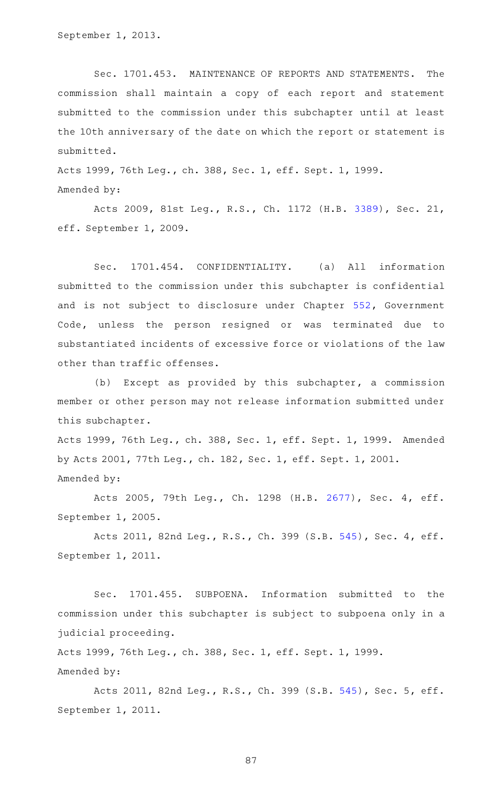Sec. 1701.453. MAINTENANCE OF REPORTS AND STATEMENTS. The commission shall maintain a copy of each report and statement submitted to the commission under this subchapter until at least the 10th anniversary of the date on which the report or statement is submitted.

Acts 1999, 76th Leg., ch. 388, Sec. 1, eff. Sept. 1, 1999. Amended by:

Acts 2009, 81st Leg., R.S., Ch. 1172 (H.B. [3389](http://www.legis.state.tx.us/tlodocs/81R/billtext/html/HB03389F.HTM)), Sec. 21, eff. September 1, 2009.

Sec. 1701.454. CONFIDENTIALITY. (a) All information submitted to the commission under this subchapter is confidential and is not subject to disclosure under Chapter [552](http://www.statutes.legis.state.tx.us/GetStatute.aspx?Code=GV&Value=552), Government Code, unless the person resigned or was terminated due to substantiated incidents of excessive force or violations of the law other than traffic offenses.

(b) Except as provided by this subchapter, a commission member or other person may not release information submitted under this subchapter.

Acts 1999, 76th Leg., ch. 388, Sec. 1, eff. Sept. 1, 1999. Amended by Acts 2001, 77th Leg., ch. 182, Sec. 1, eff. Sept. 1, 2001. Amended by:

Acts 2005, 79th Leg., Ch. 1298 (H.B. [2677](http://www.legis.state.tx.us/tlodocs/79R/billtext/html/HB02677F.HTM)), Sec. 4, eff. September 1, 2005.

Acts 2011, 82nd Leg., R.S., Ch. 399 (S.B. [545](http://www.legis.state.tx.us/tlodocs/82R/billtext/html/SB00545F.HTM)), Sec. 4, eff. September 1, 2011.

Sec. 1701.455. SUBPOENA. Information submitted to the commission under this subchapter is subject to subpoena only in a judicial proceeding.

Acts 1999, 76th Leg., ch. 388, Sec. 1, eff. Sept. 1, 1999. Amended by:

Acts 2011, 82nd Leg., R.S., Ch. 399 (S.B. [545](http://www.legis.state.tx.us/tlodocs/82R/billtext/html/SB00545F.HTM)), Sec. 5, eff. September 1, 2011.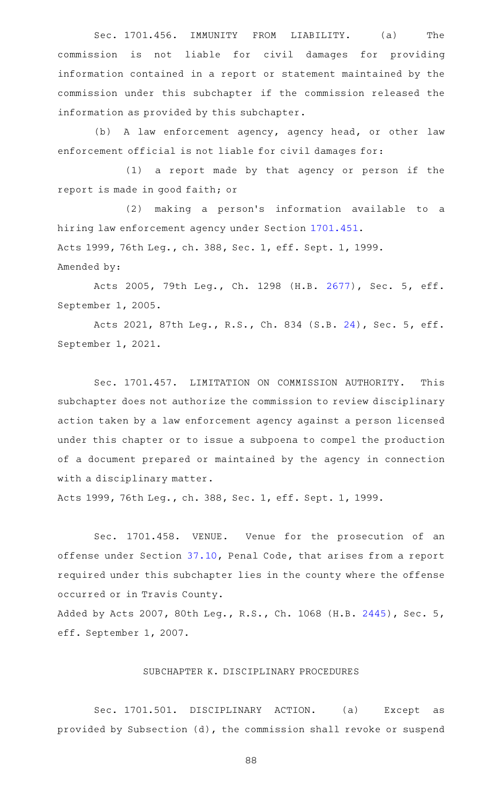Sec. 1701.456. IMMUNITY FROM LIABILITY. (a) The commission is not liable for civil damages for providing information contained in a report or statement maintained by the commission under this subchapter if the commission released the information as provided by this subchapter.

(b) A law enforcement agency, agency head, or other law enforcement official is not liable for civil damages for:

(1) a report made by that agency or person if the report is made in good faith; or

(2) making a person's information available to a hiring law enforcement agency under Section [1701.451](http://www.statutes.legis.state.tx.us/GetStatute.aspx?Code=OC&Value=1701.451). Acts 1999, 76th Leg., ch. 388, Sec. 1, eff. Sept. 1, 1999. Amended by:

Acts 2005, 79th Leg., Ch. 1298 (H.B. [2677](http://www.legis.state.tx.us/tlodocs/79R/billtext/html/HB02677F.HTM)), Sec. 5, eff. September 1, 2005.

Acts 2021, 87th Leg., R.S., Ch. 834 (S.B. [24](http://www.legis.state.tx.us/tlodocs/87R/billtext/html/SB00024F.HTM)), Sec. 5, eff. September 1, 2021.

Sec. 1701.457. LIMITATION ON COMMISSION AUTHORITY. This subchapter does not authorize the commission to review disciplinary action taken by a law enforcement agency against a person licensed under this chapter or to issue a subpoena to compel the production of a document prepared or maintained by the agency in connection with a disciplinary matter.

Acts 1999, 76th Leg., ch. 388, Sec. 1, eff. Sept. 1, 1999.

Sec. 1701.458. VENUE. Venue for the prosecution of an offense under Section [37.10](http://www.statutes.legis.state.tx.us/GetStatute.aspx?Code=PE&Value=37.10), Penal Code, that arises from a report required under this subchapter lies in the county where the offense occurred or in Travis County.

Added by Acts 2007, 80th Leg., R.S., Ch. 1068 (H.B. [2445\)](http://www.legis.state.tx.us/tlodocs/80R/billtext/html/HB02445F.HTM), Sec. 5, eff. September 1, 2007.

### SUBCHAPTER K. DISCIPLINARY PROCEDURES

Sec. 1701.501. DISCIPLINARY ACTION. (a) Except as provided by Subsection (d), the commission shall revoke or suspend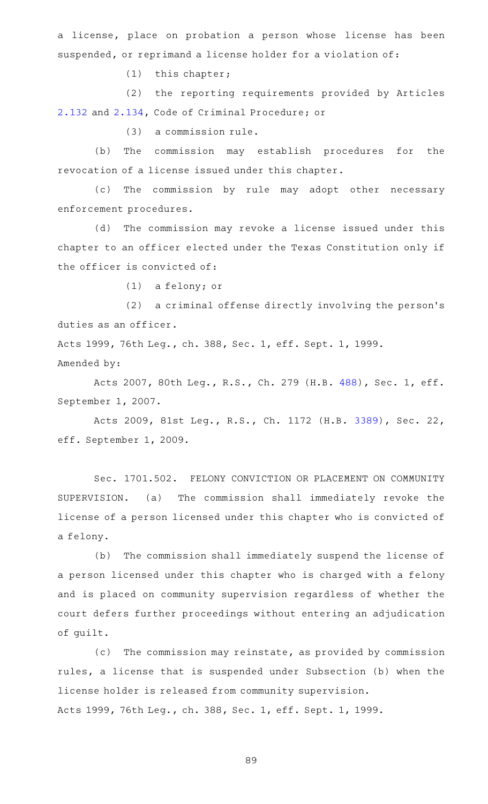a license, place on probation a person whose license has been suspended, or reprimand a license holder for a violation of:

 $(1)$  this chapter;

(2) the reporting requirements provided by Articles [2.132](http://www.statutes.legis.state.tx.us/GetStatute.aspx?Code=CR&Value=2.132) and [2.134](http://www.statutes.legis.state.tx.us/GetStatute.aspx?Code=CR&Value=2.134), Code of Criminal Procedure; or

 $(3)$  a commission rule.

(b) The commission may establish procedures for the revocation of a license issued under this chapter.

(c) The commission by rule may adopt other necessary enforcement procedures.

(d) The commission may revoke a license issued under this chapter to an officer elected under the Texas Constitution only if the officer is convicted of:

 $(1)$  a felony; or

 $(2)$  a criminal offense directly involving the person's duties as an officer.

Acts 1999, 76th Leg., ch. 388, Sec. 1, eff. Sept. 1, 1999. Amended by:

Acts 2007, 80th Leg., R.S., Ch. 279 (H.B. [488](http://www.legis.state.tx.us/tlodocs/80R/billtext/html/HB00488F.HTM)), Sec. 1, eff. September 1, 2007.

Acts 2009, 81st Leg., R.S., Ch. 1172 (H.B. [3389](http://www.legis.state.tx.us/tlodocs/81R/billtext/html/HB03389F.HTM)), Sec. 22, eff. September 1, 2009.

Sec. 1701.502. FELONY CONVICTION OR PLACEMENT ON COMMUNITY SUPERVISION. (a) The commission shall immediately revoke the license of a person licensed under this chapter who is convicted of a felony.

(b) The commission shall immediately suspend the license of a person licensed under this chapter who is charged with a felony and is placed on community supervision regardless of whether the court defers further proceedings without entering an adjudication of guilt.

(c) The commission may reinstate, as provided by commission rules, a license that is suspended under Subsection (b) when the license holder is released from community supervision. Acts 1999, 76th Leg., ch. 388, Sec. 1, eff. Sept. 1, 1999.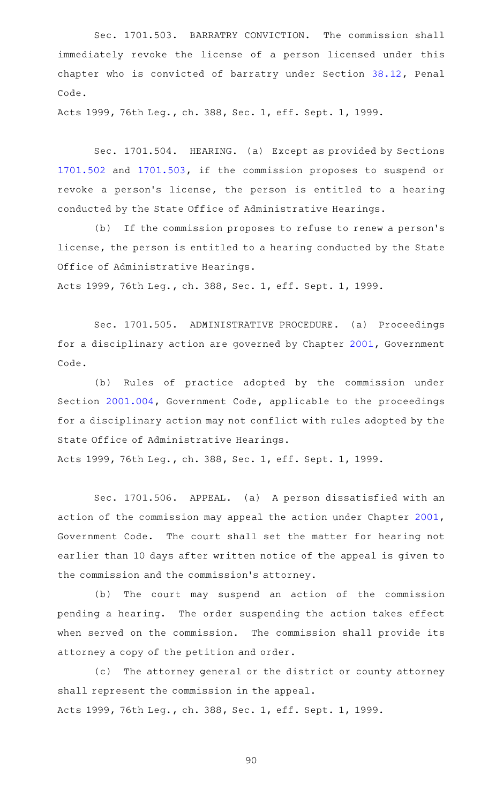Sec. 1701.503. BARRATRY CONVICTION. The commission shall immediately revoke the license of a person licensed under this chapter who is convicted of barratry under Section [38.12,](http://www.statutes.legis.state.tx.us/GetStatute.aspx?Code=PE&Value=38.12) Penal Code.

Acts 1999, 76th Leg., ch. 388, Sec. 1, eff. Sept. 1, 1999.

Sec. 1701.504. HEARING. (a) Except as provided by Sections [1701.502](http://www.statutes.legis.state.tx.us/GetStatute.aspx?Code=OC&Value=1701.502) and [1701.503,](http://www.statutes.legis.state.tx.us/GetStatute.aspx?Code=OC&Value=1701.503) if the commission proposes to suspend or revoke a person's license, the person is entitled to a hearing conducted by the State Office of Administrative Hearings.

(b) If the commission proposes to refuse to renew a person's license, the person is entitled to a hearing conducted by the State Office of Administrative Hearings.

Acts 1999, 76th Leg., ch. 388, Sec. 1, eff. Sept. 1, 1999.

Sec. 1701.505. ADMINISTRATIVE PROCEDURE. (a) Proceedings for a disciplinary action are governed by Chapter [2001,](http://www.statutes.legis.state.tx.us/GetStatute.aspx?Code=GV&Value=2001) Government Code.

(b) Rules of practice adopted by the commission under Section [2001.004](http://www.statutes.legis.state.tx.us/GetStatute.aspx?Code=GV&Value=2001.004), Government Code, applicable to the proceedings for a disciplinary action may not conflict with rules adopted by the State Office of Administrative Hearings.

Acts 1999, 76th Leg., ch. 388, Sec. 1, eff. Sept. 1, 1999.

Sec. 1701.506. APPEAL. (a) A person dissatisfied with an action of the commission may appeal the action under Chapter [2001](http://www.statutes.legis.state.tx.us/GetStatute.aspx?Code=GV&Value=2001), Government Code. The court shall set the matter for hearing not earlier than 10 days after written notice of the appeal is given to the commission and the commission 's attorney.

(b) The court may suspend an action of the commission pending a hearing. The order suspending the action takes effect when served on the commission. The commission shall provide its attorney a copy of the petition and order.

(c) The attorney general or the district or county attorney shall represent the commission in the appeal. Acts 1999, 76th Leg., ch. 388, Sec. 1, eff. Sept. 1, 1999.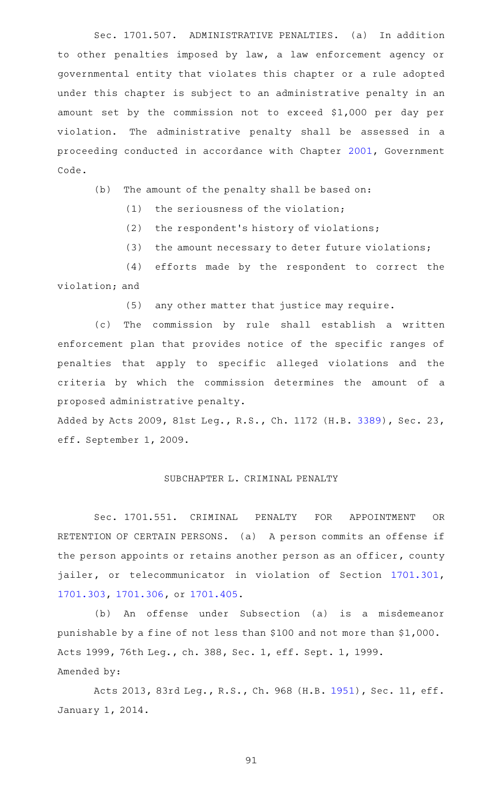Sec. 1701.507. ADMINISTRATIVE PENALTIES. (a) In addition to other penalties imposed by law, a law enforcement agency or governmental entity that violates this chapter or a rule adopted under this chapter is subject to an administrative penalty in an amount set by the commission not to exceed \$1,000 per day per violation. The administrative penalty shall be assessed in a proceeding conducted in accordance with Chapter [2001](http://www.statutes.legis.state.tx.us/GetStatute.aspx?Code=GV&Value=2001), Government Code.

 $(b)$  The amount of the penalty shall be based on:

 $(1)$  the seriousness of the violation;

(2) the respondent's history of violations;

(3) the amount necessary to deter future violations;

(4) efforts made by the respondent to correct the violation; and

(5) any other matter that justice may require.

(c) The commission by rule shall establish a written enforcement plan that provides notice of the specific ranges of penalties that apply to specific alleged violations and the criteria by which the commission determines the amount of a proposed administrative penalty.

Added by Acts 2009, 81st Leg., R.S., Ch. 1172 (H.B. [3389](http://www.legis.state.tx.us/tlodocs/81R/billtext/html/HB03389F.HTM)), Sec. 23, eff. September 1, 2009.

## SUBCHAPTER L. CRIMINAL PENALTY

Sec. 1701.551. CRIMINAL PENALTY FOR APPOINTMENT OR RETENTION OF CERTAIN PERSONS. (a) A person commits an offense if the person appoints or retains another person as an officer, county jailer, or telecommunicator in violation of Section [1701.301](http://www.statutes.legis.state.tx.us/GetStatute.aspx?Code=OC&Value=1701.301), [1701.303](http://www.statutes.legis.state.tx.us/GetStatute.aspx?Code=OC&Value=1701.303), [1701.306](http://www.statutes.legis.state.tx.us/GetStatute.aspx?Code=OC&Value=1701.306), or [1701.405](http://www.statutes.legis.state.tx.us/GetStatute.aspx?Code=OC&Value=1701.405).

(b) An offense under Subsection (a) is a misdemeanor punishable by a fine of not less than \$100 and not more than \$1,000. Acts 1999, 76th Leg., ch. 388, Sec. 1, eff. Sept. 1, 1999. Amended by:

Acts 2013, 83rd Leg., R.S., Ch. 968 (H.B. [1951\)](http://www.legis.state.tx.us/tlodocs/83R/billtext/html/HB01951F.HTM), Sec. 11, eff. January 1, 2014.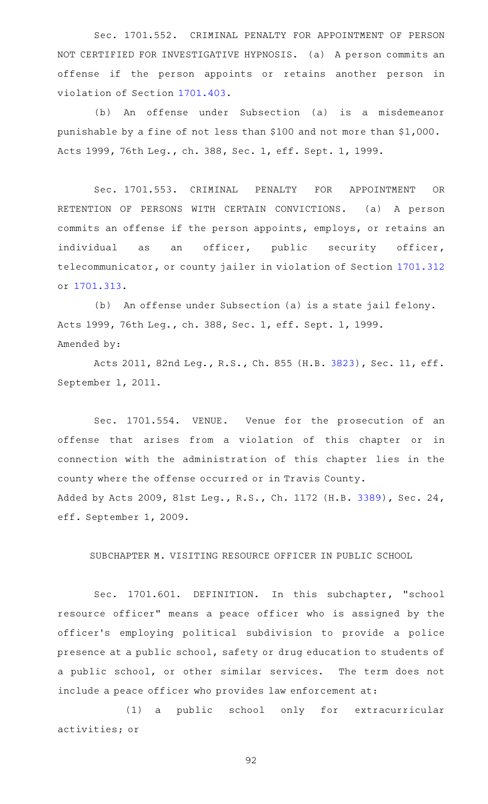Sec. 1701.552. CRIMINAL PENALTY FOR APPOINTMENT OF PERSON NOT CERTIFIED FOR INVESTIGATIVE HYPNOSIS. (a) A person commits an offense if the person appoints or retains another person in violation of Section [1701.403](http://www.statutes.legis.state.tx.us/GetStatute.aspx?Code=OC&Value=1701.403).

(b) An offense under Subsection (a) is a misdemeanor punishable by a fine of not less than \$100 and not more than \$1,000. Acts 1999, 76th Leg., ch. 388, Sec. 1, eff. Sept. 1, 1999.

Sec. 1701.553. CRIMINAL PENALTY FOR APPOINTMENT OR RETENTION OF PERSONS WITH CERTAIN CONVICTIONS. (a) A person commits an offense if the person appoints, employs, or retains an individual as an officer, public security officer, telecommunicator, or county jailer in violation of Section [1701.312](http://www.statutes.legis.state.tx.us/GetStatute.aspx?Code=OC&Value=1701.312) or [1701.313.](http://www.statutes.legis.state.tx.us/GetStatute.aspx?Code=OC&Value=1701.313)

(b) An offense under Subsection (a) is a state jail felony. Acts 1999, 76th Leg., ch. 388, Sec. 1, eff. Sept. 1, 1999. Amended by:

Acts 2011, 82nd Leg., R.S., Ch. 855 (H.B. [3823\)](http://www.legis.state.tx.us/tlodocs/82R/billtext/html/HB03823F.HTM), Sec. 11, eff. September 1, 2011.

Sec. 1701.554. VENUE. Venue for the prosecution of an offense that arises from a violation of this chapter or in connection with the administration of this chapter lies in the county where the offense occurred or in Travis County. Added by Acts 2009, 81st Leg., R.S., Ch. 1172 (H.B. [3389](http://www.legis.state.tx.us/tlodocs/81R/billtext/html/HB03389F.HTM)), Sec. 24, eff. September 1, 2009.

SUBCHAPTER M. VISITING RESOURCE OFFICER IN PUBLIC SCHOOL

Sec. 1701.601. DEFINITION. In this subchapter, "school resource officer" means a peace officer who is assigned by the officer 's employing political subdivision to provide a police presence at a public school, safety or drug education to students of a public school, or other similar services. The term does not include a peace officer who provides law enforcement at:

(1) a public school only for extracurricular activities; or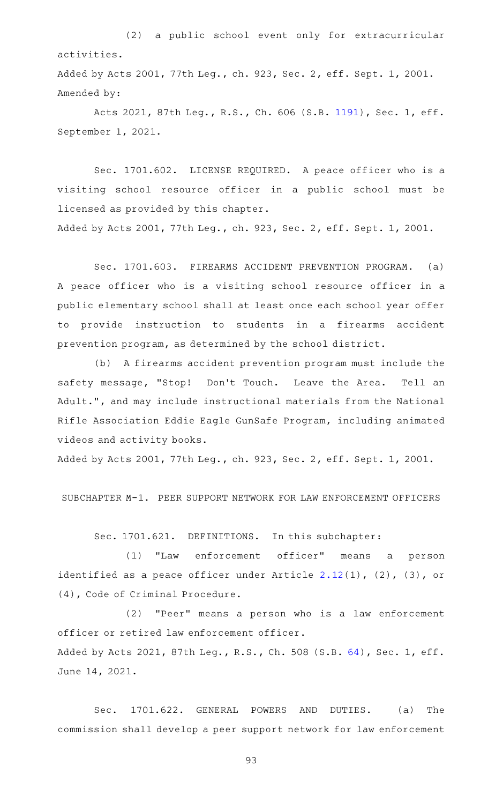(2) a public school event only for extracurricular activities. Added by Acts 2001, 77th Leg., ch. 923, Sec. 2, eff. Sept. 1, 2001.

Amended by:

Acts 2021, 87th Leg., R.S., Ch. 606 (S.B. [1191](http://www.legis.state.tx.us/tlodocs/87R/billtext/html/SB01191F.HTM)), Sec. 1, eff. September 1, 2021.

Sec. 1701.602. LICENSE REQUIRED. A peace officer who is a visiting school resource officer in a public school must be licensed as provided by this chapter. Added by Acts 2001, 77th Leg., ch. 923, Sec. 2, eff. Sept. 1, 2001.

Sec. 1701.603. FIREARMS ACCIDENT PREVENTION PROGRAM. (a) A peace officer who is a visiting school resource officer in a public elementary school shall at least once each school year offer to provide instruction to students in a firearms accident prevention program, as determined by the school district.

(b) A firearms accident prevention program must include the safety message, "Stop! Don't Touch. Leave the Area. Tell an Adult.", and may include instructional materials from the National Rifle Association Eddie Eagle GunSafe Program, including animated videos and activity books.

Added by Acts 2001, 77th Leg., ch. 923, Sec. 2, eff. Sept. 1, 2001.

SUBCHAPTER M-1. PEER SUPPORT NETWORK FOR LAW ENFORCEMENT OFFICERS

Sec. 1701.621. DEFINITIONS. In this subchapter:

(1) "Law enforcement officer" means a person identified as a peace officer under Article [2.12](http://www.statutes.legis.state.tx.us/GetStatute.aspx?Code=CR&Value=2.12)(1), (2), (3), or (4), Code of Criminal Procedure.

 $(2)$  "Peer" means a person who is a law enforcement officer or retired law enforcement officer. Added by Acts 2021, 87th Leg., R.S., Ch. 508 (S.B. [64](http://www.legis.state.tx.us/tlodocs/87R/billtext/html/SB00064F.HTM)), Sec. 1, eff. June 14, 2021.

Sec. 1701.622. GENERAL POWERS AND DUTIES. (a) The commission shall develop a peer support network for law enforcement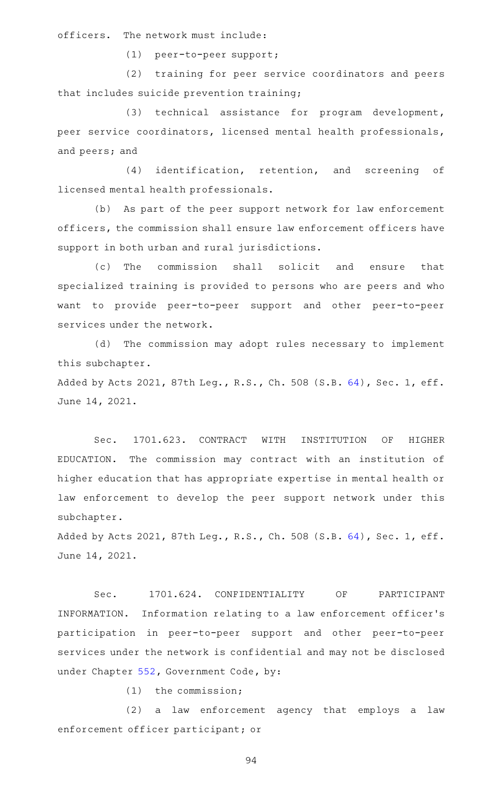officers. The network must include:

(1) peer-to-peer support;

(2) training for peer service coordinators and peers that includes suicide prevention training;

(3) technical assistance for program development, peer service coordinators, licensed mental health professionals, and peers; and

(4) identification, retention, and screening of licensed mental health professionals.

(b) As part of the peer support network for law enforcement officers, the commission shall ensure law enforcement officers have support in both urban and rural jurisdictions.

(c) The commission shall solicit and ensure that specialized training is provided to persons who are peers and who want to provide peer-to-peer support and other peer-to-peer services under the network.

(d) The commission may adopt rules necessary to implement this subchapter.

Added by Acts 2021, 87th Leg., R.S., Ch. 508 (S.B. [64](http://www.legis.state.tx.us/tlodocs/87R/billtext/html/SB00064F.HTM)), Sec. 1, eff. June 14, 2021.

Sec. 1701.623. CONTRACT WITH INSTITUTION OF HIGHER EDUCATION. The commission may contract with an institution of higher education that has appropriate expertise in mental health or law enforcement to develop the peer support network under this subchapter.

Added by Acts 2021, 87th Leg., R.S., Ch. 508 (S.B. [64](http://www.legis.state.tx.us/tlodocs/87R/billtext/html/SB00064F.HTM)), Sec. 1, eff. June 14, 2021.

Sec. 1701.624. CONFIDENTIALITY OF PARTICIPANT INFORMATION. Information relating to a law enforcement officer's participation in peer-to-peer support and other peer-to-peer services under the network is confidential and may not be disclosed under Chapter [552](http://www.statutes.legis.state.tx.us/GetStatute.aspx?Code=GV&Value=552), Government Code, by:

 $(1)$  the commission;

(2) a law enforcement agency that employs a law enforcement officer participant; or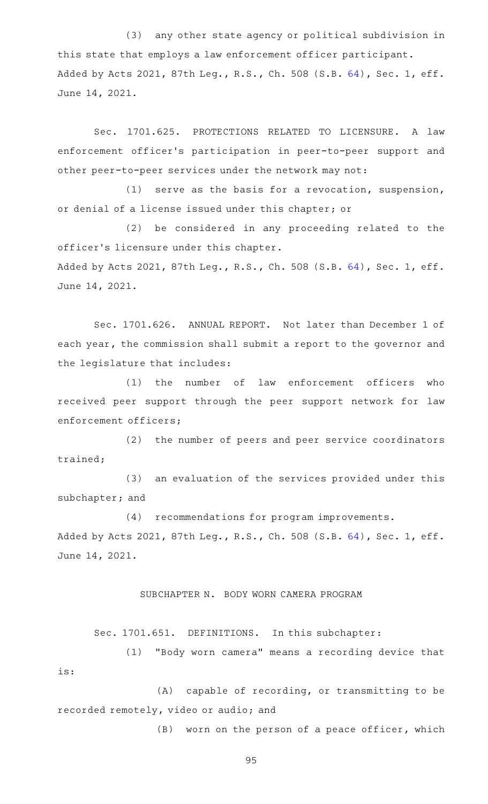(3) any other state agency or political subdivision in this state that employs a law enforcement officer participant. Added by Acts 2021, 87th Leg., R.S., Ch. 508 (S.B. [64](http://www.legis.state.tx.us/tlodocs/87R/billtext/html/SB00064F.HTM)), Sec. 1, eff. June 14, 2021.

Sec. 1701.625. PROTECTIONS RELATED TO LICENSURE. A law enforcement officer 's participation in peer-to-peer support and other peer-to-peer services under the network may not:

(1) serve as the basis for a revocation, suspension, or denial of a license issued under this chapter; or

(2) be considered in any proceeding related to the officer 's licensure under this chapter. Added by Acts 2021, 87th Leg., R.S., Ch. 508 (S.B. [64](http://www.legis.state.tx.us/tlodocs/87R/billtext/html/SB00064F.HTM)), Sec. 1, eff. June 14, 2021.

Sec. 1701.626. ANNUAL REPORT. Not later than December 1 of each year, the commission shall submit a report to the governor and the legislature that includes:

(1) the number of law enforcement officers who received peer support through the peer support network for law enforcement officers;

(2) the number of peers and peer service coordinators trained;

(3) an evaluation of the services provided under this subchapter; and

(4) recommendations for program improvements. Added by Acts 2021, 87th Leg., R.S., Ch. 508 (S.B. [64](http://www.legis.state.tx.us/tlodocs/87R/billtext/html/SB00064F.HTM)), Sec. 1, eff. June 14, 2021.

# SUBCHAPTER N. BODY WORN CAMERA PROGRAM

Sec. 1701.651. DEFINITIONS. In this subchapter:

(1) "Body worn camera" means a recording device that is:

 $(A)$  capable of recording, or transmitting to be recorded remotely, video or audio; and

 $(B)$  worn on the person of a peace officer, which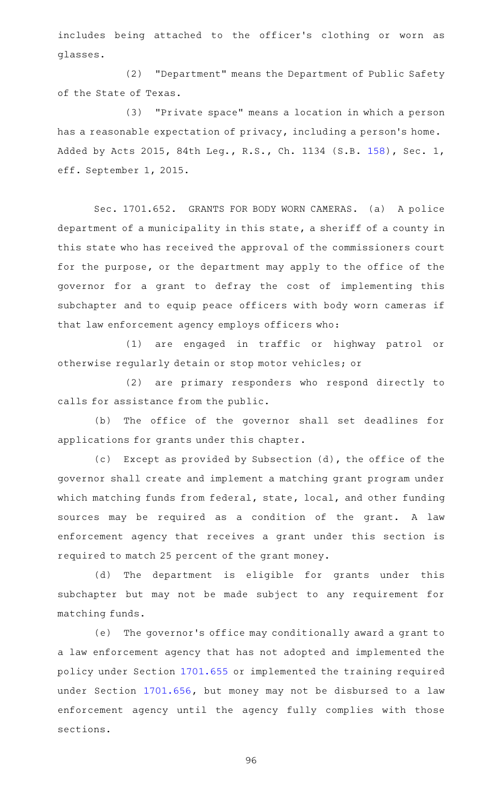includes being attached to the officer 's clothing or worn as glasses.

(2) "Department" means the Department of Public Safety of the State of Texas.

(3) "Private space" means a location in which a person has a reasonable expectation of privacy, including a person's home. Added by Acts 2015, 84th Leg., R.S., Ch. 1134 (S.B. [158](http://www.legis.state.tx.us/tlodocs/84R/billtext/html/SB00158F.HTM)), Sec. 1, eff. September 1, 2015.

Sec. 1701.652. GRANTS FOR BODY WORN CAMERAS. (a) A police department of a municipality in this state, a sheriff of a county in this state who has received the approval of the commissioners court for the purpose, or the department may apply to the office of the governor for a grant to defray the cost of implementing this subchapter and to equip peace officers with body worn cameras if that law enforcement agency employs officers who:

(1) are engaged in traffic or highway patrol or otherwise regularly detain or stop motor vehicles; or

(2) are primary responders who respond directly to calls for assistance from the public.

(b) The office of the governor shall set deadlines for applications for grants under this chapter.

(c) Except as provided by Subsection (d), the office of the governor shall create and implement a matching grant program under which matching funds from federal, state, local, and other funding sources may be required as a condition of the grant. A law enforcement agency that receives a grant under this section is required to match 25 percent of the grant money.

(d) The department is eligible for grants under this subchapter but may not be made subject to any requirement for matching funds.

(e) The governor's office may conditionally award a grant to a law enforcement agency that has not adopted and implemented the policy under Section [1701.655](http://www.statutes.legis.state.tx.us/GetStatute.aspx?Code=OC&Value=1701.655) or implemented the training required under Section [1701.656,](http://www.statutes.legis.state.tx.us/GetStatute.aspx?Code=OC&Value=1701.656) but money may not be disbursed to a law enforcement agency until the agency fully complies with those sections.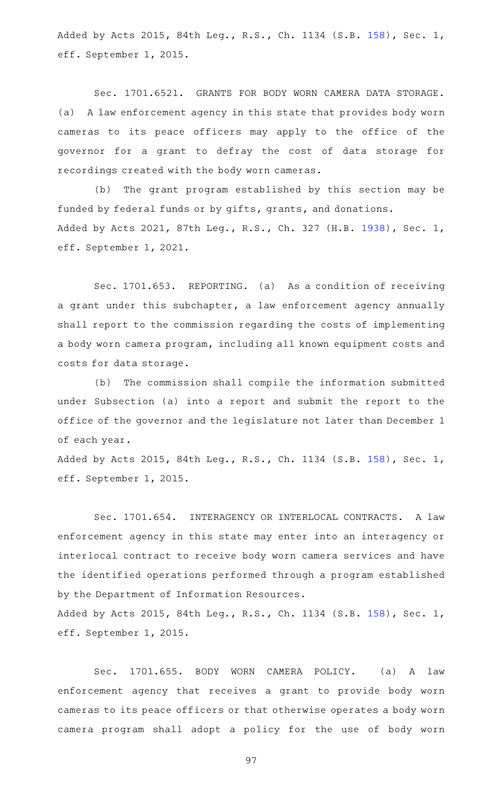Added by Acts 2015, 84th Leg., R.S., Ch. 1134 (S.B. [158](http://www.legis.state.tx.us/tlodocs/84R/billtext/html/SB00158F.HTM)), Sec. 1, eff. September 1, 2015.

Sec. 1701.6521. GRANTS FOR BODY WORN CAMERA DATA STORAGE. (a) A law enforcement agency in this state that provides body worn cameras to its peace officers may apply to the office of the governor for a grant to defray the cost of data storage for recordings created with the body worn cameras.

(b) The grant program established by this section may be funded by federal funds or by gifts, grants, and donations. Added by Acts 2021, 87th Leg., R.S., Ch. 327 (H.B. [1938](http://www.legis.state.tx.us/tlodocs/87R/billtext/html/HB01938F.HTM)), Sec. 1, eff. September 1, 2021.

Sec. 1701.653. REPORTING. (a) As a condition of receiving a grant under this subchapter, a law enforcement agency annually shall report to the commission regarding the costs of implementing a body worn camera program, including all known equipment costs and costs for data storage.

(b) The commission shall compile the information submitted under Subsection (a) into a report and submit the report to the office of the governor and the legislature not later than December 1 of each year.

Added by Acts 2015, 84th Leg., R.S., Ch. 1134 (S.B. [158](http://www.legis.state.tx.us/tlodocs/84R/billtext/html/SB00158F.HTM)), Sec. 1, eff. September 1, 2015.

Sec. 1701.654. INTERAGENCY OR INTERLOCAL CONTRACTS. A law enforcement agency in this state may enter into an interagency or interlocal contract to receive body worn camera services and have the identified operations performed through a program established by the Department of Information Resources.

Added by Acts 2015, 84th Leg., R.S., Ch. 1134 (S.B. [158](http://www.legis.state.tx.us/tlodocs/84R/billtext/html/SB00158F.HTM)), Sec. 1, eff. September 1, 2015.

Sec. 1701.655. BODY WORN CAMERA POLICY. (a) A law enforcement agency that receives a grant to provide body worn cameras to its peace officers or that otherwise operates a body worn camera program shall adopt a policy for the use of body worn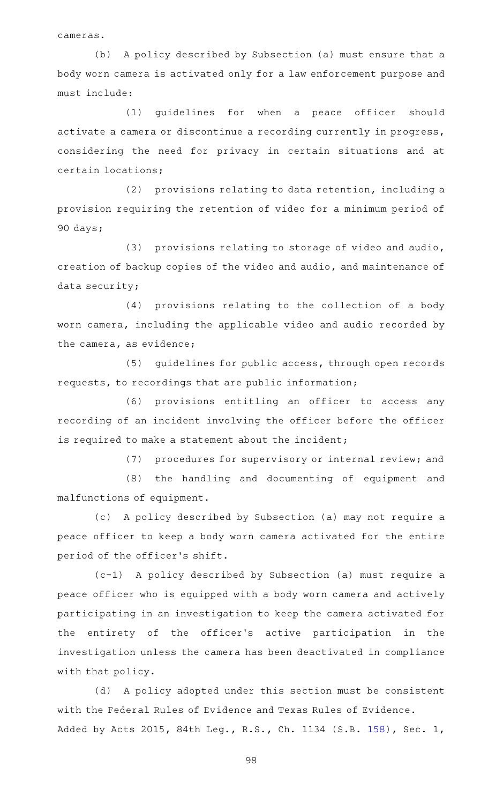cameras.

(b) A policy described by Subsection (a) must ensure that a body worn camera is activated only for a law enforcement purpose and must include:

(1) quidelines for when a peace officer should activate a camera or discontinue a recording currently in progress, considering the need for privacy in certain situations and at certain locations;

 $(2)$  provisions relating to data retention, including a provision requiring the retention of video for a minimum period of 90 days;

(3) provisions relating to storage of video and audio, creation of backup copies of the video and audio, and maintenance of data security;

(4) provisions relating to the collection of a body worn camera, including the applicable video and audio recorded by the camera, as evidence;

(5) guidelines for public access, through open records requests, to recordings that are public information;

(6) provisions entitling an officer to access any recording of an incident involving the officer before the officer is required to make a statement about the incident;

(7) procedures for supervisory or internal review; and

(8) the handling and documenting of equipment and malfunctions of equipment.

(c) A policy described by Subsection (a) may not require a peace officer to keep a body worn camera activated for the entire period of the officer 's shift.

(c-1)AAA policy described by Subsection (a) must require a peace officer who is equipped with a body worn camera and actively participating in an investigation to keep the camera activated for the entirety of the officer 's active participation in the investigation unless the camera has been deactivated in compliance with that policy.

(d) A policy adopted under this section must be consistent with the Federal Rules of Evidence and Texas Rules of Evidence. Added by Acts 2015, 84th Leg., R.S., Ch. 1134 (S.B. [158](http://www.legis.state.tx.us/tlodocs/84R/billtext/html/SB00158F.HTM)), Sec. 1,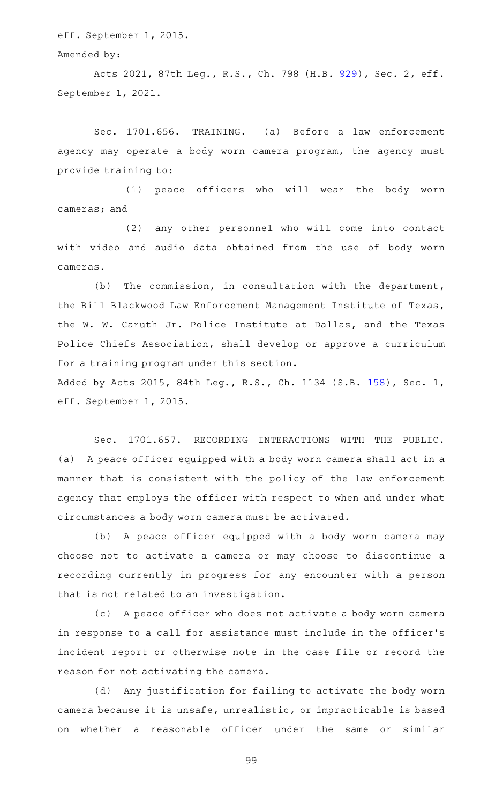eff. September 1, 2015.

#### Amended by:

Acts 2021, 87th Leg., R.S., Ch. 798 (H.B. [929](http://www.legis.state.tx.us/tlodocs/87R/billtext/html/HB00929F.HTM)), Sec. 2, eff. September 1, 2021.

Sec. 1701.656. TRAINING. (a) Before a law enforcement agency may operate a body worn camera program, the agency must provide training to:

(1) peace officers who will wear the body worn cameras; and

(2) any other personnel who will come into contact with video and audio data obtained from the use of body worn cameras.

 $(b)$  The commission, in consultation with the department, the Bill Blackwood Law Enforcement Management Institute of Texas, the W. W. Caruth Jr. Police Institute at Dallas, and the Texas Police Chiefs Association, shall develop or approve a curriculum for a training program under this section. Added by Acts 2015, 84th Leg., R.S., Ch. 1134 (S.B. [158](http://www.legis.state.tx.us/tlodocs/84R/billtext/html/SB00158F.HTM)), Sec. 1,

eff. September 1, 2015.

Sec. 1701.657. RECORDING INTERACTIONS WITH THE PUBLIC. (a) A peace officer equipped with a body worn camera shall act in a manner that is consistent with the policy of the law enforcement agency that employs the officer with respect to when and under what circumstances a body worn camera must be activated.

(b) A peace officer equipped with a body worn camera may choose not to activate a camera or may choose to discontinue a recording currently in progress for any encounter with a person that is not related to an investigation.

(c) A peace officer who does not activate a body worn camera in response to a call for assistance must include in the officer 's incident report or otherwise note in the case file or record the reason for not activating the camera.

(d) Any justification for failing to activate the body worn camera because it is unsafe, unrealistic, or impracticable is based on whether a reasonable officer under the same or similar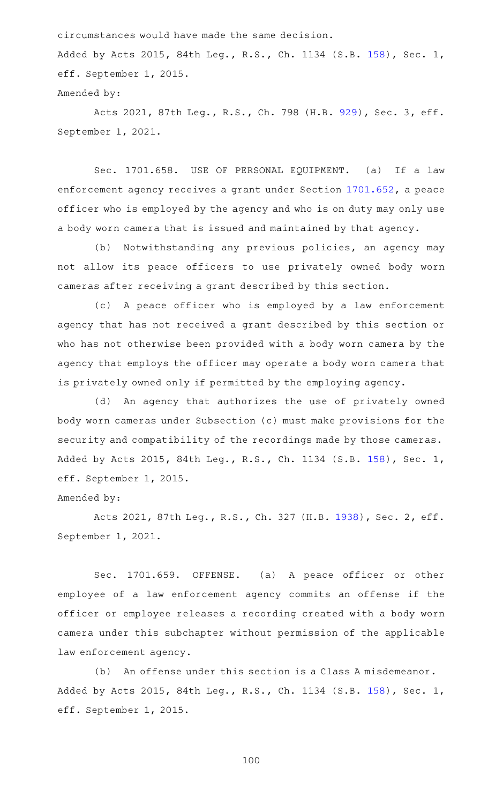circumstances would have made the same decision.

Added by Acts 2015, 84th Leg., R.S., Ch. 1134 (S.B. [158](http://www.legis.state.tx.us/tlodocs/84R/billtext/html/SB00158F.HTM)), Sec. 1, eff. September 1, 2015.

## Amended by:

Acts 2021, 87th Leg., R.S., Ch. 798 (H.B. [929](http://www.legis.state.tx.us/tlodocs/87R/billtext/html/HB00929F.HTM)), Sec. 3, eff. September 1, 2021.

Sec. 1701.658. USE OF PERSONAL EQUIPMENT. (a) If a law enforcement agency receives a grant under Section [1701.652](http://www.statutes.legis.state.tx.us/GetStatute.aspx?Code=OC&Value=1701.652), a peace officer who is employed by the agency and who is on duty may only use a body worn camera that is issued and maintained by that agency.

(b) Notwithstanding any previous policies, an agency may not allow its peace officers to use privately owned body worn cameras after receiving a grant described by this section.

(c)AAA peace officer who is employed by a law enforcement agency that has not received a grant described by this section or who has not otherwise been provided with a body worn camera by the agency that employs the officer may operate a body worn camera that is privately owned only if permitted by the employing agency.

(d) An agency that authorizes the use of privately owned body worn cameras under Subsection (c) must make provisions for the security and compatibility of the recordings made by those cameras. Added by Acts 2015, 84th Leg., R.S., Ch. 1134 (S.B. [158](http://www.legis.state.tx.us/tlodocs/84R/billtext/html/SB00158F.HTM)), Sec. 1, eff. September 1, 2015.

### Amended by:

Acts 2021, 87th Leg., R.S., Ch. 327 (H.B. [1938](http://www.legis.state.tx.us/tlodocs/87R/billtext/html/HB01938F.HTM)), Sec. 2, eff. September 1, 2021.

Sec. 1701.659. OFFENSE. (a) A peace officer or other employee of a law enforcement agency commits an offense if the officer or employee releases a recording created with a body worn camera under this subchapter without permission of the applicable law enforcement agency.

(b) An offense under this section is a Class A misdemeanor. Added by Acts 2015, 84th Leg., R.S., Ch. 1134 (S.B. [158](http://www.legis.state.tx.us/tlodocs/84R/billtext/html/SB00158F.HTM)), Sec. 1, eff. September 1, 2015.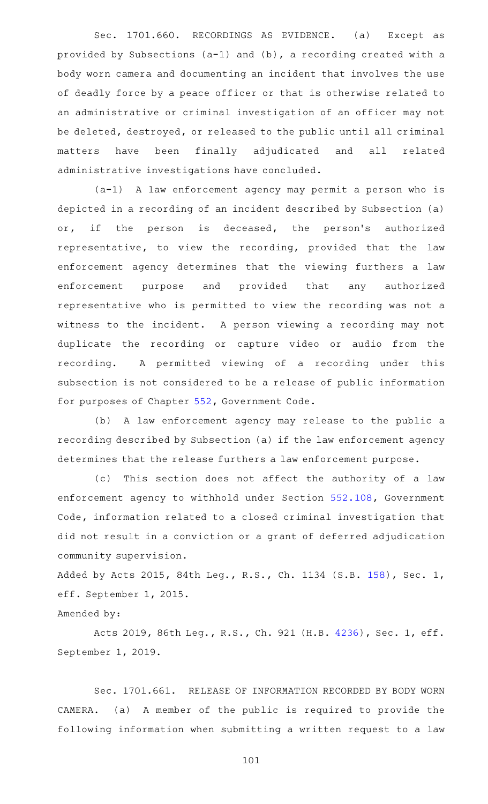Sec. 1701.660. RECORDINGS AS EVIDENCE. (a) Except as provided by Subsections (a-1) and (b), a recording created with a body worn camera and documenting an incident that involves the use of deadly force by a peace officer or that is otherwise related to an administrative or criminal investigation of an officer may not be deleted, destroyed, or released to the public until all criminal matters have been finally adjudicated and all related administrative investigations have concluded.

 $(a-1)$  A law enforcement agency may permit a person who is depicted in a recording of an incident described by Subsection (a) or, if the person is deceased, the person's authorized representative, to view the recording, provided that the law enforcement agency determines that the viewing furthers a law enforcement purpose and provided that any authorized representative who is permitted to view the recording was not a witness to the incident. A person viewing a recording may not duplicate the recording or capture video or audio from the recording. A permitted viewing of a recording under this subsection is not considered to be a release of public information for purposes of Chapter [552,](http://www.statutes.legis.state.tx.us/GetStatute.aspx?Code=GV&Value=552) Government Code.

(b) A law enforcement agency may release to the public a recording described by Subsection (a) if the law enforcement agency determines that the release furthers a law enforcement purpose.

(c) This section does not affect the authority of a law enforcement agency to withhold under Section [552.108,](http://www.statutes.legis.state.tx.us/GetStatute.aspx?Code=GV&Value=552.108) Government Code, information related to a closed criminal investigation that did not result in a conviction or a grant of deferred adjudication community supervision.

Added by Acts 2015, 84th Leg., R.S., Ch. 1134 (S.B. [158](http://www.legis.state.tx.us/tlodocs/84R/billtext/html/SB00158F.HTM)), Sec. 1, eff. September 1, 2015.

```
Amended by:
```
Acts 2019, 86th Leg., R.S., Ch. 921 (H.B. [4236](http://www.legis.state.tx.us/tlodocs/86R/billtext/html/HB04236F.HTM)), Sec. 1, eff. September 1, 2019.

Sec. 1701.661. RELEASE OF INFORMATION RECORDED BY BODY WORN CAMERA. (a) A member of the public is required to provide the following information when submitting a written request to a law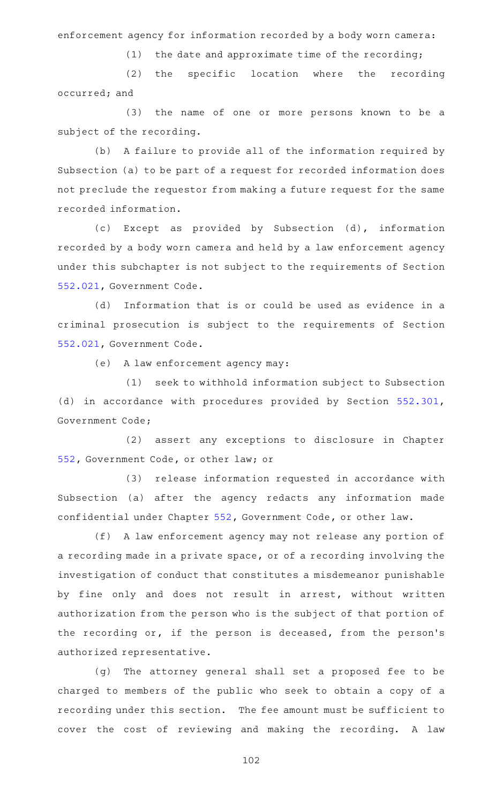enforcement agency for information recorded by a body worn camera:

 $(1)$  the date and approximate time of the recording;

(2) the specific location where the recording occurred; and

(3) the name of one or more persons known to be a subject of the recording.

(b) A failure to provide all of the information required by Subsection (a) to be part of a request for recorded information does not preclude the requestor from making a future request for the same recorded information.

(c) Except as provided by Subsection (d), information recorded by a body worn camera and held by a law enforcement agency under this subchapter is not subject to the requirements of Section [552.021,](http://www.statutes.legis.state.tx.us/GetStatute.aspx?Code=GV&Value=552.021) Government Code.

(d) Information that is or could be used as evidence in a criminal prosecution is subject to the requirements of Section [552.021,](http://www.statutes.legis.state.tx.us/GetStatute.aspx?Code=GV&Value=552.021) Government Code.

(e) A law enforcement agency may:

(1) seek to withhold information subject to Subsection (d) in accordance with procedures provided by Section [552.301](http://www.statutes.legis.state.tx.us/GetStatute.aspx?Code=GV&Value=552.301), Government Code;

(2) assert any exceptions to disclosure in Chapter [552,](http://www.statutes.legis.state.tx.us/GetStatute.aspx?Code=GV&Value=552) Government Code, or other law; or

(3) release information requested in accordance with Subsection (a) after the agency redacts any information made confidential under Chapter [552,](http://www.statutes.legis.state.tx.us/GetStatute.aspx?Code=GV&Value=552) Government Code, or other law.

(f) A law enforcement agency may not release any portion of a recording made in a private space, or of a recording involving the investigation of conduct that constitutes a misdemeanor punishable by fine only and does not result in arrest, without written authorization from the person who is the subject of that portion of the recording or, if the person is deceased, from the person's authorized representative.

(g) The attorney general shall set a proposed fee to be charged to members of the public who seek to obtain a copy of a recording under this section. The fee amount must be sufficient to cover the cost of reviewing and making the recording. A law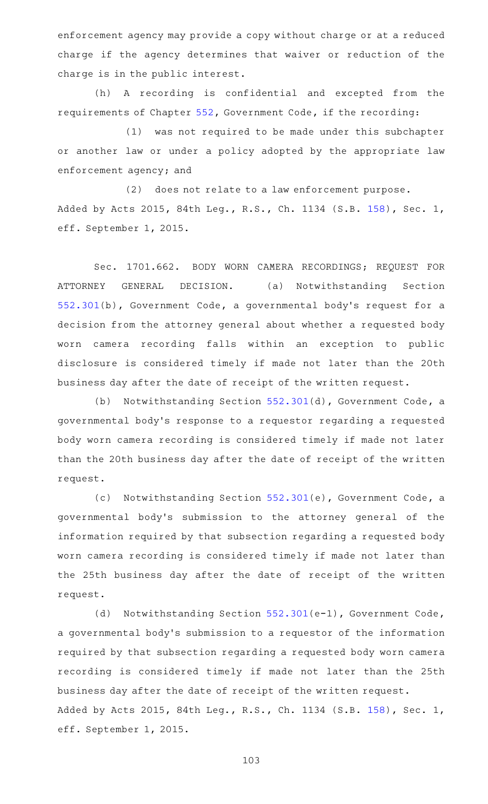enforcement agency may provide a copy without charge or at a reduced charge if the agency determines that waiver or reduction of the charge is in the public interest.

(h) A recording is confidential and excepted from the requirements of Chapter [552](http://www.statutes.legis.state.tx.us/GetStatute.aspx?Code=GV&Value=552), Government Code, if the recording:

(1) was not required to be made under this subchapter or another law or under a policy adopted by the appropriate law enforcement agency; and

(2) does not relate to a law enforcement purpose. Added by Acts 2015, 84th Leg., R.S., Ch. 1134 (S.B. [158](http://www.legis.state.tx.us/tlodocs/84R/billtext/html/SB00158F.HTM)), Sec. 1, eff. September 1, 2015.

Sec. 1701.662. BODY WORN CAMERA RECORDINGS; REQUEST FOR ATTORNEY GENERAL DECISION. (a) Notwithstanding Section [552.301\(](http://www.statutes.legis.state.tx.us/GetStatute.aspx?Code=GV&Value=552.301)b), Government Code, a governmental body 's request for a decision from the attorney general about whether a requested body worn camera recording falls within an exception to public disclosure is considered timely if made not later than the 20th business day after the date of receipt of the written request.

(b) Notwithstanding Section [552.301](http://www.statutes.legis.state.tx.us/GetStatute.aspx?Code=GV&Value=552.301)(d), Government Code, a governmental body 's response to a requestor regarding a requested body worn camera recording is considered timely if made not later than the 20th business day after the date of receipt of the written request.

(c) Notwithstanding Section [552.301](http://www.statutes.legis.state.tx.us/GetStatute.aspx?Code=GV&Value=552.301)(e), Government Code, a governmental body 's submission to the attorney general of the information required by that subsection regarding a requested body worn camera recording is considered timely if made not later than the 25th business day after the date of receipt of the written request.

(d) Notwithstanding Section [552.301\(](http://www.statutes.legis.state.tx.us/GetStatute.aspx?Code=GV&Value=552.301)e-1), Government Code, a governmental body 's submission to a requestor of the information required by that subsection regarding a requested body worn camera recording is considered timely if made not later than the 25th business day after the date of receipt of the written request. Added by Acts 2015, 84th Leg., R.S., Ch. 1134 (S.B. [158](http://www.legis.state.tx.us/tlodocs/84R/billtext/html/SB00158F.HTM)), Sec. 1, eff. September 1, 2015.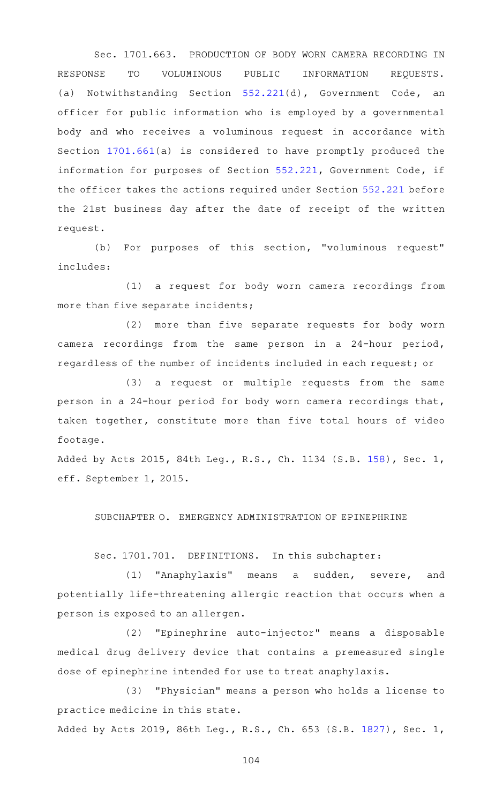Sec. 1701.663. PRODUCTION OF BODY WORN CAMERA RECORDING IN RESPONSE TO VOLUMINOUS PUBLIC INFORMATION REQUESTS. (a) Notwithstanding Section [552.221\(](http://www.statutes.legis.state.tx.us/GetStatute.aspx?Code=GV&Value=552.221)d), Government Code, an officer for public information who is employed by a governmental body and who receives a voluminous request in accordance with Section [1701.661](http://www.statutes.legis.state.tx.us/GetStatute.aspx?Code=OC&Value=1701.661)(a) is considered to have promptly produced the information for purposes of Section [552.221](http://www.statutes.legis.state.tx.us/GetStatute.aspx?Code=GV&Value=552.221), Government Code, if the officer takes the actions required under Section [552.221](http://www.statutes.legis.state.tx.us/GetStatute.aspx?Code=GV&Value=552.221) before the 21st business day after the date of receipt of the written request.

(b) For purposes of this section, "voluminous request" includes:

(1) a request for body worn camera recordings from more than five separate incidents;

(2) more than five separate requests for body worn camera recordings from the same person in a 24-hour period, regardless of the number of incidents included in each request; or

(3) a request or multiple requests from the same person in a 24-hour period for body worn camera recordings that, taken together, constitute more than five total hours of video footage.

Added by Acts 2015, 84th Leg., R.S., Ch. 1134 (S.B. [158](http://www.legis.state.tx.us/tlodocs/84R/billtext/html/SB00158F.HTM)), Sec. 1, eff. September 1, 2015.

SUBCHAPTER O. EMERGENCY ADMINISTRATION OF EPINEPHRINE

Sec. 1701.701. DEFINITIONS. In this subchapter:

(1) "Anaphylaxis" means a sudden, severe, and potentially life-threatening allergic reaction that occurs when a person is exposed to an allergen.

(2) "Epinephrine auto-injector" means a disposable medical drug delivery device that contains a premeasured single dose of epinephrine intended for use to treat anaphylaxis.

(3) "Physician" means a person who holds a license to practice medicine in this state.

Added by Acts 2019, 86th Leg., R.S., Ch. 653 (S.B. [1827](http://www.legis.state.tx.us/tlodocs/86R/billtext/html/SB01827F.HTM)), Sec. 1,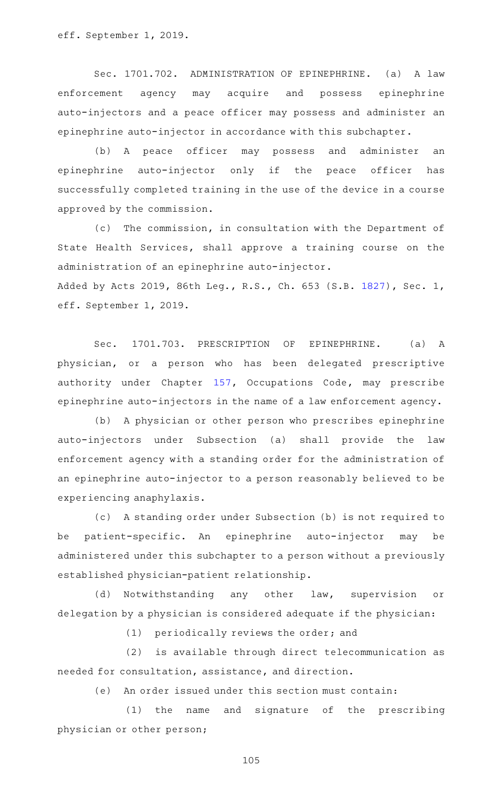eff. September 1, 2019.

Sec. 1701.702. ADMINISTRATION OF EPINEPHRINE. (a) A law enforcement agency may acquire and possess epinephrine auto-injectors and a peace officer may possess and administer an epinephrine auto-injector in accordance with this subchapter.

(b) A peace officer may possess and administer an epinephrine auto-injector only if the peace officer has successfully completed training in the use of the device in a course approved by the commission.

(c) The commission, in consultation with the Department of State Health Services, shall approve a training course on the administration of an epinephrine auto-injector. Added by Acts 2019, 86th Leg., R.S., Ch. 653 (S.B. [1827](http://www.legis.state.tx.us/tlodocs/86R/billtext/html/SB01827F.HTM)), Sec. 1, eff. September 1, 2019.

Sec. 1701.703. PRESCRIPTION OF EPINEPHRINE. (a) A physician, or a person who has been delegated prescriptive authority under Chapter [157](http://www.statutes.legis.state.tx.us/GetStatute.aspx?Code=OC&Value=157), Occupations Code, may prescribe epinephrine auto-injectors in the name of a law enforcement agency.

(b) A physician or other person who prescribes epinephrine auto-injectors under Subsection (a) shall provide the law enforcement agency with a standing order for the administration of an epinephrine auto-injector to a person reasonably believed to be experiencing anaphylaxis.

(c) A standing order under Subsection (b) is not required to be patient-specific. An epinephrine auto-injector may be administered under this subchapter to a person without a previously established physician-patient relationship.

(d) Notwithstanding any other law, supervision or delegation by a physician is considered adequate if the physician:

(1) periodically reviews the order; and

 $(2)$  is available through direct telecommunication as needed for consultation, assistance, and direction.

(e) An order issued under this section must contain:

(1) the name and signature of the prescribing physician or other person;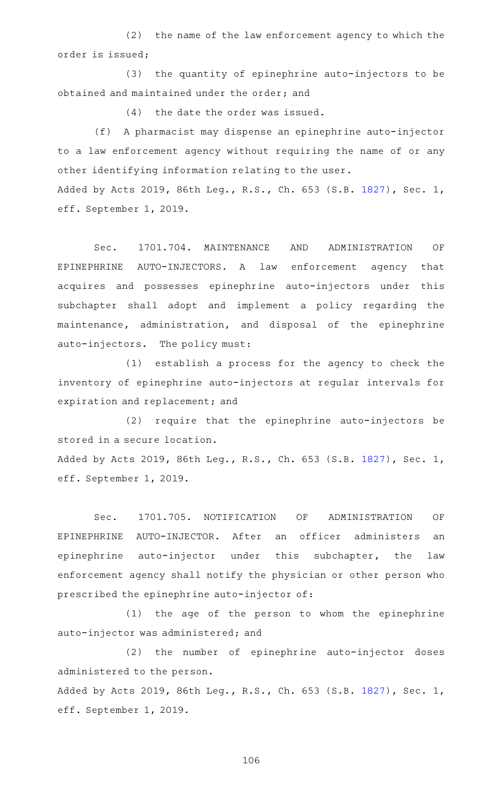(2) the name of the law enforcement agency to which the order is issued;

(3) the quantity of epinephrine auto-injectors to be obtained and maintained under the order; and

 $(4)$  the date the order was issued.

(f) A pharmacist may dispense an epinephrine auto-injector to a law enforcement agency without requiring the name of or any other identifying information relating to the user.

Added by Acts 2019, 86th Leg., R.S., Ch. 653 (S.B. [1827](http://www.legis.state.tx.us/tlodocs/86R/billtext/html/SB01827F.HTM)), Sec. 1, eff. September 1, 2019.

Sec. 1701.704. MAINTENANCE AND ADMINISTRATION OF EPINEPHRINE AUTO-INJECTORS. A law enforcement agency that acquires and possesses epinephrine auto-injectors under this subchapter shall adopt and implement a policy regarding the maintenance, administration, and disposal of the epinephrine auto-injectors. The policy must:

(1) establish a process for the agency to check the inventory of epinephrine auto-injectors at regular intervals for expiration and replacement; and

(2) require that the epinephrine auto-injectors be stored in a secure location.

Added by Acts 2019, 86th Leg., R.S., Ch. 653 (S.B. [1827](http://www.legis.state.tx.us/tlodocs/86R/billtext/html/SB01827F.HTM)), Sec. 1, eff. September 1, 2019.

Sec. 1701.705. NOTIFICATION OF ADMINISTRATION OF EPINEPHRINE AUTO-INJECTOR. After an officer administers an epinephrine auto-injector under this subchapter, the law enforcement agency shall notify the physician or other person who prescribed the epinephrine auto-injector of:

(1) the age of the person to whom the epinephrine auto-injector was administered; and

(2) the number of epinephrine auto-injector doses administered to the person. Added by Acts 2019, 86th Leg., R.S., Ch. 653 (S.B. [1827](http://www.legis.state.tx.us/tlodocs/86R/billtext/html/SB01827F.HTM)), Sec. 1,

eff. September 1, 2019.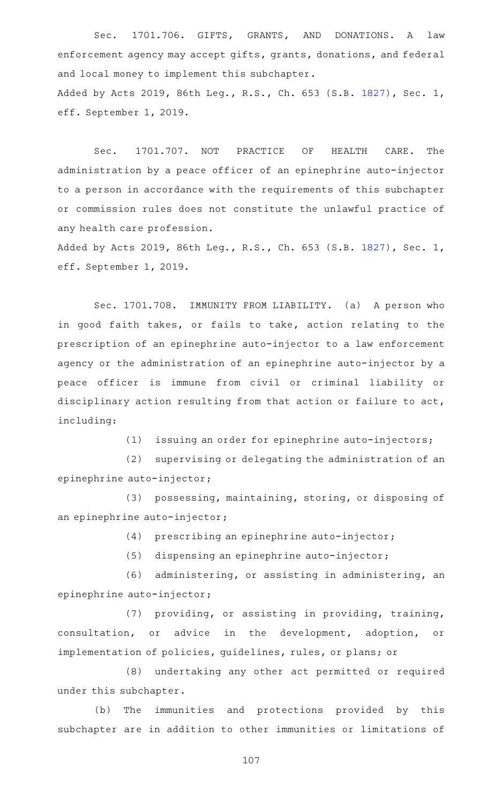Sec. 1701.706. GIFTS, GRANTS, AND DONATIONS. A law enforcement agency may accept gifts, grants, donations, and federal and local money to implement this subchapter. Added by Acts 2019, 86th Leg., R.S., Ch. 653 (S.B. [1827](http://www.legis.state.tx.us/tlodocs/86R/billtext/html/SB01827F.HTM)), Sec. 1, eff. September 1, 2019.

Sec. 1701.707. NOT PRACTICE OF HEALTH CARE. The administration by a peace officer of an epinephrine auto-injector to a person in accordance with the requirements of this subchapter or commission rules does not constitute the unlawful practice of any health care profession.

Added by Acts 2019, 86th Leg., R.S., Ch. 653 (S.B. [1827](http://www.legis.state.tx.us/tlodocs/86R/billtext/html/SB01827F.HTM)), Sec. 1, eff. September 1, 2019.

Sec. 1701.708. IMMUNITY FROM LIABILITY. (a) A person who in good faith takes, or fails to take, action relating to the prescription of an epinephrine auto-injector to a law enforcement agency or the administration of an epinephrine auto-injector by a peace officer is immune from civil or criminal liability or disciplinary action resulting from that action or failure to act, including:

 $(1)$  issuing an order for epinephrine auto-injectors;

(2) supervising or delegating the administration of an epinephrine auto-injector;

(3) possessing, maintaining, storing, or disposing of an epinephrine auto-injector;

 $(4)$  prescribing an epinephrine auto-injector;

 $(5)$  dispensing an epinephrine auto-injector;

(6) administering, or assisting in administering, an epinephrine auto-injector;

(7) providing, or assisting in providing, training, consultation, or advice in the development, adoption, or implementation of policies, guidelines, rules, or plans; or

(8) undertaking any other act permitted or required under this subchapter.

(b) The immunities and protections provided by this subchapter are in addition to other immunities or limitations of